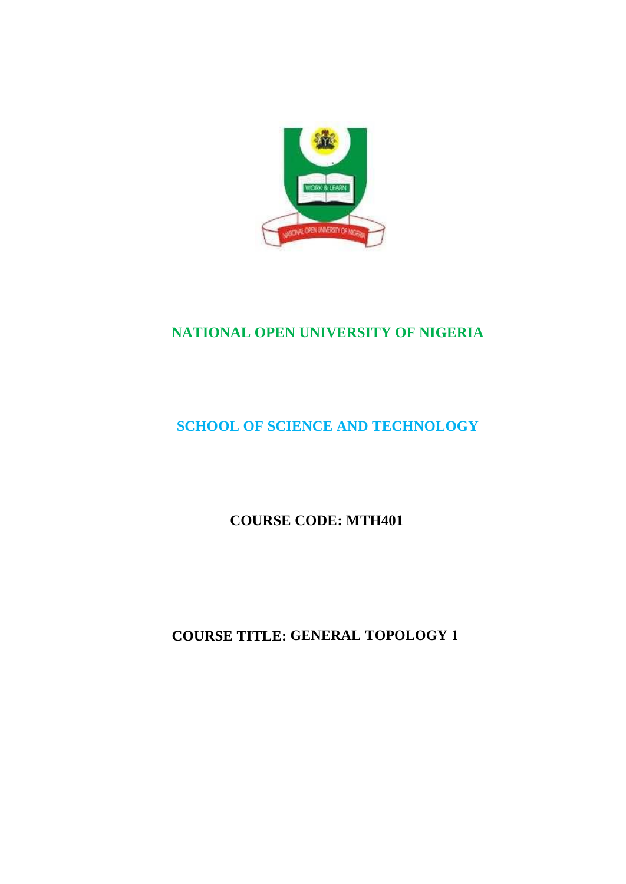

# **NATIONAL OPEN UNIVERSITY OF NIGERIA**

# **SCHOOL OF SCIENCE AND TECHNOLOGY**

**COURSE CODE: MTH401**

**COURSE TITLE: GENERAL TOPOLOGY 1**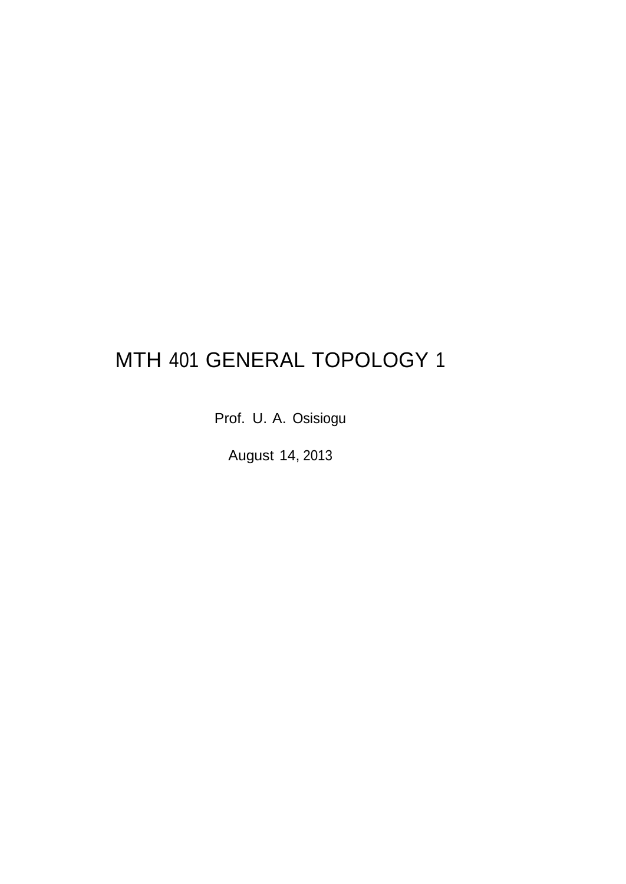# MTH 401 GENERAL TOPOLOGY 1

Prof. U. A. Osisiogu

August 14, 2013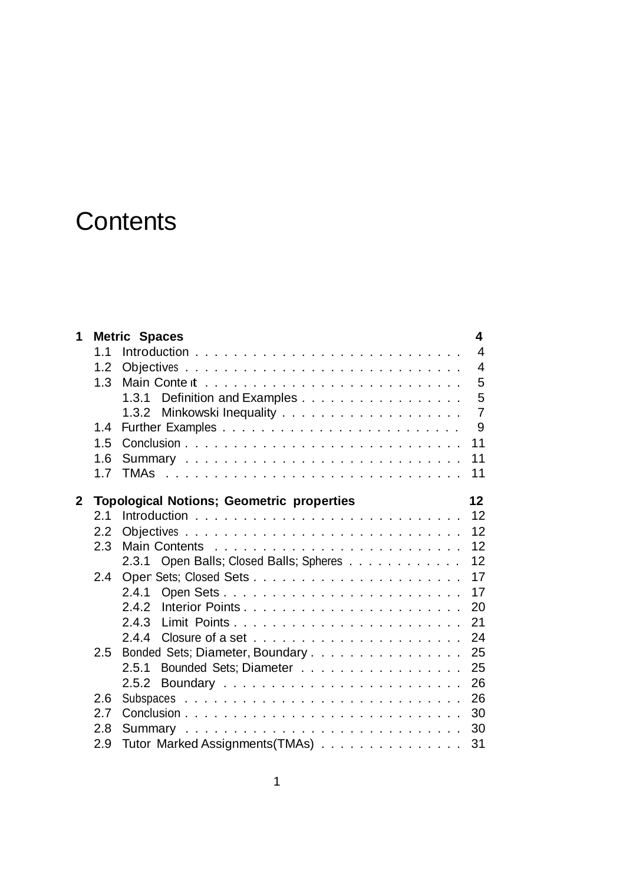# **Contents**

|     |                                 | 4                                                                                                                                                                                                           |
|-----|---------------------------------|-------------------------------------------------------------------------------------------------------------------------------------------------------------------------------------------------------------|
| 1.1 |                                 | $\overline{4}$                                                                                                                                                                                              |
| 1.2 |                                 | $\overline{4}$                                                                                                                                                                                              |
| 1.3 |                                 | 5                                                                                                                                                                                                           |
|     |                                 | 5                                                                                                                                                                                                           |
|     |                                 | $\overline{7}$                                                                                                                                                                                              |
| 1.4 |                                 | 9                                                                                                                                                                                                           |
| 1.5 |                                 | 11                                                                                                                                                                                                          |
| 1.6 |                                 | 11                                                                                                                                                                                                          |
| 1.7 |                                 | 11                                                                                                                                                                                                          |
|     |                                 | 12 <sup>2</sup>                                                                                                                                                                                             |
| 2.1 |                                 | 12                                                                                                                                                                                                          |
| 2.2 |                                 | 12                                                                                                                                                                                                          |
| 2.3 |                                 | 12                                                                                                                                                                                                          |
|     | 2.3.1                           | 12                                                                                                                                                                                                          |
| 2.4 |                                 | 17                                                                                                                                                                                                          |
|     | 2.4.1                           | 17                                                                                                                                                                                                          |
|     | 2.4.2                           | 20                                                                                                                                                                                                          |
|     |                                 | 21                                                                                                                                                                                                          |
|     |                                 | 24                                                                                                                                                                                                          |
| 2.5 |                                 | 25                                                                                                                                                                                                          |
|     | 2.5.1                           | 25                                                                                                                                                                                                          |
|     |                                 | 26                                                                                                                                                                                                          |
| 2.6 |                                 | 26                                                                                                                                                                                                          |
| 2.7 |                                 | 30                                                                                                                                                                                                          |
| 2.8 |                                 | 30                                                                                                                                                                                                          |
| 2.9 | Tutor Marked Assignments (TMAs) | 31                                                                                                                                                                                                          |
|     |                                 | <b>Metric Spaces</b><br>1.3.1 Definition and Examples<br><b>Topological Notions; Geometric properties</b><br>Open Balls; Closed Balls; Spheres<br>Bonded Sets; Diameter, Boundary<br>Bounded Sets; Diameter |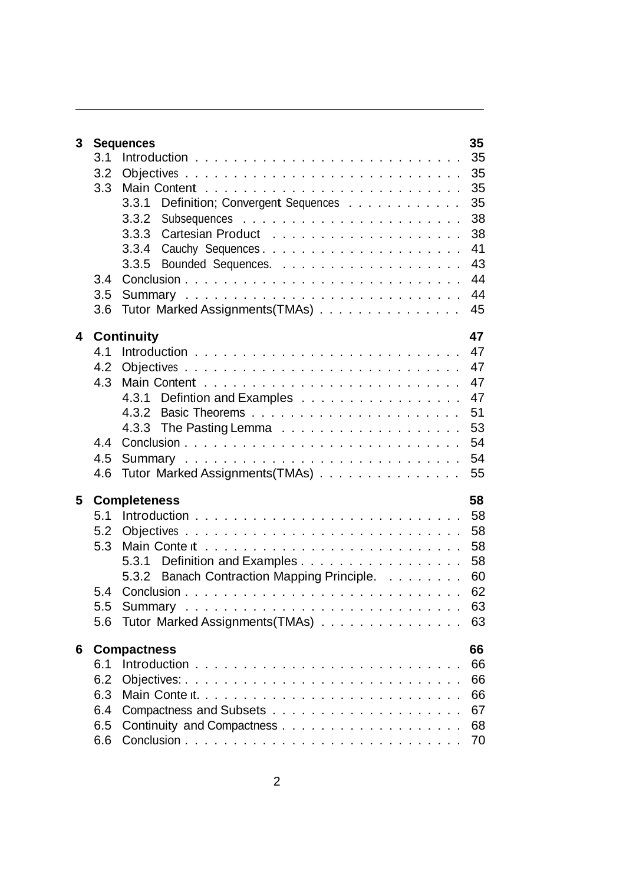| 3 |     | <b>Sequences</b>                            | 35 |
|---|-----|---------------------------------------------|----|
|   | 3.1 |                                             | 35 |
|   | 3.2 |                                             | 35 |
|   | 3.3 |                                             | 35 |
|   |     | Definition; Convergent Sequences<br>3.3.1   | 35 |
|   |     | 3.3.2                                       | 38 |
|   |     | 3.3.3                                       | 38 |
|   |     | 3.3.4<br>Cauchy Sequences                   | 41 |
|   |     | 3.3.5                                       | 43 |
|   | 3.4 |                                             | 44 |
|   | 3.5 |                                             | 44 |
|   | 3.6 | Tutor Marked Assignments (TMAs)             | 45 |
| 4 |     | <b>Continuity</b>                           | 47 |
|   | 4.1 |                                             | 47 |
|   | 4.2 |                                             | 47 |
|   | 4.3 |                                             | 47 |
|   |     | 4.3.1 Defintion and Examples                | 47 |
|   |     | 4.3.2                                       | 51 |
|   |     | 4.3.3 The Pasting Lemma                     | 53 |
|   | 4.4 |                                             | 54 |
|   | 4.5 |                                             | 54 |
|   | 4.6 | Tutor Marked Assignments (TMAs)             | 55 |
|   |     |                                             |    |
| 5 |     | <b>Completeness</b>                         | 58 |
|   | 5.1 |                                             | 58 |
|   | 5.2 |                                             | 58 |
|   | 5.3 |                                             | 58 |
|   |     | Definition and Examples<br>5.3.1            | 58 |
|   |     | 5.3.2 Banach Contraction Mapping Principle. | 60 |
|   | 5.4 |                                             | 62 |
|   | 5.5 |                                             | 63 |
|   | 5.6 | Tutor Marked Assignments (TMAs)             | 63 |
| 6 |     | <b>Compactness</b>                          | 66 |
|   | 6.1 |                                             | 66 |
|   | 6.2 |                                             | 66 |
|   | 6.3 | Main Content                                | 66 |
|   | 6.4 |                                             | 67 |
|   | 6.5 |                                             | 68 |
|   |     |                                             |    |
|   | 6.6 |                                             | 70 |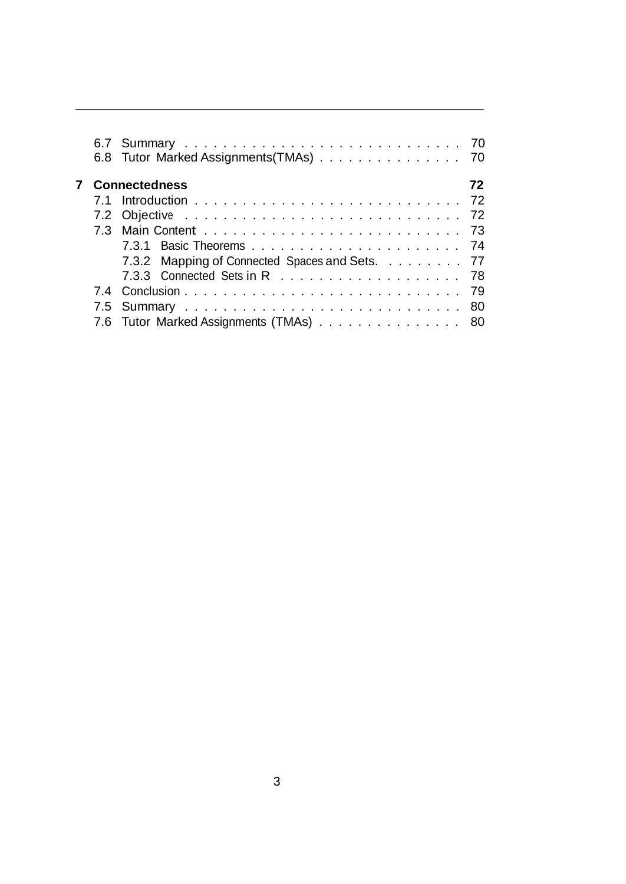|  | 6.8 Tutor Marked Assignments (TMAs) 70         |     |
|--|------------------------------------------------|-----|
|  | <b>7</b> Connectedness                         | 72. |
|  |                                                |     |
|  |                                                |     |
|  |                                                |     |
|  |                                                |     |
|  | 7.3.2 Mapping of Connected Spaces and Sets. 77 |     |
|  |                                                |     |
|  |                                                |     |
|  |                                                |     |
|  | 7.6 Tutor Marked Assignments (TMAs) 80         |     |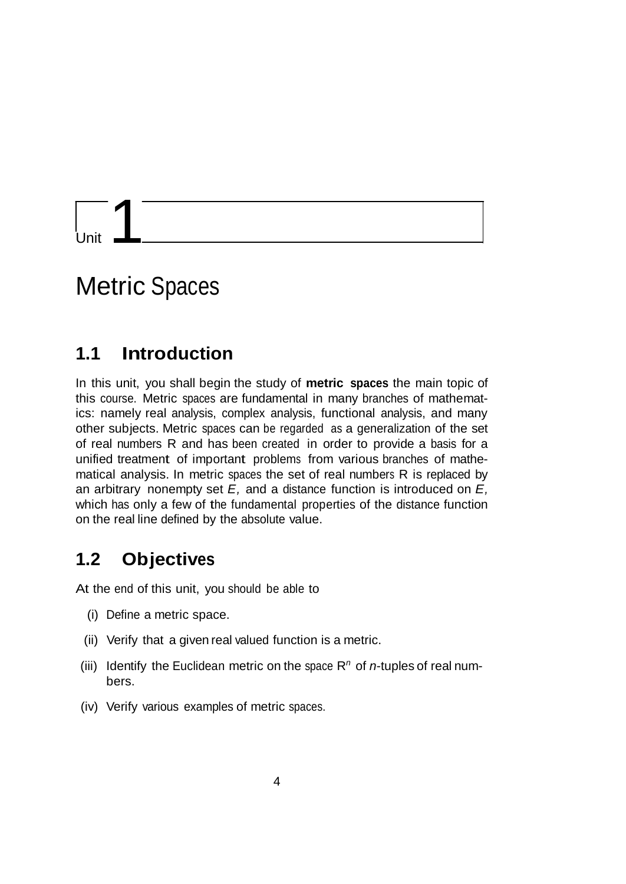Unit  $1$ 

# Metric Spaces

# **1.1 Introduction**

In this unit, you shall begin the study of **metric spaces** the main topic of this course. Metric spaces are fundamental in many branches of mathematics: namely real analysis, complex analysis, functional analysis, and many other subjects. Metric spaces can be regarded as a generalization of the set of real numbers R and has been created in order to provide a basis for a unified treatment of important problems from various branches of mathematical analysis. In metric spaces the set of real numbers R is replaced by an arbitrary nonempty set *E,* and a distance function is introduced on *E,*  which has only a few of the fundamental properties of the distance function on the real line defined by the absolute value.

# **1.2 Objectives**

At the end of this unit, you should be able to

- (i) Define a metric space.
- (ii) Verify that a given real valued function is a metric.
- (iii) Identify the Euclidean metric on the space  $R<sup>n</sup>$  of *n*-tuples of real numbers.
- (iv) Verify various examples of metric spaces.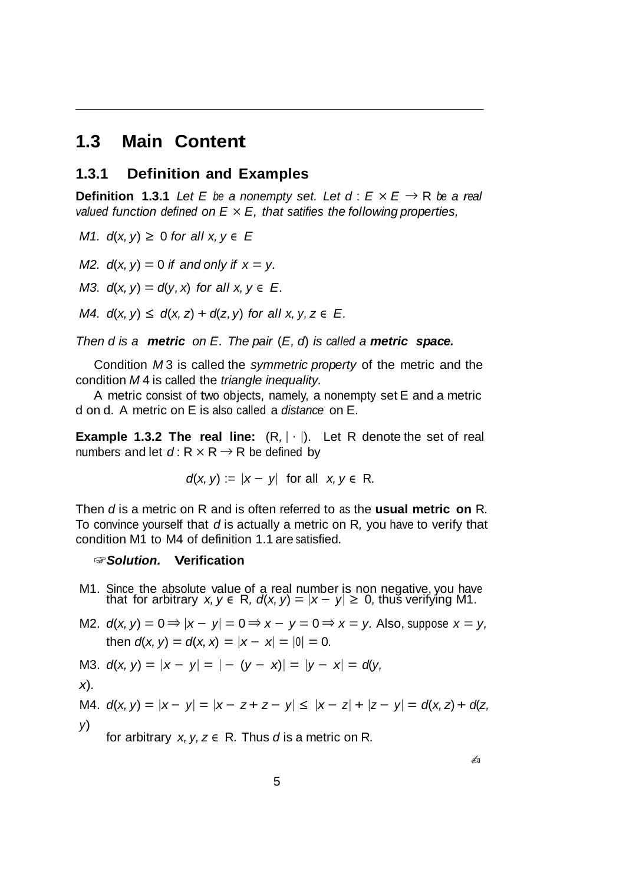# **1.3 Main Content**

### **1.3.1 Definition and Examples**

**Definition 1.3.1** Let E be a nonempty set. Let  $d: E \times E \rightarrow R$  be a real *valued function defined on E × E, that satifies the following properties,*

*M1.*  $d(x, y)$  ≥ 0 for all  $x, y \in E$ 

*M2.*  $d(x, y) = 0$  *if* and only *if*  $x = y$ .

*M3.*  $d(x, y) = d(y, x)$  *for all*  $x, y \in E$ .

*M4.*  $d(x, y) \leq d(x, z) + d(z, y)$  for all  $x, y, z \in E$ .

*Then d is a metric on E. The pair* (*E, d*) *is called a metric space.*

Condition *M* 3 is called the *symmetric property* of the metric and the condition *M* 4 is called the *triangle inequality.*

A metric consist of two objects, namely, a nonempty set E and a metric d on d. A metric on E is also called a *distance* on E.

**Example 1.3.2 The real line:**  $(R, | \cdot |)$ . Let R denote the set of real numbers and let  $d: R \times R \rightarrow R$  be defined by

$$
d(x, y) := |x - y| \text{ for all } x, y \in \mathbb{R}.
$$

Then *d* is a metric on R and is often referred to as the **usual metric on** R*.*  To convince yourself that *d* is actually a metric on R*,* you have to verify that condition M1 to M4 of definition 1.1 are satisfied.

### ☞*Solution.* **Verification**

- M1. Since the absolute value of a real number is non negative, you have that for arbitrary  $x, y \in R$ ,  $d(x, y) = |x y| \ge 0$ , thus verifying M1.
- $M2$ . *d*(*x*, *y*) = 0 ⇒  $|x y|$  = 0 ⇒  $x y$  = 0 ⇒  $x = y$ . Also, suppose  $x = y$ , then  $d(x, y) = d(x, x) = |x - x| = |0| = 0$ .

M3. 
$$
d(x, y) = |x - y| = |- (y - x)| = |y - x| = d(y,
$$

$$
\mathsf{x}).
$$

*y*)

M4.  $d(x, y) = |x - y| = |x - z + z - y| \le |x - z| + |z - y| = d(x, z) + d(z, z)$ 

for arbitrary  $x, y, z \in \mathbb{R}$ . Thus *d* is a metric on R.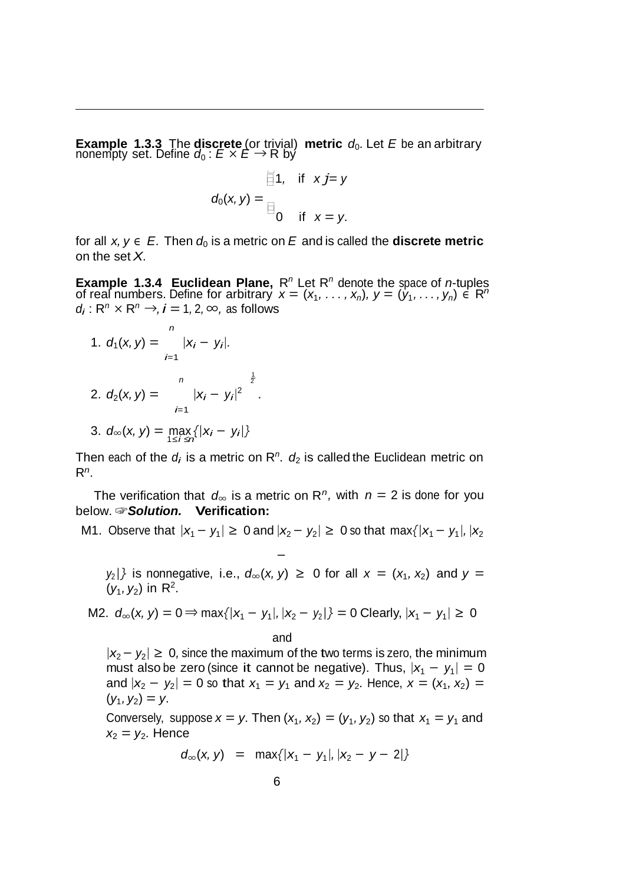**Example 1.3.3** The **discrete** (or trivial) **metric**  $d_0$ . Let *E* be an arbitrary nonempty set. Define  $d_0$  :  $E \times E \rightarrow \mathsf{R}$  by

$$
\overline{\square}1, \quad \text{if} \quad x \text{ } j = y
$$

$$
d_0(x, y) = \square
$$

$$
\square
$$

$$
\square
$$

$$
\square
$$

$$
\square
$$

$$
\square
$$

$$
\square
$$

$$
\square
$$

$$
\square
$$

$$
\square
$$

$$
\square
$$

$$
\square
$$

$$
\square
$$

for all  $x, y \in E$ . Then  $d_0$  is a metric on E and is called the **discrete metric** on the set *X.*

**Example 1.3.4 Euclidean Plane,**  $R^n$  Let  $R^n$  denote the space of *n*-tuples of real numbers. Define for arbitrary  $x = (x_1, \ldots, x_n)$ ,  $y = (y_1, \ldots, y_n) \in R^n$  $d_i$ :  $R^n \times R^n \rightarrow i = 1, 2, \infty$ , as follows

1. 
$$
d_1(x, y) = \begin{cases} \n1 & |x_i - y_i|.\n\end{cases}
$$
  
\n2.  $d_2(x, y) = \begin{cases} \n1 & |x_i - y_i|^2 \ \end{cases}$   
\n3.  $d_\infty(x, y) = \max_{1 \le i \le n} \{|x_i - y_i|\}$ 

Then each of the  $d_i$  is a metric on  $\mathbb{R}^n$ .  $d_2$  is called the Euclidean metric on R*n.*

The verification that  $d_{\infty}$  is a metric on R<sup>n</sup>, with  $n = 2$  is done for you below. ☞*Solution.* **Verification:**

### $M1.$  Observe that  $|x_1 - y_1| \ge 0$  and  $|x_2 - y_2| \ge 0$  so that max{ $|x_1 - y_1|, |x_2|$

*−*

 $y_2$  is nonnegative, i.e.,  $d_{\infty}(x, y) \ge 0$  for all  $x = (x_1, x_2)$  and  $y =$  $(y_1, y_2)$  in R<sup>2</sup>.

M2. 
$$
d_{\infty}(x, y) = 0 \Rightarrow \max\{|x_1 - y_1|, |x_2 - y_2|\} = 0
$$
 Clearly,  $|x_1 - y_1| \ge 0$ 

and

*<sup>|</sup>x*2*− y*2*<sup>|</sup> ≥* 0*,* since the maximum of the two terms is zero, the minimum must also be zero (since it cannot be negative). Thus,  $|x_1 - y_1| = 0$ and  $|x_2 - y_2| = 0$  so that  $x_1 = y_1$  and  $x_2 = y_2$ . Hence,  $x = (x_1, x_2) =$  $(y_1, y_2) = y$ .

Conversely, suppose  $x = y$ . Then  $(x_1, x_2) = (y_1, y_2)$  so that  $x_1 = y_1$  and  $x_2 = y_2$ . Hence

$$
d_{\infty}(x, y) = \max\{|x_1 - y_1|, |x_2 - y - 2|\}
$$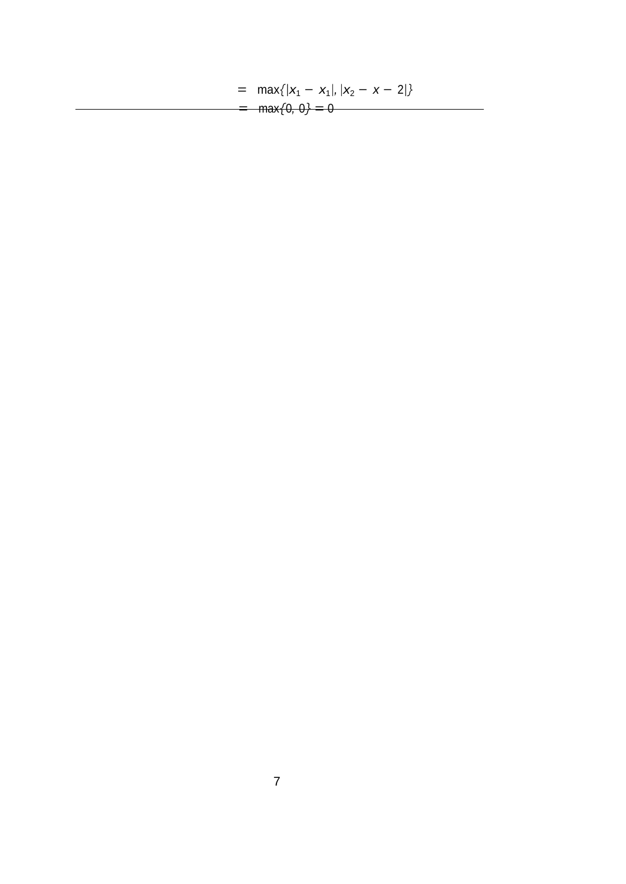$=$  max{ $|x_1 - x_1|, |x_2 - x - 2|$ }  $=$  max $\{0, 0\} = 0$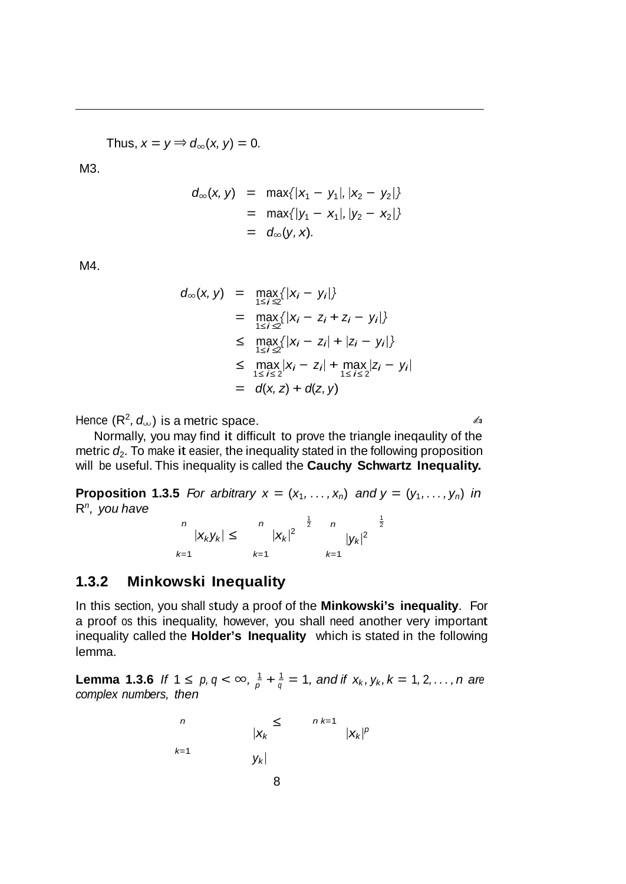Thus,  $x = y \Rightarrow d_{\infty}(x, y) = 0$ .

M3.

$$
d_{\infty}(x, y) = \max\{|x_1 - y_1|, |x_2 - y_2|\}
$$
  
=  $\max\{|y_1 - x_1|, |y_2 - x_2|\}$   
=  $d_{\infty}(y, x)$ .

M4.

$$
d_{\infty}(x, y) = \max_{1 \le i \le 2} \{|x_i - y_i|\} \\
= \max_{1 \le i \le 2} \{|x_i - z_i + z_i - y_i|\} \\
\le \max_{1 \le i \le 2} \{|x_i - z_i| + |z_i - y_i|\} \\
\le \max_{1 \le i \le 2} |x_i - z_i| + \max_{1 \le i \le 2} |z_i - y_i| \\
= d(x, z) + d(z, y)
$$

 $H$ ence  $(R^2, d_{\infty})$  is a metric space.  $\blacksquare$ 

Normally, you may find it difficult to prove the triangle ineqaulity of the metric  $d_2$ . To make it easier, the inequality stated in the following proposition will be useful. This inequality is called the **Cauchy Schwartz Inequality.**

**Proposition 1.3.5** For arbitrary  $x = (x_1, \ldots, x_n)$  and  $y = (y_1, \ldots, y_n)$  in R*n, you have*

$$
\begin{array}{ccc} n & & n & \frac{1}{2} & n \\ |X_k y_k| & \leq & |X_k|^2 & |y_k|^2 \\ k=1 & k=1 & k=1 \end{array}
$$

### **1.3.2 Minkowski Inequality**

In this section, you shall study a proof of the **Minkowski's inequality**. For a proof os this inequality, however, you shall need another very important inequality called the **Holder's Inequality** which is stated in the following lemma.

**Lemma 1.3.6** If  $1 \le p, q < \infty$ ,  $\frac{1}{p} + \frac{1}{q} = 1$ , and if  $x_k, y_k, k = 1, 2, ..., n$  are *complex numbers, then*

$$
\begin{array}{ccc}\nn & & \leq & n_{k=1} \\
& |x_k| & & |x_k|^p \\
& & & \leq & \\
& & & |x_k|^p \\
& & & & 8\n\end{array}
$$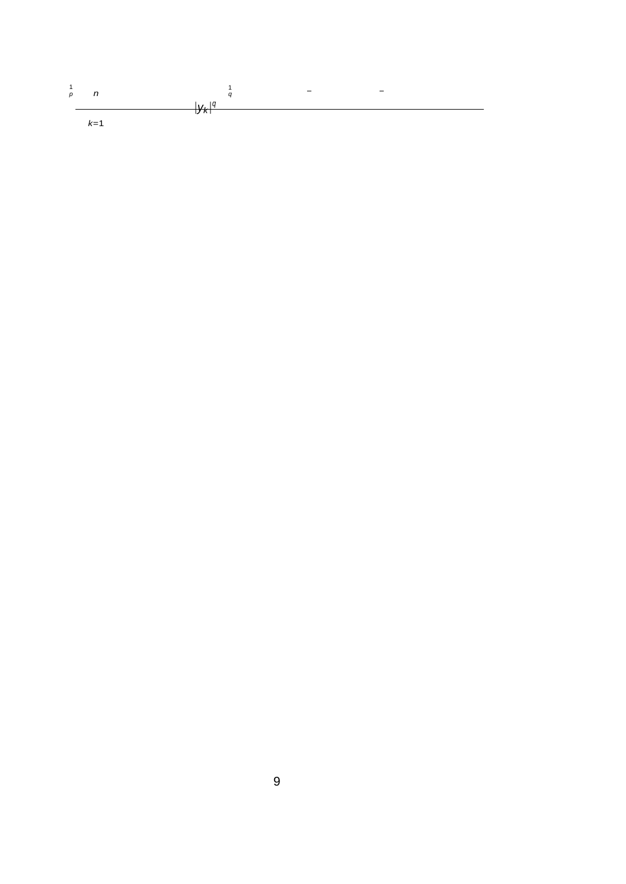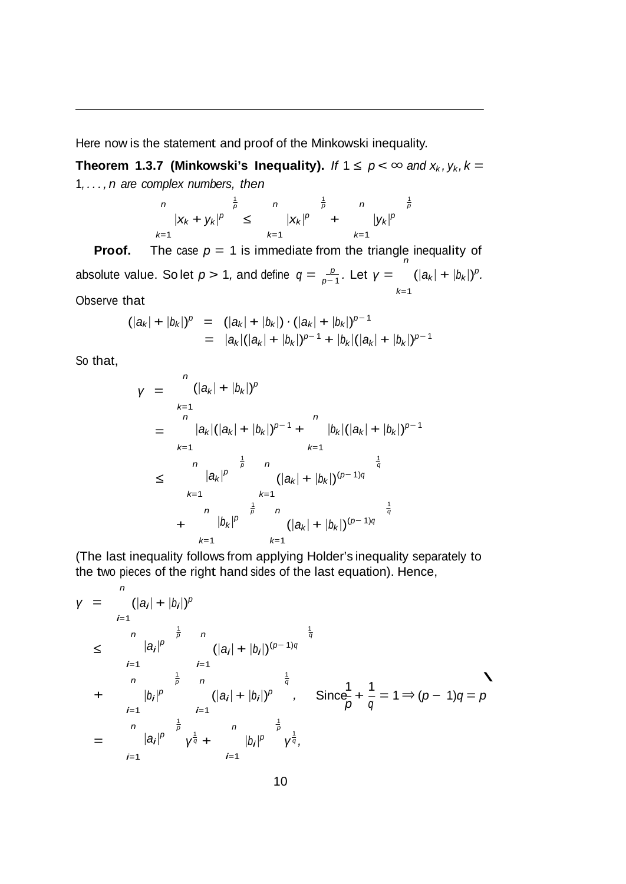Here now is the statement and proof of the Minkowski inequality.

**Theorem 1.3.7 (Minkowski's Inequality).** *If*  $1 \le p < \infty$  and  $x_k$ ,  $y_k$ ,  $k =$ 1*, . . . , n are complex numbers, then*

$$
\begin{array}{ccc} n & \frac{1}{p} & n & \frac{1}{p} & n & \frac{1}{p} \\ |X_k + y_k|^p & \leq & |X_k|^p & + & |y_k|^p \\ k=1 & k=1 & k=1 \end{array}
$$

**Proof.** The case  $p = 1$  is immediate from the triangle inequality of absolute value. So let  $p > 1$ , and define  $q = \frac{p}{p-1}$ . Let  $\gamma =$ *k*=1  $(|a_k| + |b_k|)^p$ .

Observe that

$$
(|a_k| + |b_k|)^p = (|a_k| + |b_k|) \cdot (|a_k| + |b_k|)^{p-1}
$$
  
= |a\_k|(|a\_k| + |b\_k|)^{p-1} + |b\_k|(|a\_k| + |b\_k|)^{p-1}

So that,

$$
y = \begin{array}{l} n \\ k=1 \\ n \\ k=1 \end{array} (|a_k| + |b_k|)^p
$$
  
\n
$$
= \begin{array}{l} |a_k| (|a_k| + |b_k|)^{p-1} + \binom{n}{k-1} \\ k=1 \end{array} (|a_k| + |b_k|)^{p-1}
$$
  
\n
$$
\leq \begin{array}{l} n \\ |a_k|^p \end{array} \begin{array}{l} \frac{1}{p} \\ (|a_k| + |b_k|)^{(p-1)q} \end{array} \begin{array}{l} \frac{1}{q} \\ k=1 \end{array}
$$
  
\n
$$
+ \begin{array}{l} n \\ |b_k|^p \end{array} \begin{array}{l} \frac{1}{p} \\ k=1 \end{array} \begin{array}{l} \frac{1}{q} \\ k=1 \end{array} \begin{array}{l} \frac{1}{q} \\ k=1 \end{array}
$$

(The last inequality follows from applying Holder's inequality separately to the two pieces of the right hand sides of the last equation). Hence,

$$
y = \int_{i=1}^{n} (|a_{i}| + |b_{i}|)^{p}
$$
  
\n
$$
\leq \int_{i=1}^{n} |a_{i}|^{p} \int_{i=1}^{\frac{1}{p}} \frac{n}{(|a_{i}| + |b_{i}|)^{(p-1)q}} \frac{\frac{1}{q}}{\frac{1}{q}}
$$
  
\n
$$
+ \int_{i=1}^{n} |b_{i}|^{p} \frac{(|a_{i}| + |b_{i}|)^{p}}{(|a_{i}| + |b_{i}|)^{p}}, \quad \text{Since} \frac{1}{p} + \frac{1}{q} = 1 \Rightarrow (p-1)q = p
$$
  
\n
$$
= \int_{i=1}^{n} |a_{i}|^{p} \int_{i=1}^{\frac{1}{p}} \frac{n}{\sqrt{q}} + \int_{i=1}^{\frac{1}{p}} |b_{i}|^{p} \int_{i=1}^{\frac{1}{p}} \frac{1}{\sqrt{q}},
$$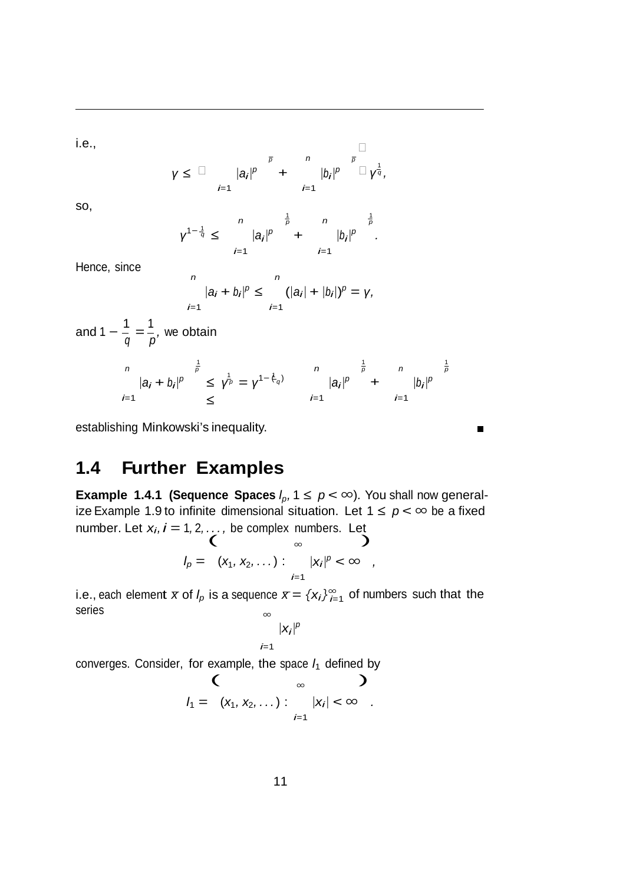i.e.,

$$
\gamma \leq \square \qquad |a_{i}|^{p} \qquad \qquad + \qquad \qquad |b_{i}|^{p} \qquad \square
$$
  

$$
i=1 \qquad \qquad i=1
$$

so,

$$
\gamma^{1-\frac{1}{q}} \leq \sum_{i=1}^{n} |a_{i}|^{p} + \sum_{i=1}^{\frac{1}{p}} |b_{i}|^{p}.
$$

Hence, since

$$
\begin{aligned}\n & \quad \frac{n}{|a_i + b_i|^p} \leq \quad \frac{n}{i-1} \left( |a_i| + |b_i| \right)^p = \gamma, \\
 & \quad \frac{n}{p-1} \quad \frac{n}{p-1} \quad \frac{n}{p-1} \quad \frac{n}{p-1} \quad \frac{n}{p-1} \quad \frac{n}{p-1} \quad \frac{n}{p-1} \quad \frac{n}{p-1} \quad \frac{n}{p-1} \quad \frac{n}{p-1} \quad \frac{n}{p-1} \quad \frac{n}{p-1} \quad \frac{n}{p-1} \quad \frac{n}{p-1} \quad \frac{n}{p-1} \quad \frac{n}{p-1} \quad \frac{n}{p-1} \quad \frac{n}{p-1} \quad \frac{n}{p-1} \quad \frac{n}{p-1} \quad \frac{n}{p-1} \quad \frac{n}{p-1} \quad \frac{n}{p-1} \quad \frac{n}{p-1} \quad \frac{n}{p-1} \quad \frac{n}{p-1} \quad \frac{n}{p-1} \quad \frac{n}{p-1} \quad \frac{n}{p-1} \quad \frac{n}{p-1} \quad \frac{n}{p-1} \quad \frac{n}{p-1} \quad \frac{n}{p-1} \quad \frac{n}{p-1} \quad \frac{n}{p-1} \quad \frac{n}{p-1} \quad \frac{n}{p-1} \quad \frac{n}{p-1} \quad \frac{n}{p-1} \quad \frac{n}{p-1} \quad \frac{n}{p-1} \quad \frac{n}{p-1} \quad \frac{n}{p-1} \quad \frac{n}{p-1} \quad \frac{n}{p-1} \quad \frac{n}{p-1} \quad \frac{n}{p-1} \quad \frac{n}{p-1} \quad \frac{n}{p-1} \quad \frac{n}{p-1} \quad \frac{n}{p-1} \quad \frac{n}{p-1} \quad \frac{n}{p-1} \quad \frac{n}{p-1} \quad \frac{n}{p-1} \quad \frac{n}{p-1} \quad \frac{n}{p-1} \quad \frac{n}{p-1} \quad \frac{n}{p-1} \quad \frac{n}{p-1} \quad \frac{n}{p-1} \quad \frac{n}{p-1} \quad \frac{n}{p-1} \quad \frac{n}{p-1} \quad \frac{n}{p-1} \quad \frac{n}{p-1} \quad \frac{n}{p-1} \quad \frac{n}{p-1} \quad \frac{n}{p-1} \quad \frac{n}{p-1
$$

and 1  $-\frac{1}{q} = \frac{1}{p}$ , we obtain

$$
\begin{array}{ccc}\nn & \frac{1}{p} \\
|a_i + b_i|^p & \leq \gamma^{\frac{1}{p}} = \gamma^{1 - \frac{1}{\gamma}} \\
\leq & \frac{1}{p} \\
\leq & \frac{1}{p} \\
\end{array} \qquad\n\begin{array}{ccc}\nn & \frac{1}{p} & n & \frac{1}{p} \\
|a_i|^p & + & |b_i|^p\n\end{array}
$$

 $\blacksquare$ 

establishing Minkowski's inequality.

# **1.4 Further Examples**

**Example 1.4.1 (Sequence Spaces**  $l_p$ ,  $1 \leq p < \infty$ ). You shall now generalize Example 1.9 to infinite dimensional situation. Let  $1 ≤ p < ∞$  be a fixed number. Let  $x_i$ ,  $i = 1, 2, \ldots$ , be complex numbers. Let  $\begin{pmatrix} 1 & 0 \\ 0 & 1 \end{pmatrix}$ 

$$
I_p = (x_1, x_2, \ldots) : \sum_{i=1}^{\infty} |x_i|^p < \infty ,
$$

i.e., each element  $\overline{x}$  of *l<sub>p</sub>* is a sequence  $\overline{x} = \{x_i\}_{i=1}^{\infty}$  of numbers such that the series *<sup>∞</sup>*

$$
|x_i|^p
$$

*i*=1

converges. Consider, for example, the space  $l_1$  defined by  $\left\{\begin{array}{ccc} & \bullet & \bullet \ & \bullet & \bullet \end{array}\right\}$ 

$$
\begin{array}{c}\n\big\langle \qquad \qquad \infty \qquad \big\rangle \\
I_1 = \left( x_1, x_2, \ldots \right) : \qquad |x_i| < \infty \quad .\end{array}
$$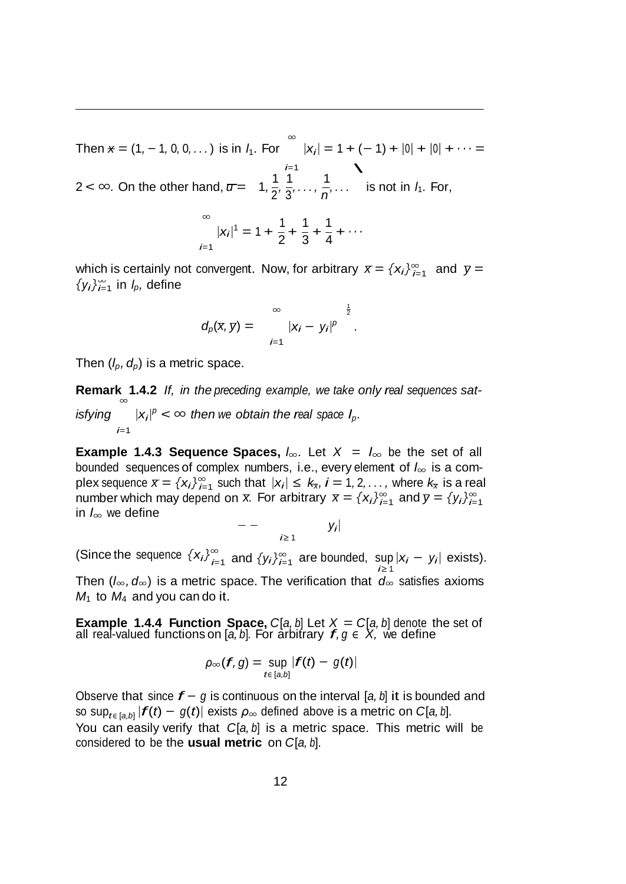$\text{Then } \star = (1, -1, 0, 0, \ldots) \text{ is in } l_1. \text{ For } \infty$ *i*=1 *<sup>|</sup>xi<sup>|</sup>* = <sup>1</sup> + (*−* 1) + *<sup>|</sup>*0*<sup>|</sup>* + *<sup>|</sup>*0*<sup>|</sup>* + *· · ·* =  $|x_i| = 1 + 1$ <br>  $\begin{matrix} i=1 \\ 1 \end{matrix}$ 2 < ∞. On the other hand,  $\pi = 1, \frac{1}{2}, \frac{1}{3}, \ldots, \frac{1}{n}, \ldots$  is not in  $l_1$ . For,

$$
\sum_{i=1}^{\infty} |x_i|^1 = 1 + \frac{1}{2} + \frac{1}{3} + \frac{1}{4} + \cdots
$$

which is certainly not convergent. Now, for arbitrary  $\bar{x} = \{x_i\}_{i=1}^{\infty}$  and  $\bar{y} =$  $\{y_i\}_{i=1}^{\infty}$  in *l<sub>p</sub>,* define

$$
d_p(x, y) = \sum_{i=1}^{\infty} |x_i - y_i|^p
$$
<sup>1/2</sup>.

Then  $(l_p, d_p)$  is a metric space.

**Remark 1.4.2** *If, in the preceding example, we take only real sequences sat- <sup>∞</sup> isfying*  $|x_i|^p < \infty$  *then we obtain the real space*  $I_p$ *. i*=1

 $\sum_{i=1}^{n}$  plex sequence  $\bar{x} = \{x_i\}_{i=1}^{\infty}$  such that  $|x_i| \leq k_x$ ,  $i = 1, 2, ...,$  where  $k_x$  is a real *i*=1 *i*=1 number which may depend on *x.* For arbitrary *x* = *{xi}<sup>∞</sup>* and *y* = *{yi}<sup>∞</sup>* **Example 1.4.3 Sequence Spaces,**  $l_{\infty}$ . Let  $X = l_{\infty}$  be the set of all bounded sequences of complex numbers, i.e., every element of *l<sup>∞</sup>* is a com*l<sup>∞</sup>* we define in

$$
-\qquad \qquad y_i
$$

(Since the sequence  $\{x_i\}_{i=1}^{\infty}$  and  $\{y_i\}_{i=1}^{\infty}$  are bounded, sup  $|x_i - y_i|$  exists). Then (*l∞, d∞*) is a metric space. The verification that *d<sup>∞</sup>* satisfies axioms

 $M_1$  to  $M_4$  and you can do it.

**Example 1.4.4 Function Space,**  $C[a, b]$  Let  $X = C[a, b]$  denote the set of all real-valued functions on [a, b]. For arbitrary  $f, g \in X$ , we define

$$
\rho_\infty(f,g)=\sup_{t\in [a,b]}|f(t)-g(t)|
$$

Observe that since *f <sup>−</sup> <sup>g</sup>* is continuous on the interval [*a, <sup>b</sup>*] it is bounded and so sup<sub>*t* $\epsilon$ </sub> [*a*,*b*]  $|f(t) - g(t)|$  exists  $\rho_{\infty}$  defined above is a metric on *C*[*a*, *b*]. You can easily verify that *C*[*a*, *b*] is a metric space. This metric will be considered to be the **usual metric** on *C*[*a, b*]*.*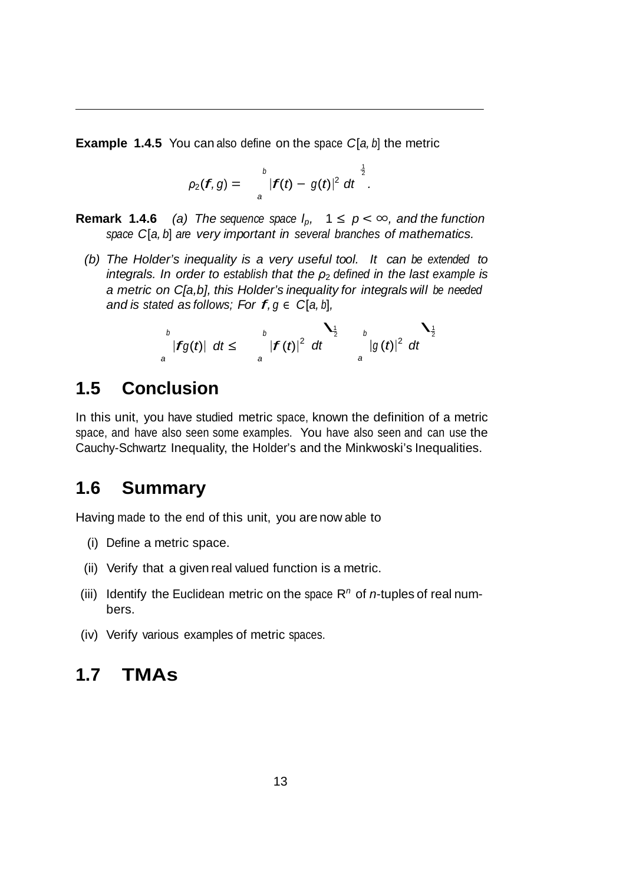**Example 1.4.5** You can also define on the space *C*[*a, b*] the metric

$$
\rho_2(f,g)=\int_{a}^{b}|f(t)-g(t)|^2 dt^{\frac{1}{2}}.
$$

- **Remark 1.4.6** *(a) The sequence space*  $l_p$ ,  $1 \leq p < \infty$ , *and the function space C*[*a, b*] *are very important in several branches of mathematics.*
	- *(b) The Holder's inequality is a very useful tool. It can be extended to integrals. In order to establish that the ρ*<sup>2</sup> *defined in the last example is a metric on C[a,b], this Holder's inequality for integrals will be needed and is stated as follows; For*  $f, g \in C[a, b]$ ,

$$
\int_{a}^{b} |fg(t)| \, dt \leq \int_{a}^{b} |f(t)|^{2} \, dt \qquad \int_{a}^{1} |g(t)|^{2} \, dt
$$

# **1.5 Conclusion**

In this unit, you have studied metric space, known the definition of a metric space, and have also seen some examples. You have also seen and can use the Cauchy-Schwartz Inequality, the Holder's and the Minkwoski's Inequalities.

## **1.6 Summary**

Having made to the end of this unit, you are now able to

- (i) Define a metric space.
- (ii) Verify that a given real valued function is a metric.
- (iii) Identify the Euclidean metric on the space  $R<sup>n</sup>$  of *n*-tuples of real numbers.
- (iv) Verify various examples of metric spaces.

## **1.7 TMAs**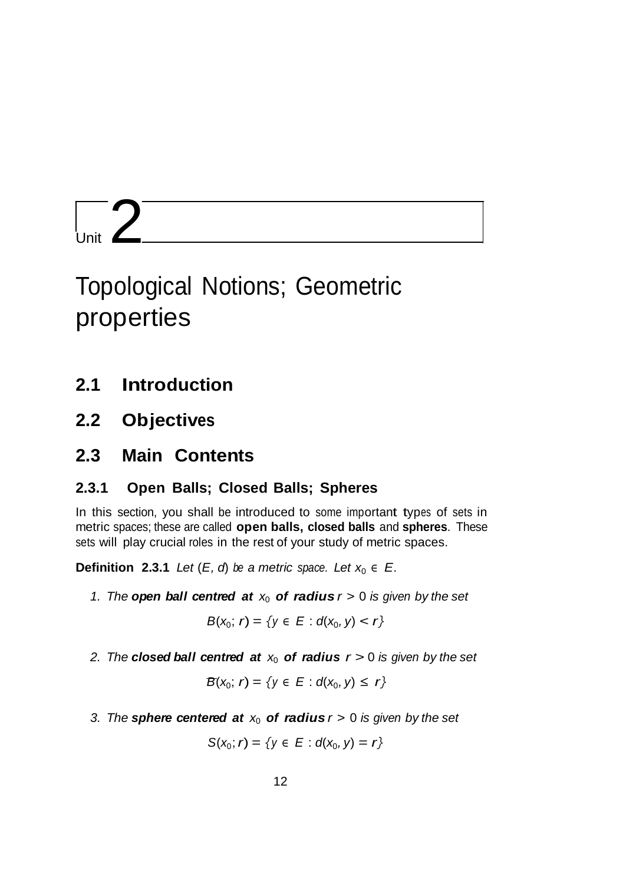# Unit  $2$

# Topological Notions; Geometric properties

- **2.1 Introduction**
- **2.2 Objectives**
- **2.3 Main Contents**

### **2.3.1 Open Balls; Closed Balls; Spheres**

In this section, you shall be introduced to some important types of sets in metric spaces; these are called **open balls, closed balls** and **spheres**. These sets will play crucial roles in the rest of your study of metric spaces.

**Definition 2.3.1** *Let*  $(E, d)$  *be a metric space. Let*  $x_0 \in E$ *.* 

*1. The open**ball**centred**at* $x_0$ *of radius* $r > 0$ *is given by the set* 

$$
B(x_0; r) = \{y \in E : d(x_0, y) < r\}
$$

2. The **closed ball centred at**  $x_0$  **of radius**  $r > 0$  is given by the set

$$
B(x_0; r) = \{y \in E : d(x_0, y) \le r\}
$$

3. The **sphere centered at**  $x_0$  **of radius**  $r > 0$  *is given by the set* 

$$
S(x_0; r) = \{y \in E : d(x_0, y) = r\}
$$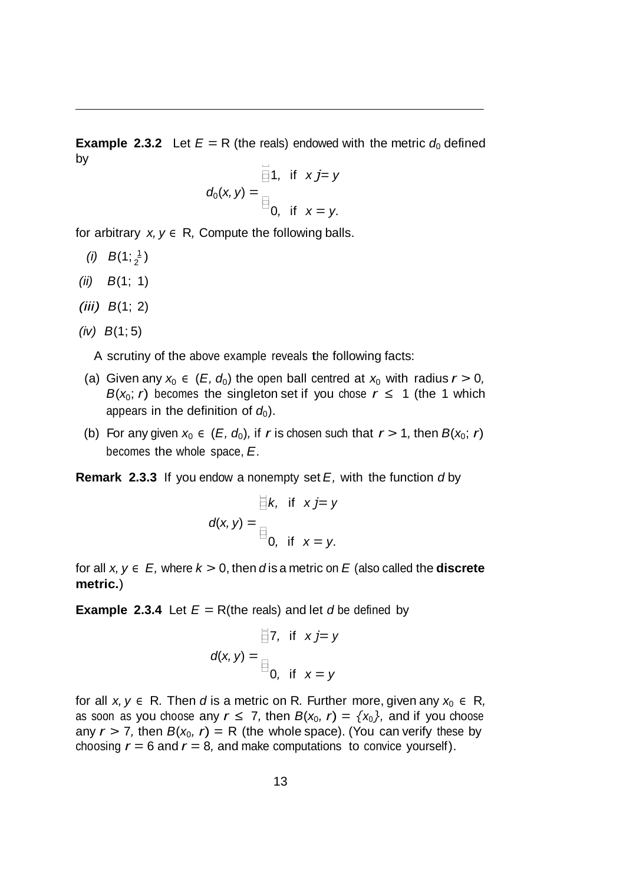$\overline{\Box}$ **Example** 2.3.2 Let  $E = R$  (the reals) endowed with the metric  $d_0$  defined by

$$
d_0(x, y) = \begin{aligned} \boxplus 1, &\text{if } x j = y \\ \boxplus_{0,} &\text{if } x = y. \end{aligned}
$$

for arbitrary  $x, y \in R$ , Compute the following balls.

- *(i)*  $B(1; \frac{1}{2})$
- *(ii) B*(1; 1)
- *(iii) B*(1; 2)
- *(iv) B*(1; 5)

A scrutiny of the above example reveals the following facts:

- (a) Given any  $x_0 \in (E, d_0)$  the open ball centred at  $x_0$  with radius  $r > 0$ , *B*( $x_0$ ; *r*) becomes the singleton set if you chose  $r \le 1$  (the 1 which appears in the definition of  $d_0$ ).
- (b) For any given  $x_0 \in (E, d_0)$ , if *r* is chosen such that  $r > 1$ , then  $B(x_0; r)$ becomes the whole space, *E.*

**Remark 2.3.3** If you endow a nonempty set *E,* with the function *d* by

$$
d(x, y) = \begin{cases} k, & \text{if } x \text{ } j = y \\ 0, & \text{if } x = y. \end{cases}
$$

for all  $x, y \in E$ , where  $k > 0$ , then *d* is a metric on  $E$  (also called the **discrete metric.**)

**Example** 2.3.4 Let  $E = R$ (the reals) and let *d* be defined by

$$
d(x, y) = \begin{cases} 7, & \text{if } x \text{ } j = y \\ 0, & \text{if } x = y \end{cases}
$$

for all  $x, y \in R$ . Then *d* is a metric on R. Further more, given any  $x_0 \in R$ , as soon as you choose any  $r \leq 7$ , then  $B(x_0, r) = \{x_0\}$ , and if you choose any  $r > 7$ , then  $B(x_0, r) = R$  (the whole space). (You can verify these by choosing  $r = 6$  and  $r = 8$ , and make computations to convice yourself).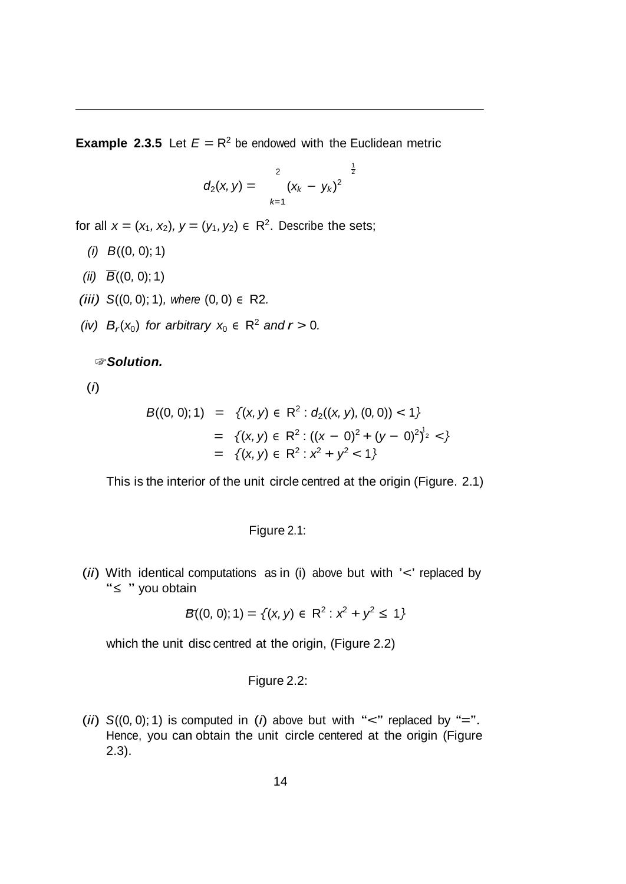**Example 2.3.5** Let  $E = R^2$  be endowed with the Euclidean metric

$$
d_2(x, y) = \sum_{k=1}^{2} (x_k - y_k)^2
$$

 $\frac{1}{2}$ 

for all  $x = (x_1, x_2), y = (y_1, y_2) \in \mathbb{R}^2$ . Describe the sets;

- *(i) B*((0*,* 0); 1)
- *(ii)*  $\overline{B}((0, 0); 1)$
- *(iii) S*((0*,* 0); 1)*, where* (0*,* 0) *<sup>∈</sup>* R2*.*
- *(iv)*  $B_r(x_0)$  *for arbitrary*  $x_0 \in \mathbb{R}^2$  *and*  $r > 0$ *.*

☞*Solution.*

(*i*)

$$
B((0, 0); 1) = \{ (x, y) \in \mathbb{R}^2 : d_2((x, y), (0, 0)) < 1 \}
$$
  
= \{ (x, y) \in \mathbb{R}^2 : ((x - 0)^2 + (y - 0)^2)^{1/2}   
= \{ (x, y) \in \mathbb{R}^2 : x^2 + y^2 < 1 \}

This is the interior of the unit circle centred at the origin (Figure. 2.1)

Figure 2.1:

(*ii*) With identical computations as in (i) above but with '*<*' replaced by "*<sup>≤</sup>* " you obtain

$$
\mathcal{B}((0, 0); 1) = \{(x, y) \in \mathbb{R}^2 : x^2 + y^2 \le 1\}
$$

which the unit disc centred at the origin, (Figure 2.2)

### Figure 2.2:

(*ii*)  $S((0,0); 1)$  is computed in (*i*) above but with " $\lt'$ " replaced by "=". Hence, you can obtain the unit circle centered at the origin (Figure 2.3).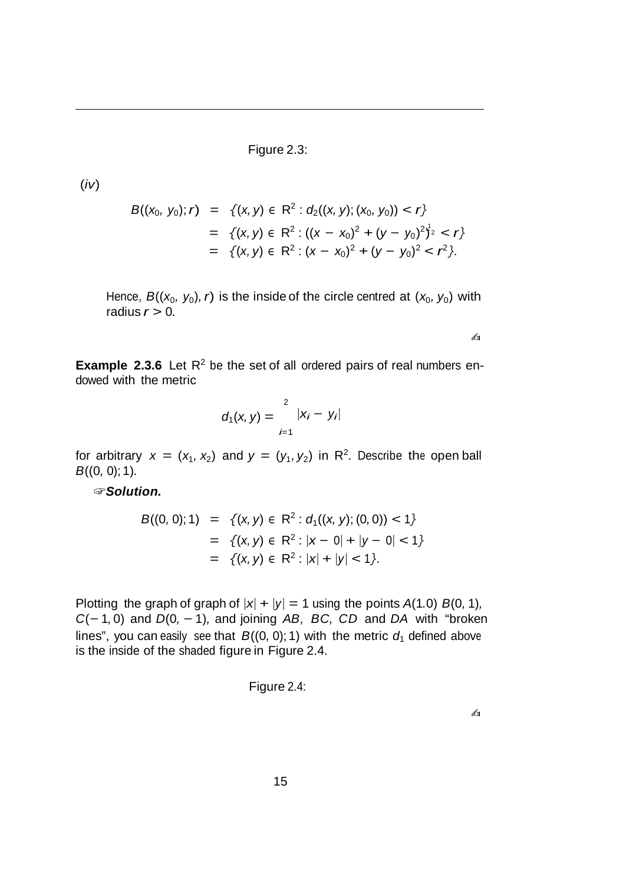Figure 2.3:

(*iv*)

$$
B((x_0, y_0); r) = \{(x, y) \in \mathbb{R}^2 : d_2((x, y); (x_0, y_0)) < r\}
$$
\n
$$
= \{(x, y) \in \mathbb{R}^2 : ((x - x_0)^2 + (y - y_0)^2)^{1/2} < r\}
$$
\n
$$
= \{(x, y) \in \mathbb{R}^2 : (x - x_0)^2 + (y - y_0)^2 < r^2\}.
$$

Hence,  $B((x_0, y_0), r)$  is the inside of the circle centred at  $(x_0, y_0)$  with radius  $r > 0$ .

✍

**Example** 2.3.6 Let  $R^2$  be the set of all ordered pairs of real numbers endowed with the metric

$$
d_1(x, y) = \sum_{i=1}^{2} |x_i - y_i|
$$

for arbitrary  $x = (x_1, x_2)$  and  $y = (y_1, y_2)$  in R<sup>2</sup>. Describe the open ball *B*((0*,* 0); 1)*.*

☞*Solution.*

$$
B((0, 0); 1) = \{(x, y) \in \mathbb{R}^2 : d_1((x, y); (0, 0)) < 1\}
$$
  
= \{(x, y) \in \mathbb{R}^2 : |x - 0| + |y - 0| < 1\}  
= \{(x, y) \in \mathbb{R}^2 : |x| + |y| < 1\}.

Plotting the graph of graph of  $|x| + |y| = 1$  using the points  $A(1.0) B(0, 1)$ , *C*(*−* 1*,* 0) and *D*(0*, −* 1)*,* and joining *AB, BC, CD* and *DA* with "broken lines", you can easily see that  $B((0, 0); 1)$  with the metric  $d_1$  defined above is the inside of the shaded figure in Figure 2.4.

Figure 2.4:

✍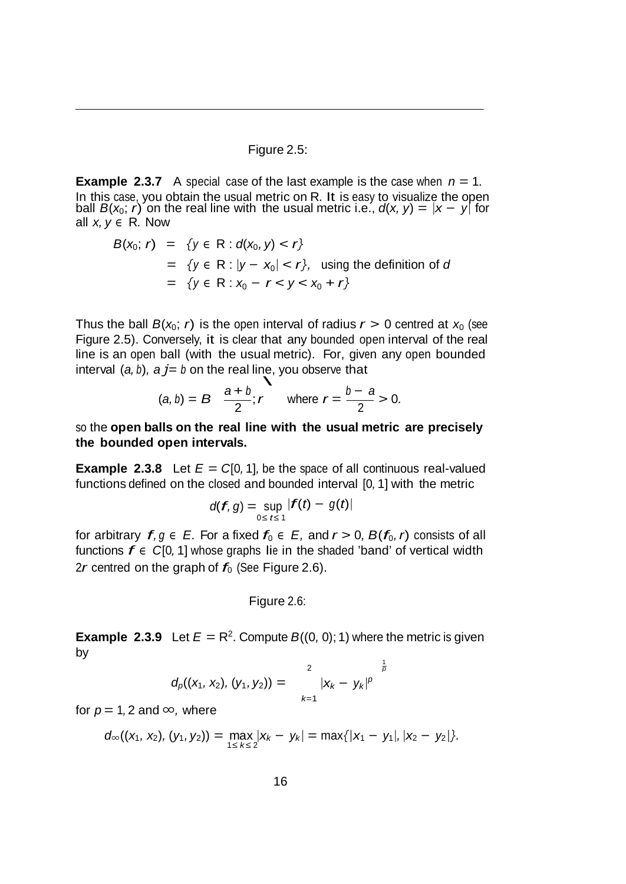Figure 2.5:

**Example** 2.3.7 A special case of the last example is the case when  $n = 1$ . In this case, you obtain the usual metric on R*.* It is easy to visualize the open ball  $B(x_0; r)$  on the real line with the usual metric i.e.,  $d(x, y) = |x - y|$  for all *x, y ∈* R*.* Now

$$
B(x_0; r) = \{ y \in R : d(x_0, y) < r \}
$$
\n
$$
= \{ y \in R : |y - x_0| < r \}, \text{ using the definition of } d
$$
\n
$$
= \{ y \in R : x_0 - r < y < x_0 + r \}
$$

Thus the ball  $B(x_0; r)$  is the open interval of radius  $r > 0$  centred at  $x_0$  (see Figure 2.5). Conversely, it is clear that any bounded open interval of the real line is an open ball (with the usual metric). For, given any open bounded interval  $(a, b)$ ,  $a j = b$  on the real line, you observe that

$$
(a, b) = B \frac{a+b}{2}; r
$$
 where  $r = \frac{b-a}{2} > 0$ .

so the **open balls on the real line with the usual metric are precisely the bounded open intervals.**

**Example 2.3.8** Let  $E = C[0, 1]$ , be the space of all continuous real-valued functions defined on the closed and bounded interval [0*,* 1] with the metric

$$
d(f,g)=\sup_{0\leq t\leq 1}|f(t)-g(t)|
$$

for arbitrary  $f, g \in E$ . For a fixed  $f_0 \in E$ , and  $r > 0$ ,  $B(f_0, r)$  consists of all functions  $f \in C[0, 1]$  whose graphs lie in the shaded 'band' of vertical width 2*r* centred on the graph of  $f_0$  (See Figure 2.6).

Figure 2.6:

**Example** 2.3.9 Let  $E = R^2$ . Compute  $B((0, 0); 1)$  where the metric is given by

$$
d_p((x_1, x_2), (y_1, y_2)) = \sum_{k=1}^{2} |x_k - y_k|^p \bigg|_{p}^{\frac{1}{p}}
$$

for  $p = 1, 2$  and  $\infty$ , where

$$
d_{\infty}((x_1, x_2), (y_1, y_2)) = \max_{1 \le k \le 2} |x_k - y_k| = \max\{|x_1 - y_1|, |x_2 - y_2|\}.
$$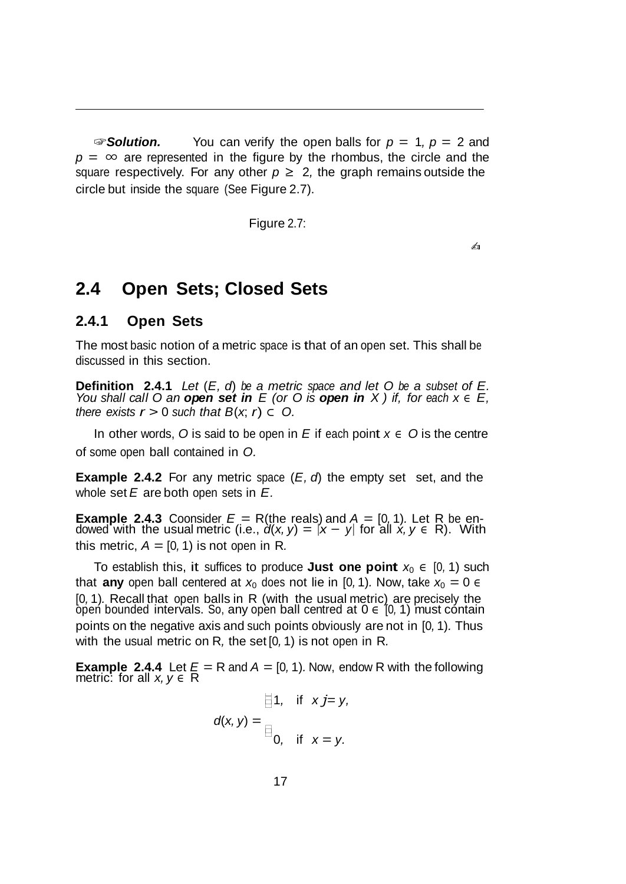☞*Solution.* You can verify the open balls for *p* = 1*, p* = 2 and  $p = \infty$  are represented in the figure by the rhombus, the circle and the square respectively. For any other  $p \ge 2$ , the graph remains outside the circle but inside the square (See Figure 2.7).

Figure 2.7:

 $\mathcal{L}_{\text{II}}$ 

## **2.4 Open Sets; Closed Sets**

### **2.4.1 Open Sets**

The most basic notion of a metric space is that of an open set. This shall be discussed in this section.

**Definition 2.4.1** Let  $(E, d)$  be a metric space and let O be a subset of E.<br>You shall call O an **open set in** E (or O is **open in** X ) if, for each  $x \in E$ , *there exists*  $r > 0$  *such that*  $B(x, r) \subset O$ .

In other words, O is said to be open in  $E$  if each point  $x \in O$  is the centre of some open ball contained in *O.*

**Example 2.4.2** For any metric space (*E, d*) the empty set set, and the whole set *E* are both open sets in *E.*

**Example 2.4.3** Coonsider  $E = R$ (the reals) and  $A = [0, 1)$ . Let R be endowed with the usual metric (i.e.,  $d(x, y) = |x - y|$  for all  $x, y \in R$ ). With this metric,  $A = [0, 1)$  is not open in R.

To establish this, it suffices to produce **Just one point**  $x_0 \in [0, 1)$  such that **any** open ball centered at  $x_0$  does not lie in [0, 1). Now, take  $x_0 = 0 \in$ [0*,* 1)*.* Recall that open balls in R (with the usual metric) are precisely the opeń bounded intervals. So, any open ball centred at 0 ∈ [0*,* 1) must contain points on the negative axis and such points obviously are not in [0*,* 1)*.* Thus with the usual metric on R*,* the set [0*,* 1) is not open in R*.*

**Example 2.4.4** Let  $E = R$  and  $A = [0, 1)$ . Now, endow R with the following metric: for all  $x, y \in R$ 

$$
\mathbf{d}(\mathbf{x}, \mathbf{y}) = \mathbf{y},
$$

$$
\mathbf{d}(\mathbf{x}, \mathbf{y}) = \mathbf{y},
$$

$$
\mathbf{d}(\mathbf{x}, \mathbf{y}) = \mathbf{y},
$$
if  $\mathbf{x} = \mathbf{y}$ .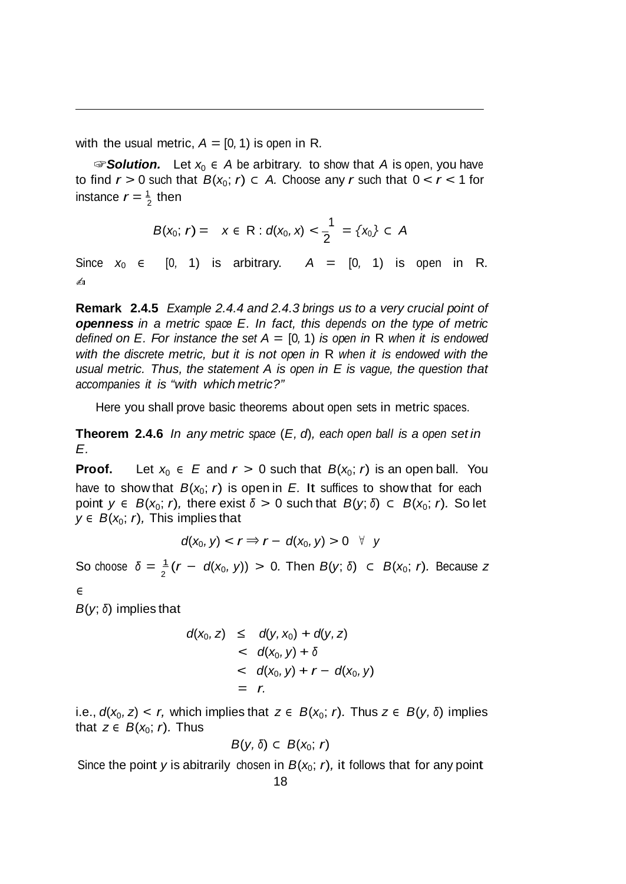with the usual metric,  $A = [0, 1)$  is open in R.

instance  $r = \frac{1}{2}$  then ☞*Solution.* Let *x*<sup>0</sup> *∈ A* be arbitrary. to show that *A* is open, you have to find  $r > 0$  such that  $B(x_0; r) \subset A$ . Choose any *r* such that  $0 < r < 1$  for

$$
B(x_0; r) = x \in R : d(x_0, x) < \frac{1}{2} = \{x_0\} \subset A
$$

Since  $x_0 \in [0, 1)$  is arbitrary.  $A = [0, 1)$  is open in R. ✍

**Remark 2.4.5** *Example 2.4.4 and 2.4.3 brings us to a very crucial point of openness in a metric space E. In fact, this depends on the type of metric defined* on *E.* For instance the set  $A = [0, 1)$  is open in R when it is endowed *with the discrete metric, but it is not open in* R *when it is endowed with the usual metric. Thus, the statement A is open in E is vague, the question that accompanies it is "with which metric?"*

Here you shall prove basic theorems about open sets in metric spaces.

**Theorem 2.4.6** *In any metric space* (*E, d*)*, each open ball is a open set in E.*

**Proof.** Let  $x_0 \in E$  and  $r > 0$  such that  $B(x_0; r)$  is an open ball. You have to show that  $B(x_0; r)$  is open in  $E$ . It suffices to show that for each *point*  $y \in B(x_0; r)$ *, there exist*  $\delta > 0$  such that  $B(y; \delta) \subset B(x_0; r)$ . So let *y* ∈ *B*( $x$ <sub>0</sub>; *r*), This implies that

$$
d(x_0, y) < r \Rightarrow r - d(x_0, y) > 0 \quad \forall \quad y
$$

So choose  $δ = \frac{1}{2}(r - d(x_0, y)) > 0$ . Then  $B(y; δ)$  ⊂  $B(x_0; r)$ . Because *z* 

*∈*

*B*(*y*; *<sup>δ</sup>*) implies that

$$
d(x_0, z) \leq d(y, x_0) + d(y, z)
$$
  

$$
< d(x_0, y) + \delta
$$
  

$$
< d(x_0, y) + r - d(x_0, y)
$$
  

$$
= r.
$$

i.e.,  $d(x_0, z) < r$ , which implies that  $z \in B(x_0; r)$ . Thus  $z \in B(y, \delta)$  implies that  $z \in B(x_0; r)$ . Thus

$$
B(y,\,\delta)\,\subset\, B(x_0;\;r)
$$

Since the point *y* is abitrarily chosen in  $B(x_0; r)$ , it follows that for any point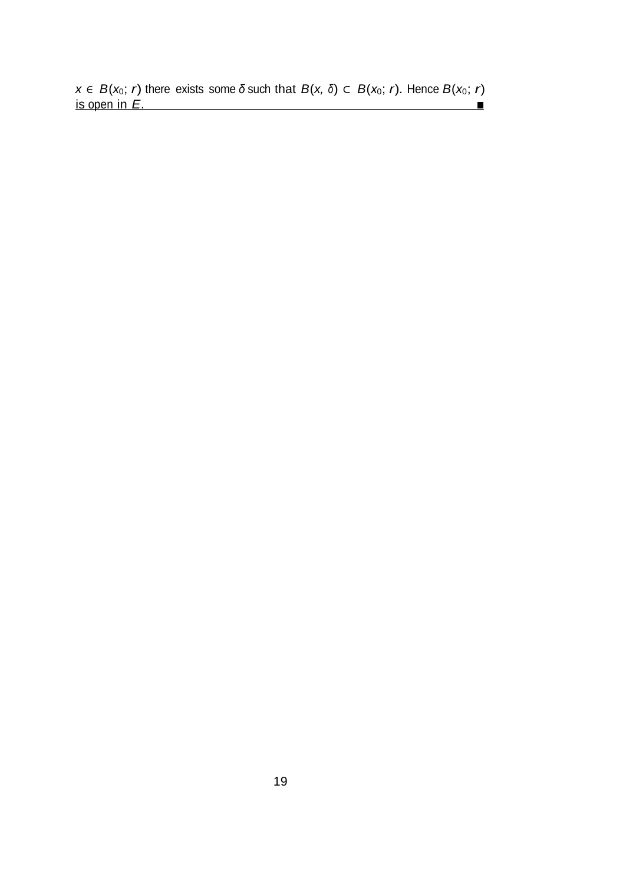$x$  *∈ B*(*x*<sub>0</sub>; *r*) there exists some *δ* such that *B*(*x*, *δ*) ⊂ *B*(*x*<sub>0</sub>; *r*)*.* Hence *B*(*x*<sub>0</sub>; *r*) is open in *E.*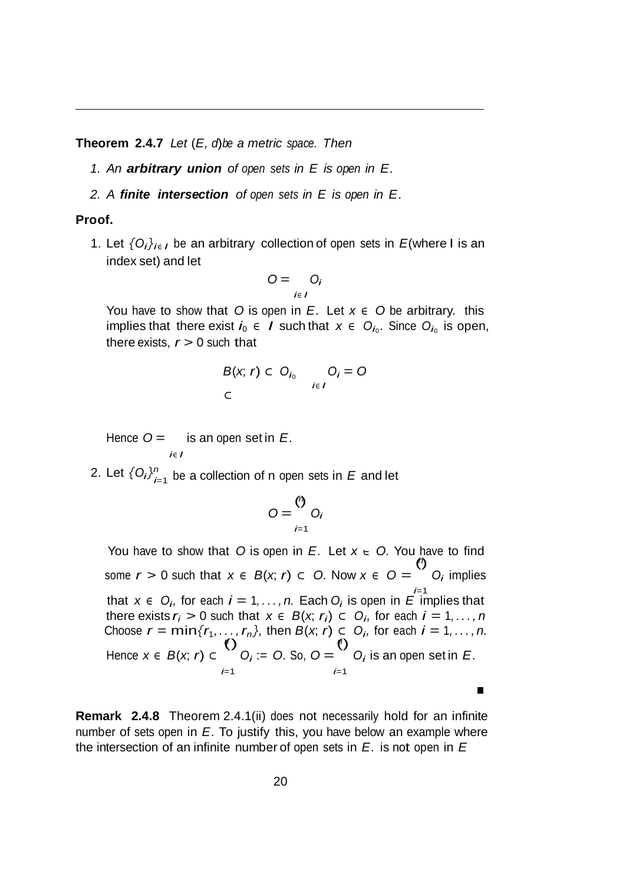**Theorem 2.4.7** *Let* (*E, d*)*be a metric space. Then*

- *1. An arbitrary union of open sets in E is open in E.*
- *2. A finite intersection of open sets in E is open in E.*

#### **Proof.**

1. Let  $\{O_i\}_{i\in I}$  be an arbitrary collection of open sets in *E*(where I is an index set) and let

$$
O = \bigcup_{i \in I} O_i
$$

You have to show that *O* is open in *E*. Let  $x \in O$  be arbitrary. this implies that there exist  $i_0$   $\in$  *I* such that  $x \in O_{i_0}$ . Since  $O_{i_0}$  is open, there exists,  $r > 0$  such that

$$
B(x; r) \subset O_{i_0} \qquad O_i = O
$$
  

$$
\subset
$$

Hence *O* = is an open set in *<sup>E</sup>*. *i<sup>∈</sup> I*

2. Let  $\{O_i\}_{i=1}^n$  be a collection of n open sets in  $E$  and let

$$
O=\bigcirc_{i=1}^{(r)} O_i
$$

*∈* You have to show that *<sup>O</sup>* is open in *<sup>E</sup>*. Let *<sup>x</sup> O.* You have to find *<sup>n</sup>*  $\ddot{\odot}$ some  $r > 0$  such that  $x \in B(x, r) \subset O$ . Now  $x \in O =$ *Oi* implies that *x* ∈ *O<sub>i</sub>*, for each *i* = 1, . *. . , n.* Each *O<sub>i</sub>* is open in *E* implies that there exists  $r_i > 0$  such that  $x \in B(x, r_i) \subset O_i$ , for each  $i = 1, \ldots, n$ Choose  $r = \min\{r_1, ..., r_n\}$ , then  $B(x, r) \subset O_i$ , for each  $i = 1, ..., n$ .  $\ddot{\text{()}}$ ()  $O_i := O$ . So,  $O =$ Hence *x <sup>∈</sup> B*(*x*; *r*) *⊂ Oi* is an open set in *E*. *i*=1 *i*=1 п

**Remark 2.4.8** Theorem 2.4.1(ii) does not necessarily hold for an infinite number of sets open in *E*. To justify this, you have below an example where the intersection of an infinite number of open sets in *E*. is not open in *E*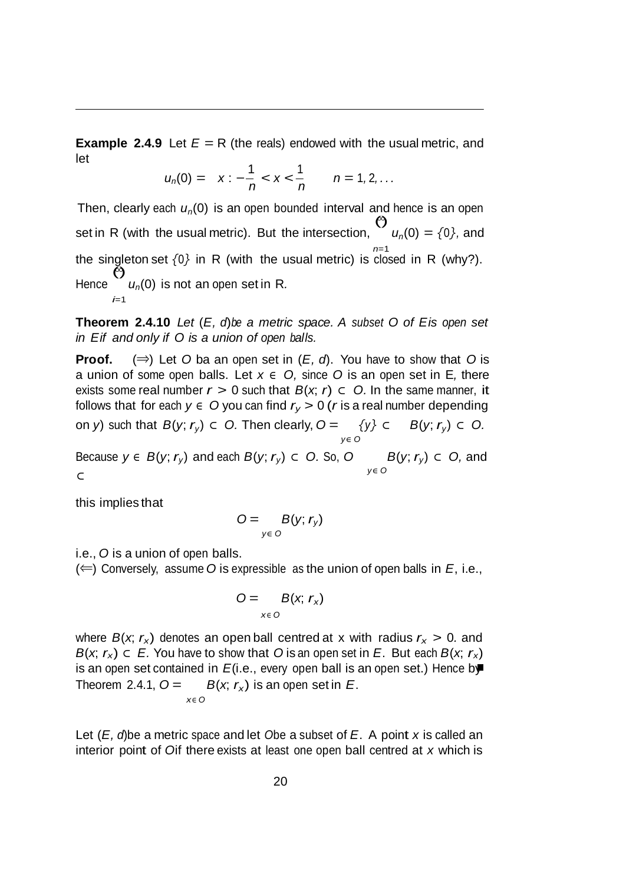**Example** 2.4.9 Let  $E = R$  (the reals) endowed with the usual metric, and let

$$
u_n(0) = x: -\frac{1}{n} < x < \frac{1}{n}
$$
  $n = 1, 2, ...$ 

Then, clearly each *un*(0) is an open bounded interval and hence is an open *<sup>∞</sup>* set in R (with the usual metric). But the intersection,  $\overset{ac}{\Theta}$  $u_n(0) = \{0\}$ *,* and *n*=1 the singleton set *{*0*}* in <sup>R</sup> (with the usual metric) is closed in <sup>R</sup> (why?). *<sup>∞</sup>* **Hence**  $\stackrel{1}{\scriptstyle (2)}$ *un*(0) is not an open set in R*. i*=1

**Theorem 2.4.10** *Let* (*E, d*)*be a metric space. A subset O of Eis open set in Eif and only if O is a union of open balls.*

**Proof.** (*⇒*) Let *O* ba an open set in (*E, d*). You have to show that *O* is a union of some open balls. Let *x ∈ O,* since *O* is an open set in E*,* there exists some real number  $r > 0$  such that  $B(x, r) \subset O$ . In the same manner, it follows that for each  $y \in O$  you can find  $r_y > 0$  (*r* is a real number depending on *y*) such that  $B(y; r_y)$  ⊂ 0. Then clearly,  $O = \{y\}$  ⊂  $B(y; r_y)$  ⊂ 0. *y∈ O*

Because  $y \in B(y; r_y)$  and each  $B(y; r_y) \subset O$ . So, O *⊂ y∈ O B*(*y*; *ry*) *⊂ O,* and

this implies that

$$
O = \underset{y \in O}{B(y; r_y)}
$$

i.e., *O* is a union of open balls.

(*⇐*) Conversely, assume *O* is expressible as the union of open balls in *E*, i.e.,

$$
O = \underset{x \in O}{B(x, r_x)}
$$

where  $B(x, r_x)$  denotes an open ball centred at x with radius  $r_x > 0$ . and *B*(*x*; *r<sub>x</sub>*) ⊂ *E*. You have to show that *O* is an open set in *E*. But each *B*(*x*; *r<sub>x</sub>*) is an open set contained in *E*(i.e., every open ball is an open set.) Hence by Theorem 2.4.1,  $O =$ *x∈ O*  $B(x, r_x)$  is an open set in *E*.

Let (*E, d*)be a metric space and let *<sup>O</sup>*be a subset of *E*. A point *x* is called an interior point of *O*if there exists at least one open ball centred at *x* which is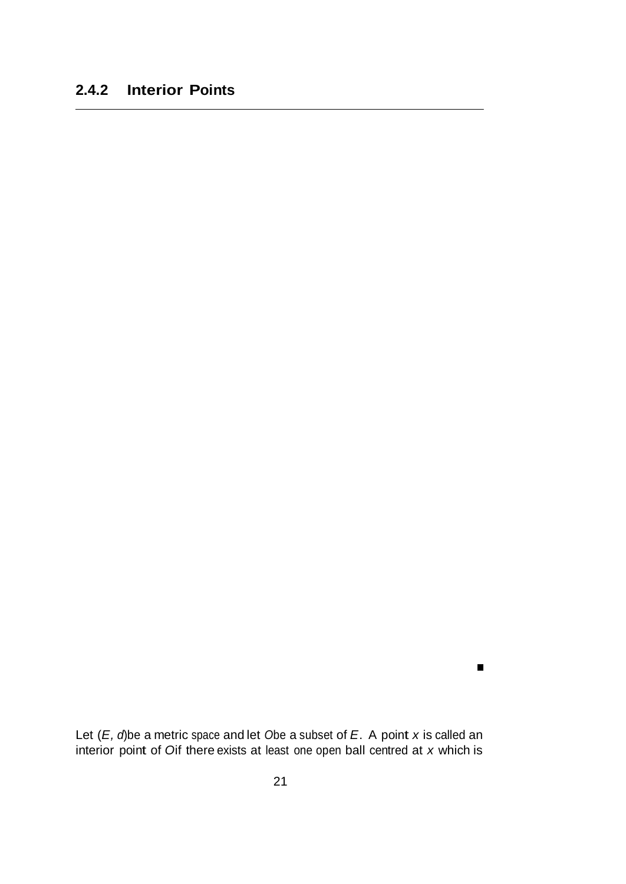$\blacksquare$ 

Let (*E, d*)be a metric space and let *<sup>O</sup>*be a subset of *E*. A point *x* is called an interior point of *O*if there exists at least one open ball centred at *x* which is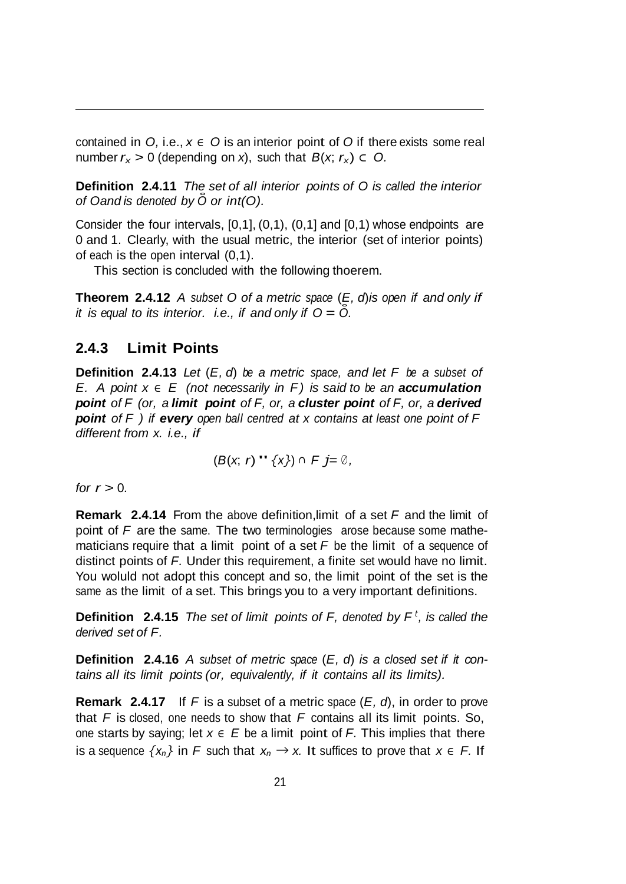contained in  $O$ , i.e.,  $x \in O$  is an interior point of  $O$  if there exists some real number  $r_x > 0$  (depending on *x*), such that  $B(x; r_x) \subset O$ .

**Definition 2.4.11** *The set of all interior points of O is called the interior of Oand is denoted by <sup>O</sup>*˚ *or int(O).*

Consider the four intervals, [0,1], (0,1), (0,1] and [0,1) whose endpoints are 0 and 1. Clearly, with the usual metric, the interior (set of interior points) of each is the open interval (0,1).

This section is concluded with the following thoerem.

**Theorem 2.4.12** *A subset O of a metric space* (*E, d*)*is open if and only if it is equal to its interior. i.e., if* and *only if*  $O = \overline{O}$ *.* 

### **2.4.3 Limit Points**

**Definition 2.4.13** *Let* (*E, d*) *be a metric space, and let F be a subset of E. A point x ∈ E (not necessarily in F) is said to be an accumulation point of F (or, a limit point of F, or, a cluster point of F, or, a derived point of F ) if every open ball centred at x contains at least one point of F different from x. i.e., if*

$$
(B(x, r) " {x}) \cap F j = \emptyset,
$$

*for*  $r > 0$ *.* 

**Remark 2.4.14** From the above definition,limit of a set *F* and the limit of point of *F* are the same. The two terminologies arose because some mathematicians require that a limit point of a set *F* be the limit of a sequence of distinct points of *F.* Under this requirement, a finite set would have no limit. You woluld not adopt this concept and so, the limit point of the set is the same as the limit of a set. This brings you to a very important definitions.

**Definition 2.4.15** *The set of limit points of F, denoted by F <sup>t</sup> , is called the derived set of F.*

**Definition 2.4.16** *A subset of metric space* (*E, d*) *is a closed set if it contains all its limit points (or, equivalently, if it contains all its limits).*

is a sequence  $\{x_n\}$  in *F* such that  $x_n \to x$ . It suffices to prove that  $x \in F$ . If **Remark 2.4.17** If *F* is a subset of a metric space (*E, d*), in order to prove that *F* is closed, one needs to show that *F* contains all its limit points. So, one starts by saying; let  $x \in E$  be a limit point of *F*. This implies that there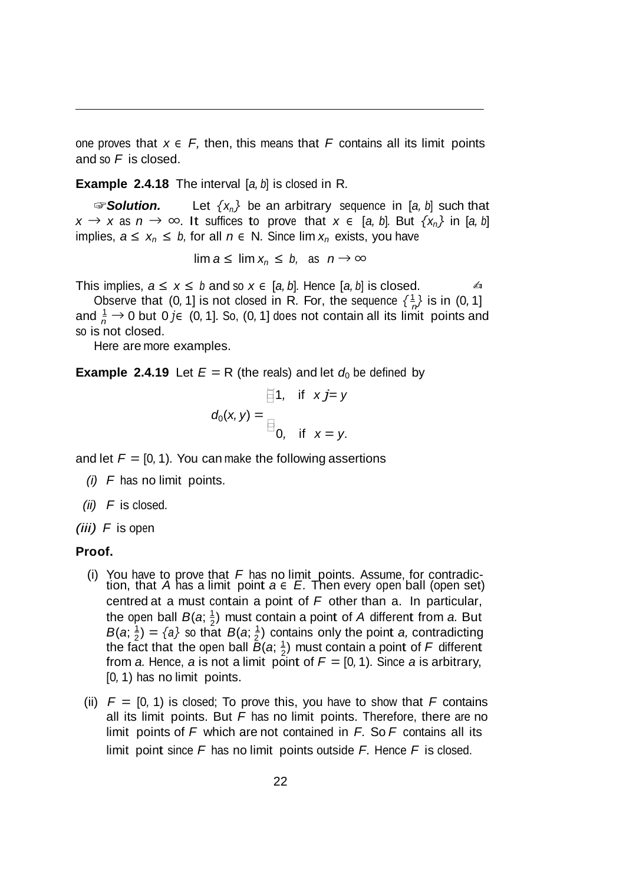one proves that  $x \in F$ , then, this means that F contains all its limit points and so *F* is closed.

**Example 2.4.18** The interval [*a, b*] is closed in R*.*

☞*Solution.* Let *{xn}* be an arbitrary sequence in [*a, b*] such that  $x \rightarrow x$  as  $n \rightarrow \infty$ . It suffices to prove that  $x \in [a, b]$ . But  $\{x_n\}$  in [a, b] implies,  $a \le x_n \le b$ , for all  $n \in \mathbb{N}$ . Since lim  $x_n$  exists, you have

$$
\lim a \leq \lim x_n \leq b, \text{ as } n \to \infty
$$

This implies,  $a \leq x \leq b$  and so  $x \in [a, b]$ . Hence  $[a, b]$  is closed.  $\qquad \qquad \text{4}$ 

Observe that (0, 1] is not closed in R. For, the sequence  $\{\frac{1}{n}\}$  is in (0, 1] and  $\frac{1}{n}$  → 0 but 0 *j*∈ (0, 1]*.* So, (0, 1] does not contain all its limit points and so is not closed.

Here are more examples.

**Example** 2.4.19 Let  $E = R$  (the reals) and let  $d_0$  be defined by

$$
\overline{\square}1, \quad \text{if} \quad x j = y
$$

$$
d_0(x, y) = \square
$$

$$
\square
$$

$$
0, \quad \text{if} \quad x = y.
$$

and let  $F = [0, 1)$ . You can make the following assertions

- *(i) F* has no limit points.
- *(ii) F* is closed.
- *(iii) F* is open

### **Proof.**

- the open ball  $B(a; \frac{1}{2})$  must contain a point of *A* different from *a*. But the fact that the open ball  $\tilde{B}(a;\frac{1}{2})$  must contain a point of F different (i) You have to prove that *<sup>F</sup>* has no limit points. Assume, for contradic- tion, that *<sup>A</sup>* has <sup>a</sup> limit point *<sup>a</sup> <sup>∈</sup> E.* Then every open ball (open set) centred at a must contain a point of *F* other than a. In particular,  $B(a; \frac{1}{2}) = \{a\}$  so that  $B(a; \frac{1}{2})$  contains only the point *a*, contradicting from *a*. Hence, *a* is not a limit point of  $F = [0, 1)$ . Since *a* is arbitrary, [0*,* 1) has no limit points.
- limit point since *F* has no limit points outside *F.* Hence *F* is closed. (ii)  $F = [0, 1)$  is closed; To prove this, you have to show that F contains all its limit points. But *F* has no limit points. Therefore, there are no limit points of *F* which are not contained in *F.* So *F* contains all its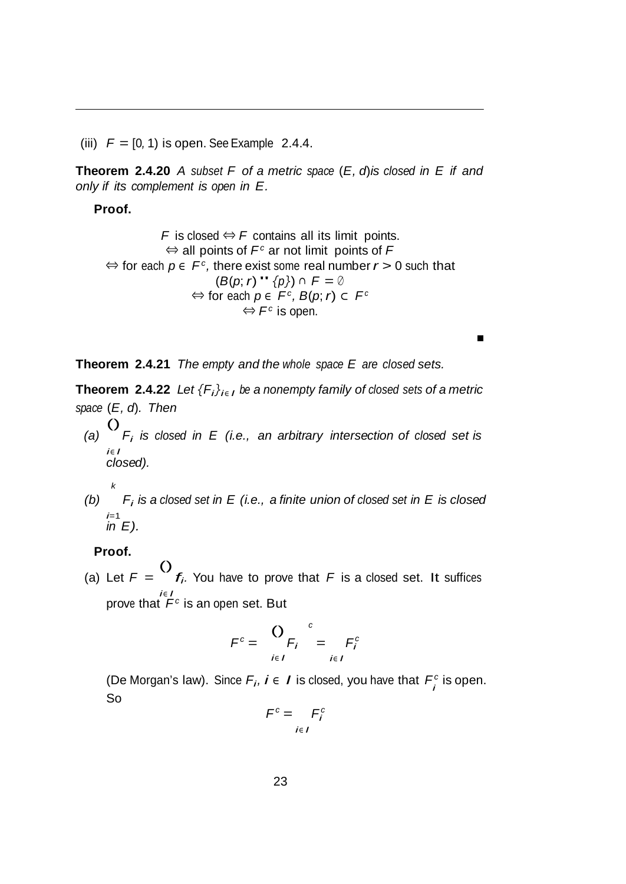(iii)  $F = [0, 1)$  is open. See Example 2.4.4.

**Theorem 2.4.20** *A subset F of a metric space* (*E, d*)*is closed in E if and only if its complement is open in E.*

**Proof.**

*F* is closed *⇔ F* contains all its limit points. *⇔* all points of *Fc* ar not limit points of *F ⇔* for each *p <sup>∈</sup> Fc,* there exist some real number *r >* 0 such that (*B*(*p*; *<sup>r</sup>*)" *{p}*) *<sup>∩</sup> <sup>F</sup>* <sup>=</sup> *<sup>∅</sup> ⇔* for each *p <sup>∈</sup> Fc, B*(*p*; *r*) *⊂ Fc ⇔ Fc* is open.

**Theorem 2.4.21** *The empty and the whole space E are closed sets.*

**Theorem 2.4.22** *Let*  ${F_i}_{i \in I}$  *be a nonempty family of closed sets of a metric space* (*E, d*)*. Then*

*(a)*  $\bigcirc$ *Fi is closed in E (i.e., an arbitrary intersection of closed set is i<sup>∈</sup> I closed).*

$$
f_{\rm{max}}
$$

*k*

*(b) Fi is a closed set in E (i.e., a finite union of closed set in E is closed i*=1 *in E).*

### **Proof.**

(a) Let  $F =$ () *fi.* You have to prove that *<sup>F</sup>*is <sup>a</sup> closed set. It suffices *i<sup>∈</sup> I* prove that  $\mathcal{F}^c$  is an open set. But

$$
F^{c} = \bigcup_{i \in I} F_{i}^{c} = F_{i}^{c}
$$

(De Morgan's law). Since  $F_i$ ,  $i \in I$  is closed, you have that  $F_i^c$  is open. So

$$
F^c = F_i^c
$$
  

$$
i \in I
$$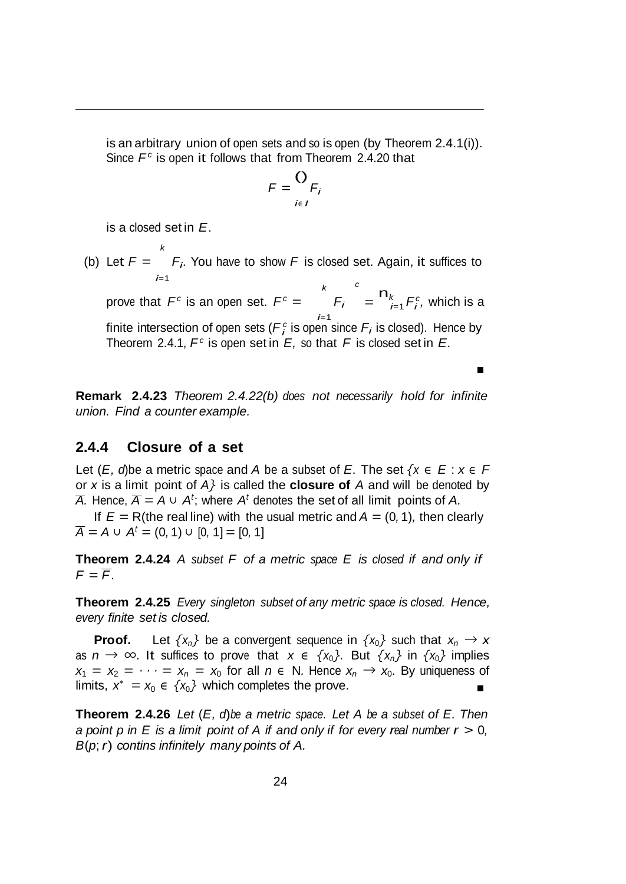is an arbitrary union of open sets and so is open (by Theorem 2.4.1(i)). Since *F<sup>c</sup>* is open it follows that from Theorem 2.4.20 that

$$
F = \bigcup_{i \in I} F_i
$$

is a closed set in *E*.

(b) Let  $F =$   $F_i$ . You have to show F is closed set. Again, it suffices to *k i*=1

prove that  $F^c$  is an open set.  $F^c = F_i = \prod_{i=1}^k F_i^c$ *i k Fi i*=1 *c* n*k*  $E_{i=1}^k F_i^c$ , which is a finite intersection of open sets ( $\mathcal{F}_i^c$  is open since  $\mathcal{F}_i$  is closed). Hence by Theorem 2.4.1,  $F^c$  is open set in  $E$ , so that  $F$  is closed set in  $E$ .

 $\blacksquare$ 

**Remark 2.4.23** *Theorem 2.4.22(b) does not necessarily hold for infinite union. Find a counter example.*

### **2.4.4 Closure of a set**

Let  $(E, d)$ be a metric space and *A* be a subset of *E*. The set  $\{x \in E : x \in F\}$ or *x* is a limit point of *A}* is called the **closure of** *A* and will be denoted by *A.* Hence,  $\overline{A} = A ∪ A^t$ ; where  $A^t$  denotes the set of all limit points of *A.* 

If  $E = R$ (the real line) with the usual metric and  $A = (0, 1)$ , then clearly  $\overline{A}$  = *A* ∪ *A*<sup>*t*</sup> = (0, 1) ∪ [0, 1] = [0, 1]

**Theorem 2.4.24** *A subset F of a metric space E is closed if and only if*  $F = \overline{F}$ .

**Theorem 2.4.25** *Every singleton subset of any metric space is closed. Hence, every finite set is closed.*

**Proof.** Let  $\{x_n\}$  be a convergent sequence in  $\{x_0\}$  such that  $x_n \to x$ as *n* → ∞. It suffices to prove that  $x \in \{x_0\}$ . But  $\{x_n\}$  in  $\{x_0\}$  implies  $x_1 = x_2 = \cdots = x_n = x_0$  for all  $n \in \mathbb{N}$ . Hence  $x_n \to x_0$ . By uniqueness of limits,  $x^* = x_0 \in \{x_0\}$  which completes the prove. Е

**Theorem 2.4.26** *Let* (*E, d*)*be a metric space. Let A be a subset of E. Then*  a point p in E is a limit point of A if and only if for every real number  $r > 0$ . *B*(*p*; *r*) *contins infinitely many points of A.*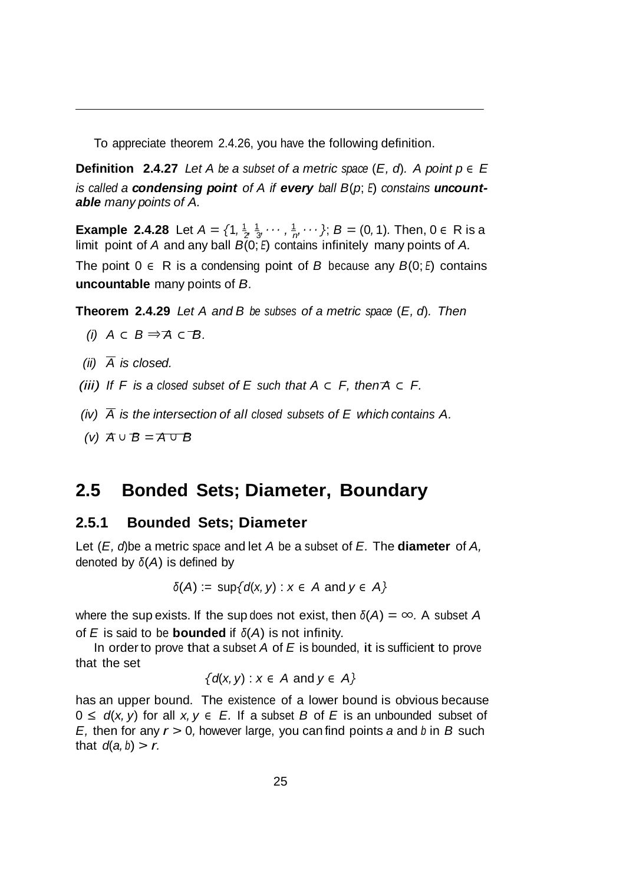To appreciate theorem 2.4.26, you have the following definition.

**Definition** 2.4.27 *Let A be a subset of a metric space* (*E*, *d*). *A point*  $p \in E$ *is called a condensing point of A if every ball B*(*p*; *<sup>E</sup>*) *constains uncountable many points of A.*

**Example 2.4.28** Let  $A = \{1, \frac{1}{2}, \frac{1}{3}, \cdots, \frac{1}{n}, \cdots\}$ ;  $B = (0, 1)$ . Then,  $0 \in R$  is a limit point of *A* and any ball *B*(0; *<sup>E</sup>*) contains infinitely many points of *A.*

The point 0 *<sup>∈</sup>* R is a condensing point of *B* because any *B*(0; *<sup>E</sup>*) contains **uncountable** many points of *B.*

**Theorem 2.4.29** *Let A and B be subses of a metric space* (*E, d*)*. Then*

(i) 
$$
A \subset B \Rightarrow A \subset B
$$
.

- $(iii)$   $\overline{A}$  *is closed.*
- *(iii) If F is a closed subset of E such that A ⊂ F, then A ⊂ F.*
- *(iv)*  $\overline{A}$  *is the intersection of all closed subsets of E which contains A.*
- *(v) A <sup>∪</sup> B* = *A <sup>∪</sup> B*

### **2.5 Bonded Sets; Diameter, Boundary**

### **2.5.1 Bounded Sets; Diameter**

Let (*E, d*)be a metric space and let *A* be a subset of *E.* The **diameter** of *A,* denoted by *<sup>δ</sup>*(*A*) is defined by

$$
\delta(A) := \sup \{ d(x, y) : x \in A \text{ and } y \in A \}
$$

where the sup exists. If the sup does not exist, then  $\delta(A) = \infty$ . A subset A of *E* is said to be **bounded** if *<sup>δ</sup>*(*A*) is not infinity.

In order to prove that a subset *A* of *E* is bounded, it is sufficient to prove that the set

$$
\{d(x, y) : x \in A \text{ and } y \in A\}
$$

has an upper bound. The existence of a lower bound is obvious because 0 *≤ d*(*x, y*) for all *x, y ∈ E.* If a subset *B* of *E* is an unbounded subset of *E,* then for any *r >* 0*,* however large, you can find points *a* and *<sup>b</sup>* in *B* such that  $d(a, b) > r$ .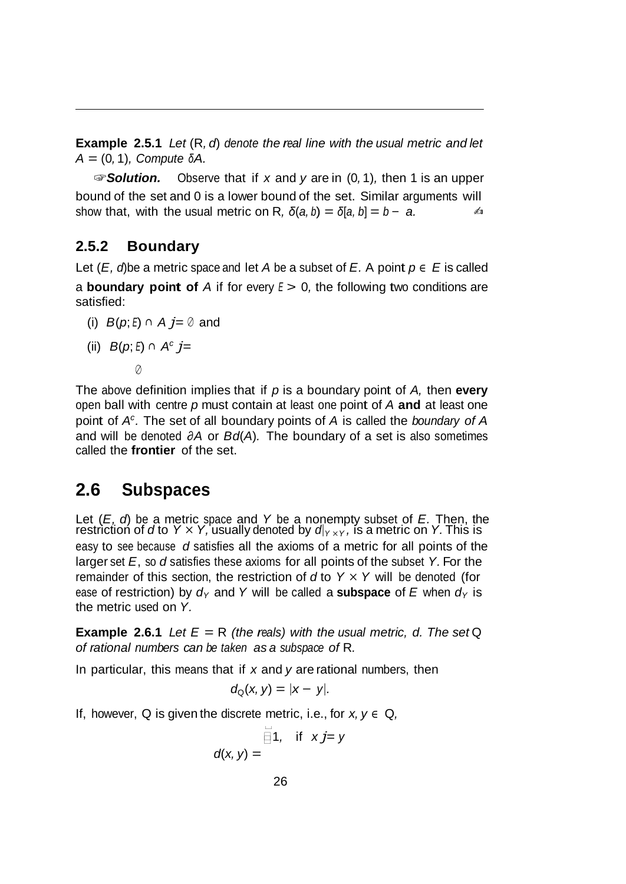**Example 2.5.1** *Let* (R*, d*) *denote the real line with the usual metric and let A* = (0*,* 1)*, Compute <sup>δ</sup>A.*

☞*Solution.* Observe that if *x* and *y* are in (0*,* 1)*,* then 1 is an upper bound of the set and 0 is a lower bound of the set. Similar arguments will show that, with the usual metric on R,  $\delta(a, b) = \delta[a, b] = b - a$ .

### **2.5.2 Boundary**

Let  $(E, d)$ be a metric space and let *A* be a subset of *E*. A point  $p \in E$  is called a **boundary point of** *A* if for every *<sup>E</sup> >* 0*,* the following two conditions are satisfied:

(i) *B*(*p*; *<sup>E</sup>*) *<sup>∩</sup> A j*= *<sup>∅</sup>* and

(ii) 
$$
B(p; E) \cap A^c j =
$$

*∅*

The above definition implies that if *p* is a boundary point of *A,* then **every**  open ball with centre *p* must contain at least one point of *A* **and** at least one point of *Ac.* The set of all boundary points of *A* is called the *boundary of A*  and will be denoted *∂A* or *Bd*(*A*)*.* The boundary of a set is also sometimes called the **frontier** of the set.

### **2.6 Subspaces**

Let (*E, d*) be a metric space and *Y* be a nonempty subset of *E.* Then, the restriction of *d* to *Y × Y,* usually denoted by *d<sup>|</sup><sup>Y</sup> <sup>×</sup><sup>Y</sup> ,* is a metric on *Y.* This is easy to see because *d* satisfies all the axioms of a metric for all points of the larger set *E*, so *d* satisfies these axioms for all points of the subset *Y.* For the remainder of this section, the restriction of  $d$  to  $Y \times Y$  will be denoted (for ease of restriction) by  $d_Y$  and Y will be called a **subspace** of E when  $d_Y$  is the metric used on *Y.*

**Example** 2.6.1 Let  $E = R$  (the reals) with the usual metric, d. The set Q *of rational numbers can be taken as a subspace of* R*.*

In particular, this means that if *x* and *y* are rational numbers, then

$$
d_{Q}(x, y) = |x - y|.
$$

If, however, Q is given the discrete metric, i.e., for  $x, y \in Q$ ,

$$
\overline{\mathbf{z}}\mathbf{1}, \quad \text{if} \quad x\mathbf{j} = y
$$

$$
d(x, y) =
$$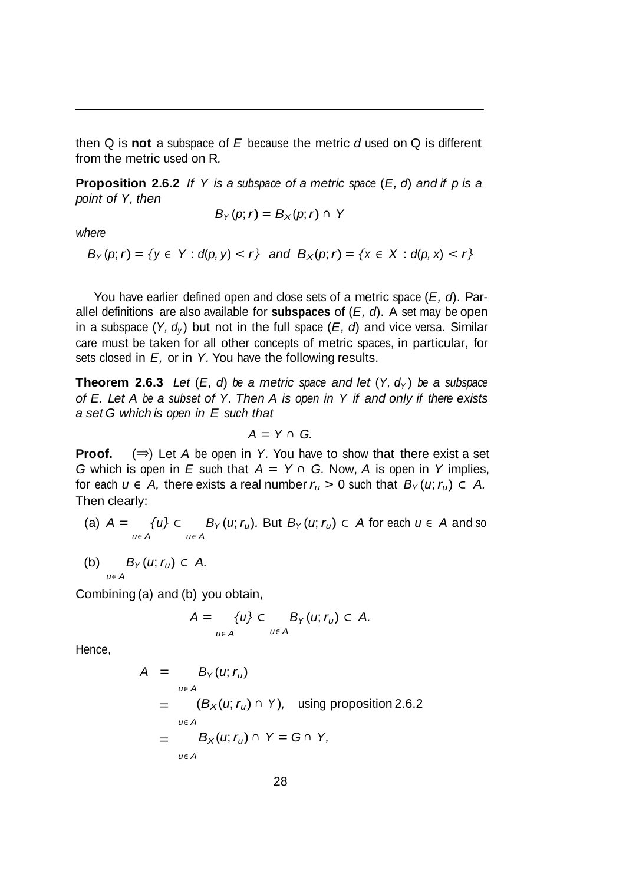then Q is **not** a subspace of *E* because the metric *d* used on Q is different from the metric used on R*.*

**Proposition 2.6.2** *If Y is a subspace of a metric space* (*E, d*) *and if p is a point of Y, then*

$$
B_Y(p; r) = B_X(p; r) \cap Y
$$

*where*

 $B_Y(p; r) = \{y \in Y : d(p, y) < r\}$  and  $B_X(p; r) = \{x \in X : d(p, x) < r\}$ 

You have earlier defined open and close sets of a metric space (*E, d*). Parallel definitions are also available for **subspaces** of (*E, d*). A set may be open in a subspace  $(Y, d_y)$  but not in the full space  $(E, d)$  and vice versa. Similar care must be taken for all other concepts of metric spaces, in particular, for sets closed in *E,* or in *Y.* You have the following results.

**Theorem 2.6.3** Let  $(E, d)$  be a metric space and let  $(Y, d_Y)$  be a subspace *of E. Let A be a subset of Y. Then A is open in Y if and only if there exists a set G which is open in E such that*

$$
A = Y \cap G.
$$

**Proof.** (*⇒*) Let *A* be open in *Y.* You have to show that there exist a set *G* which is open in *E* such that  $A = Y ∩ G$ . Now, *A* is open in *Y* implies, for each  $u \in A$ , there exists a real number  $r_u > 0$  such that  $B_Y(u; r_u) \subset A$ . Then clearly:

- $(a)$   $A =$ *u∈ A {u} ⊂ u∈ A B*<sub>Y</sub>(*u*; *r<sub>u</sub>*). But *B*<sub>Y</sub>(*u*; *r<sub>u</sub>*) ⊂ *A* for each *u* ∈ *A* and so
- (b)  $B_Y(u; r_u) \subset A$ . *u∈ A*

Combining (a) and (b) you obtain,

$$
A = \{u\} \subset B_{\gamma}(u; r_u) \subset A.
$$

Hence,

$$
A = B_{\gamma}(u; r_u)
$$
  
=  $(B_{\chi}(u; r_u) \cap Y)$ , using proposition 2.6.2  
=  $B_{\chi}(u; r_u) \cap Y = G \cap Y$ ,  
 $u \in A$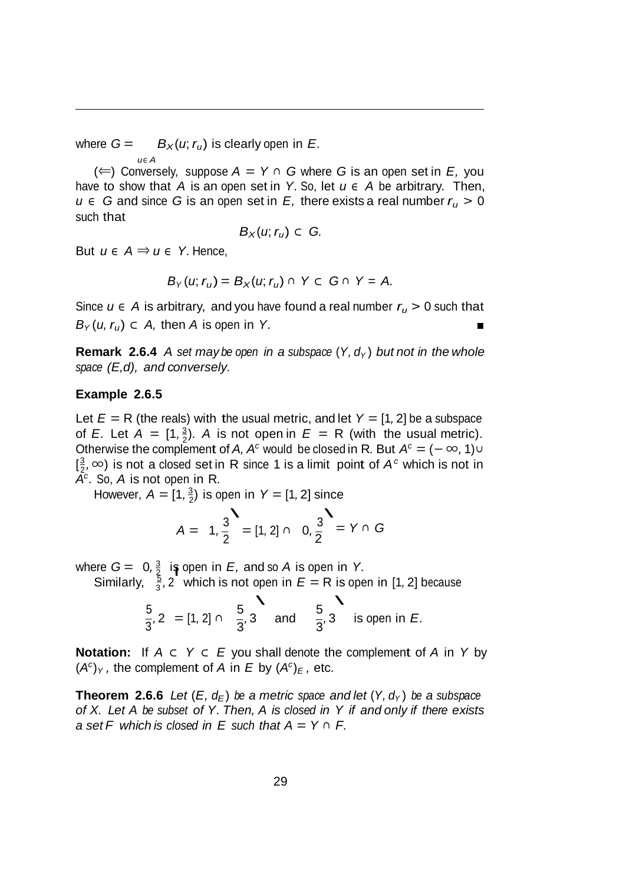where  $G =$  $B_X(u; r_u)$  is clearly open in *E.* 

 $($   $\Leftarrow$   $)$  Conversely, suppose  $A = Y ∩ G$  where *G* is an open set in *E*, you have to show that *A* is an open set in *Y*. So, let  $u \in A$  be arbitrary. Then, *u* ∈ *G* and since *G* is an open set in *E*, there exists a real number  $r_u$  > 0 such that

$$
B_X(u;r_u)\subset G.
$$

But  $u \in A \Rightarrow u \in Y$ . Hence,

*u∈ A*

$$
B_Y(u; r_u) = B_X(u; r_u) \cap Y \subset G \cap Y = A.
$$

Since  $u \in A$  is arbitrary, and you have found a real number  $r_u > 0$  such that *B*<sub> $Y$ </sub>(*u*,  $r_u$ ) ⊂ *A*, then *A* is open in *Y*.

**Remark 2.6.4** A set may be open in a subspace  $(Y, d_Y)$  but not in the whole *space (E,d), and conversely.*

#### **Example 2.6.5**

of *E.* Let  $A = \begin{bmatrix} 1, \frac{3}{2} \end{bmatrix}$ . A is not open in  $E = R$  (with the usual metric). Let  $E = R$  (the reals) with the usual metric, and let  $Y = [1, 2]$  be a subspace Otherwise the complement of *A, A<sup>c</sup>* would be closed in R. But  $A<sup>c</sup> = (-\infty, 1) \cup$ [ 3 *c* <sup>2</sup> *,∞*) is not <sup>a</sup> closed set in <sup>R</sup> since <sup>1</sup> is <sup>a</sup> limit point of *A* which is not in *Ac .* So, *A* is not open in R*.*

However,  $A = [1, \frac{3}{2})$  is open in  $Y = [1, 2]$  since  $\frac{3}{3}$ 

$$
A = 1, \frac{3}{2} = [1, 2] \cap 0, \frac{3}{2} = Y \cap G
$$

2 where  $G = 0, \frac{3}{2}$  is open in  $E$ , and so A is open in Y. ere  $G = 0, \frac{3}{2}$  is Similarly,  $\frac{5}{3}$ , 2

3

$$
\frac{5}{3}, 2 \text{ which is not open in } E = \text{R is open in [1, 2] because}
$$
\n
$$
\frac{5}{3}, 2 = [1, 2] \cap \frac{5}{3}, 3 \text{ and } \frac{5}{3}, 3 \text{ is open in } E.
$$

**Notation:** If *A ⊂ Y ⊂ E* you shall denote the complement of *A* in *Y* by  $(A<sup>c</sup>)<sub>Y</sub>$ , the complement of *A* in *E* by  $(A<sup>c</sup>)<sub>E</sub>$ , etc.

**Theorem 2.6.6** Let  $(E, d_E)$  be a metric space and let  $(Y, d_Y)$  be a subspace *of X. Let A be subset of Y. Then, A is closed in Y if and only if there exists*  $a$  set  $F$  which is closed in  $E$  such that  $A = Y \cap F$ .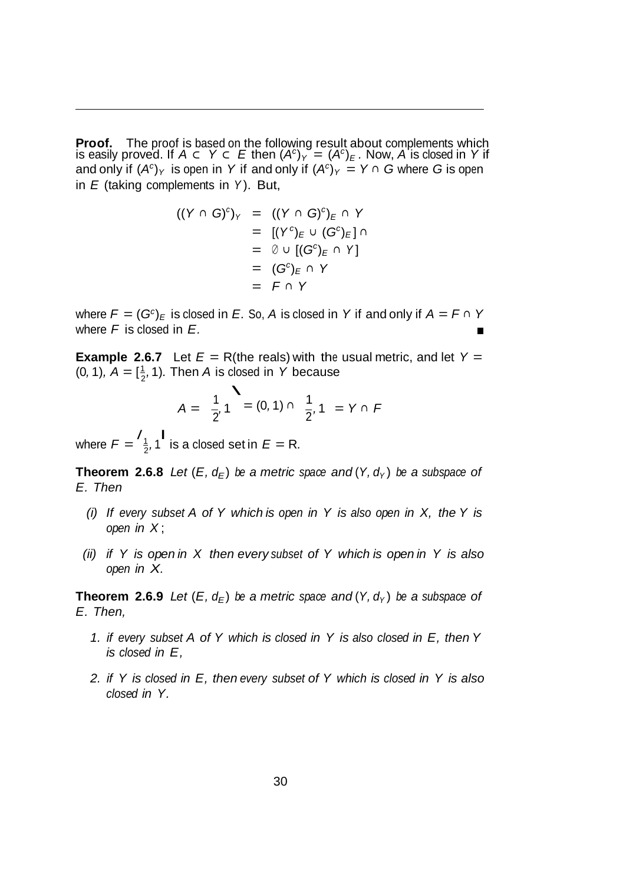**Proof.** The proof is based on the following result about complements which is easily proved. If  $A \subset Y \subset E$  then  $(A<sup>c</sup>)<sub>Y</sub> = (A<sup>c</sup>)<sub>E</sub>$ . Now, *A* is closed in *Y* if and only if  $(A^c)_Y$  is open in *Y* if and only if  $(A^c)_Y = Y \cap G$  where  $G$  is open in *E* (taking complements in *Y* ). But,

$$
((Y \cap G)^c)_Y = ((Y \cap G)^c)_E \cap Y
$$
  
\n
$$
= [(Y^c)_E \cup (G^c)_E] \cap Y
$$
  
\n
$$
= \emptyset \cup [(G^c)_E \cap Y]
$$
  
\n
$$
= (G^c)_E \cap Y
$$
  
\n
$$
= F \cap Y
$$

where  $F = (G^c)_E$  is closed in *E*. So, *A* is closed in *Y* if and only if  $A = F \cap Y$ where *F* is closed in *E.*

(0, 1),  $A = [\frac{1}{2}, 1)$ . Then *A* is closed in *Y* because<br> $\frac{1}{2} \left( \frac{1}{2} \right) = (0, 1) \cdot 1$ **Example 2.6.7** Let  $E = R$ (the reals) with the usual metric, and let  $Y =$ 

$$
A = \frac{1}{2}, 1 = (0, 1) \cap \frac{1}{2}, 1 = Y \cap F
$$

where  $F = \begin{pmatrix} 1 \\ 1 \\ 2 \end{pmatrix}$ , 1 is a closed set in  $E = R$ .

**Theorem 2.6.8** *Let*  $(E, d_E)$  *be a metric space and*  $(Y, d_Y)$  *be a subspace of E. Then*

- *(i) If every subset A of Y which is open in Y is also open in X, the Y is open in X* ;
- *(ii) if Y is open in X then every subset of Y which is open in Y is also open in X.*

**Theorem 2.6.9** *Let*  $(E, d_F)$  *be a metric space and*  $(Y, d_Y)$  *be a subspace of E. Then,*

- *1. if every subset A of Y which is closed in Y is also closed in E, then Y is closed in E,*
- *2. if Y is closed in E, then every subset of Y which is closed in Y is also closed in Y.*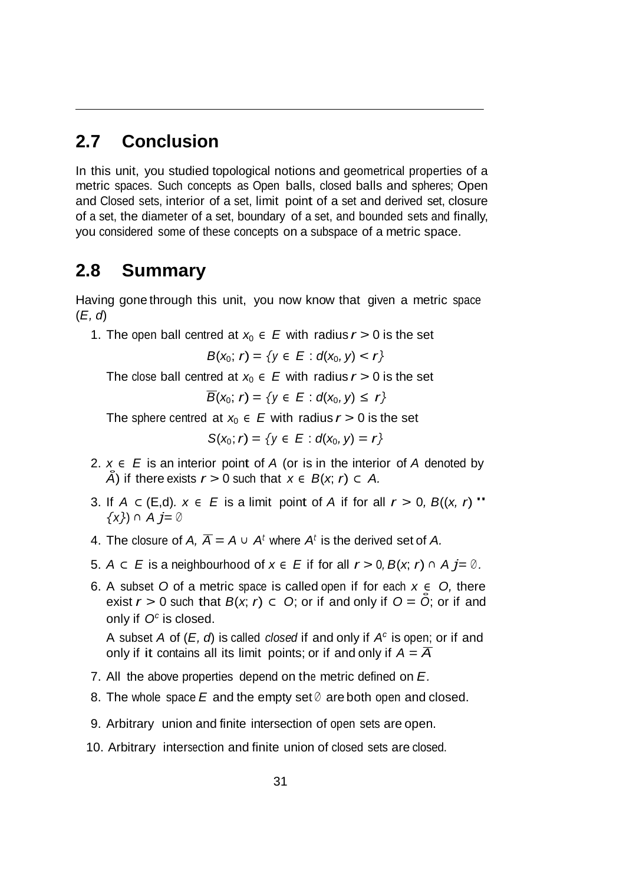## **2.7 Conclusion**

In this unit, you studied topological notions and geometrical properties of a metric spaces. Such concepts as Open balls, closed balls and spheres; Open and Closed sets, interior of a set, limit point of a set and derived set, closure of a set, the diameter of a set, boundary of a set, and bounded sets and finally, you considered some of these concepts on a subspace of a metric space.

## **2.8 Summary**

Having gone through this unit, you now know that given a metric space (*E, d*)

1. The open ball centred at  $x_0 \in E$  with radius  $r > 0$  is the set

$$
B(x_0; r) = \{y \in E : d(x_0, y) < r\}
$$

The close ball centred at  $x_0 \in E$  with radius  $r > 0$  is the set

 $\overline{B}(x_0; r) = \{y \in E : d(x_0, y) \leq r\}$ 

The sphere centred at  $x_0 \in E$  with radius  $r > 0$  is the set

*S*(*x*<sub>0</sub>; *r*) = {*y*  $\in$  *E* : *d*(*x*<sub>0</sub>, *y*) = *r*}

- 2. *x <sup>∈</sup> E* is an interior point of *A* (or is in the interior of *A* denoted by *A* $)$  if there exists *r* > 0 such that *x*  $\in$  *B*(*x*; *r*) ⊂ *A*.
- 3. If *<sup>A</sup> <sup>⊂</sup>* (E,d)*. <sup>x</sup> <sup>∈</sup> <sup>E</sup>* is <sup>a</sup> limit point of *<sup>A</sup>* if for all *<sup>r</sup> <sup>&</sup>gt;* <sup>0</sup>*, <sup>B</sup>*((*x, <sup>r</sup>*)" *{x}*) *<sup>∩</sup> A j*= *<sup>∅</sup>*
- 4. The closure of  $A$ ,  $\overline{A} = A \cup A^t$  where  $A^t$  is the derived set of A.
- 5. *A*  $\subset$  *E* is a neighbourhood of  $x \in E$  if for all  $r > 0$ ,  $B(x, r) \cap A$   $j = \emptyset$ .
- 6. A subset *O* of a metric space is called open if for each *x ∈ O,* there exist  $r > 0$  such that  $B(x, r) \subset O$ ; or if and only if  $O = O$ ; or if and only if *Oc* is closed.

A subset *A* of (*E, d*) is called *closed* if and only if *Ac* is open; or if and only if it contains all its limit points; or if and only if  $A = \overline{A}$ 

- 7. All the above properties depend on the metric defined on *E.*
- 8. The whole space *E* and the empty set *<sup>∅</sup>* are both open and closed.
- 9. Arbitrary union and finite intersection of open sets are open.
- 10. Arbitrary intersection and finite union of closed sets are closed.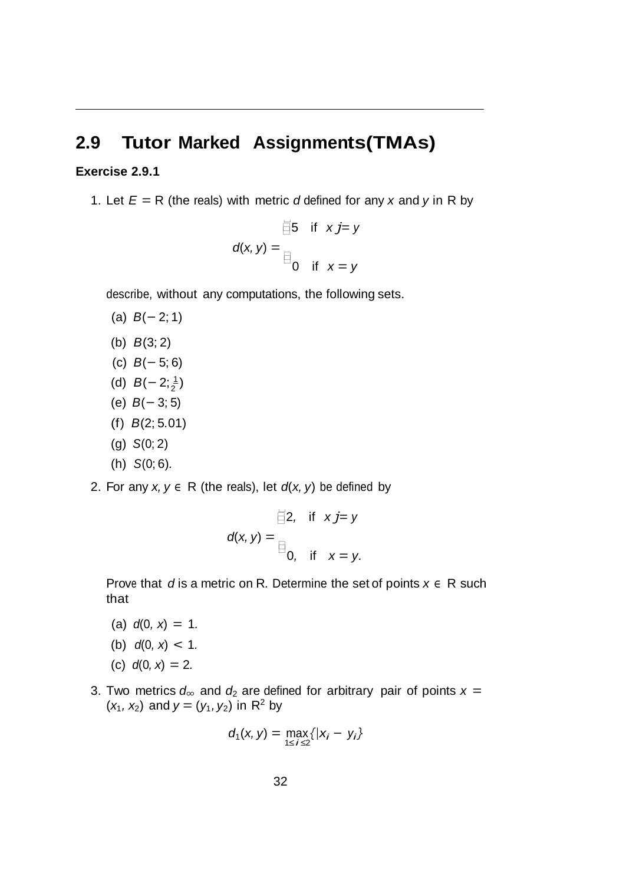## **2.9 Tutor Marked Assignments(TMAs)**

#### **Exercise 2.9.1**

1. Let  $E = R$  (the reals) with metric *d* defined for any *x* and *y* in R by

$$
\overline{\text{S}} = \text{S} \quad \text{if} \quad x \text{ } j = y
$$
\n
$$
d(x, y) = \text{S} \quad \text{if} \quad x = y
$$

describe, without any computations, the following sets.

- (a) *B*(*−* 2; 1)
- (b) *B*(3; 2)
- (c) *B*(*−* 5; 6)
- (d)  $B(-2;\frac{1}{2})$
- (e) *B*(*−* 3; 5)
- (f) *B*(2; 5*.*01)
- (g) *S*(0; 2)
- (h) *S*(0; 6)*.*
- 2. For any  $x, y \in R$  (the reals), let  $d(x, y)$  be defined by

$$
\overrightarrow{f}(x, y) = \begin{cases} 2, & \text{if } x j = y \\ 0, & \text{if } x = y. \end{cases}
$$

Prove that *d* is a metric on R*.* Determine the set of points *x ∈* R such that

- $d(0, x) = 1.$
- (b)  $d(0, x) < 1$ .
- (c)  $d(0, x) = 2$ .
- 3. Two metrics  $d_{\infty}$  and  $d_2$  are defined for arbitrary pair of points  $x =$  $(x_1, x_2)$  and  $y = (y_1, y_2)$  in R<sup>2</sup> by

$$
d_1(x, y) = \max_{1 \le i \le 2} \{|x_i - y_i\}
$$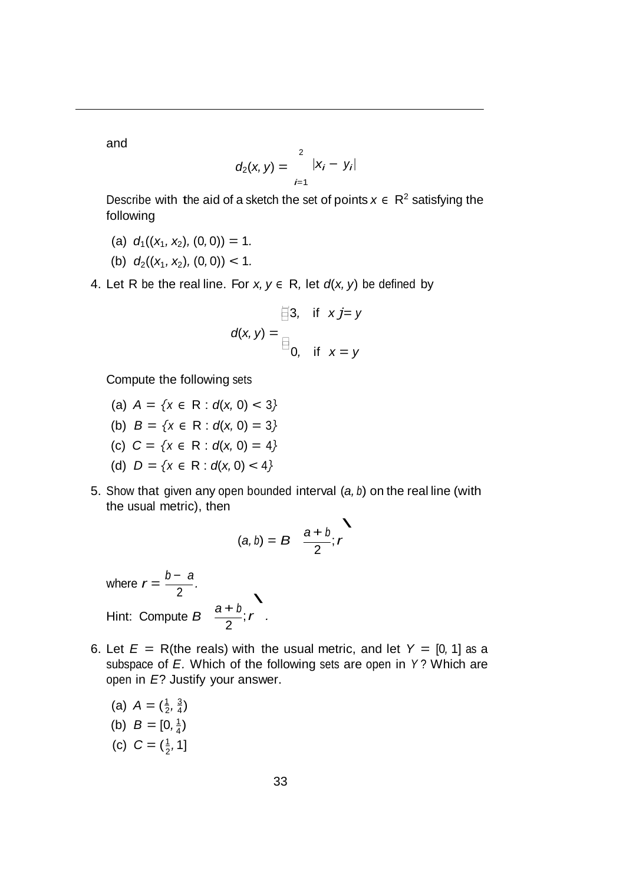and

$$
d_2(x, y) = \sum_{i=1}^{2} |x_i - y_i|
$$

Describe with the aid of a sketch the set of points  $x \in \mathbb{R}^2$  satisfying the following

- (a)  $d_1((x_1, x_2), (0, 0)) = 1$ .
- (b)  $d_2((x_1, x_2), (0, 0)) < 1$ .

4. Let R be the real line. For  $x, y \in R$ , let  $d(x, y)$  be defined by

$$
\overrightarrow{=}3, \quad \text{if} \quad x \textit{j} = \textit{y}
$$
\n
$$
d(x, y) = \overrightarrow{=}0, \quad \text{if} \quad x = \textit{y}
$$

Compute the following sets

- (a)  $A = \{x \in \mathbb{R} : d(x, 0) < 3\}$
- (b)  $B = \{x \in \mathbb{R} : d(x, 0) = 3\}$
- (c) *C* = *{<sup>x</sup> <sup>∈</sup>* R : *d*(*x,* 0) = <sup>4</sup>*}*
- (d)  $D = \{x \in \mathbb{R} : d(x, 0) < 4\}$
- 5. Show that given any open bounded interval (*a, <sup>b</sup>*) on the real line (with the usual metric), then

$$
(a, b) = B \frac{a+b}{2}; r
$$

where  $r = \frac{b - a}{2}$ . Hint: Compute  $B \frac{a+b}{2}$  $\overline{\phantom{0}}$  $\frac{r}{2}$ ; *r* .

- 6. Let  $E = R$ (the reals) with the usual metric, and let  $Y = [0, 1]$  as a subspace of *E.* Which of the following sets are open in *Y* ? Which are open in *E*? Justify your answer.
	- (b)  $B = [0, \frac{1}{4})$ (c)  $C = (\frac{1}{2}, 1]$ (a)  $A = (\frac{1}{2}, \frac{3}{4})$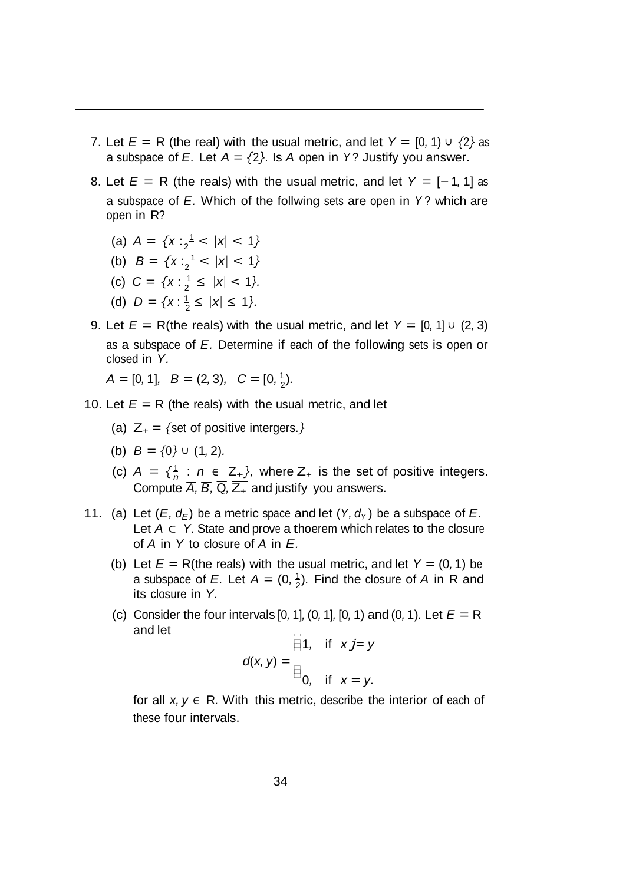- 7. Let  $E = R$  (the real) with the usual metric, and let  $Y = [0, 1] \cup \{2\}$  as a subspace of *E*. Let  $A = \{2\}$ . Is *A* open in *Y*? Justify you answer.
- 8. Let  $E = R$  (the reals) with the usual metric, and let  $Y = [-1, 1]$  as a subspace of *E.* Which of the follwing sets are open in *Y* ? which are open in R?
	- (a)  $A = \{x : \frac{1}{2} < |x| < 1\}$
	- (b)  $B = \{x : \frac{1}{2} < |x| < 1\}$
	- (c)  $C = \{x : \frac{1}{2} \le |x| < 1\}.$
	- (d)  $D = \{x : \frac{1}{2} \le |x| \le 1\}.$
- 9. Let  $E = R$ (the reals) with the usual metric, and let  $Y = [0, 1] \cup (2, 3)$ as a subspace of *E.* Determine if each of the following sets is open or closed in *Y.*

 $A = [0, 1], B = (2, 3), C = [0, \frac{1}{2}).$ 

- 10. Let  $E = R$  (the reals) with the usual metric, and let
	- (a)  $Z_+ = \{$ set of positive intergers.*}*
	- (b) *B* = *{*0*} <sup>∪</sup>* (1*,* 2)*.*
	- (c)  $A = \{\frac{1}{n} : n \in \mathbb{Z}_+\}$ , where  $Z_+$  is the set of positive integers. Compute  $\overline{A}$ ,  $\overline{B}$ ,  $\overline{Q}$ ,  $\overline{Z_+}$  and justify you answers.
- 11. (a) Let  $(E, d_F)$  be a metric space and let  $(Y, d_Y)$  be a subspace of *E*. Let *A ⊂ Y.* State and prove a thoerem which relates to the closure of *A* in *Y* to closure of *A* in *E.*
	- a subspace of *E*. Let  $A = (0, \frac{1}{2})$ . Find the closure of *A* in R and (b) Let  $E = R$ (the reals) with the usual metric, and let  $Y = (0, 1)$  be its closure in *Y.*
	- $\Box$ (c) Consider the four intervals [0*,* 1]*,* (0*,* 1]*,* [0*,* 1) and (0*,* 1)*.* Let *E* = R and let

$$
d(x, y) = \begin{cases} 1, & \text{if } x j = y \\ 0, & \text{if } x = y. \end{cases}
$$

for all  $x, y \in R$ . With this metric, describe the interior of each of these four intervals.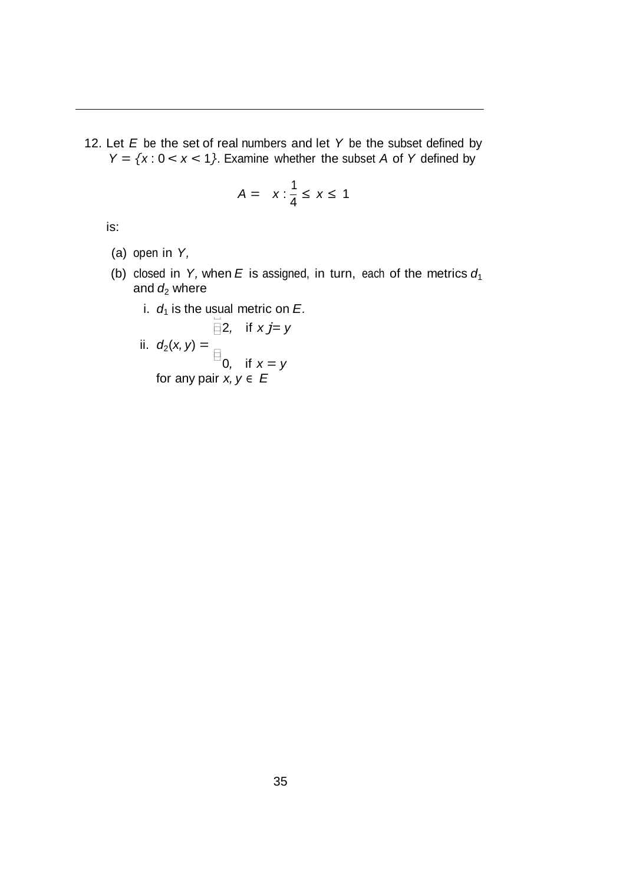12. Let *E* be the set of real numbers and let *Y* be the subset defined by  $Y = \{x : 0 < x < 1\}$ . Examine whether the subset *A* of *Y* defined by

$$
A = x : \frac{1}{4} \leq x \leq 1
$$

is:

- (a) open in *Y,*
- (b) closed in *Y*, when *E* is assigned, in turn, each of the metrics  $d_1$ and  $d_2$  where
	- i.  $d_1$  is the usual metric on  $E$ .

ii. 
$$
d_2(x, y) = \square
$$
  
\n
$$
\square
$$
 or 
$$
\square
$$
  
\n
$$
\square
$$
 or any pair  $x, y \in E$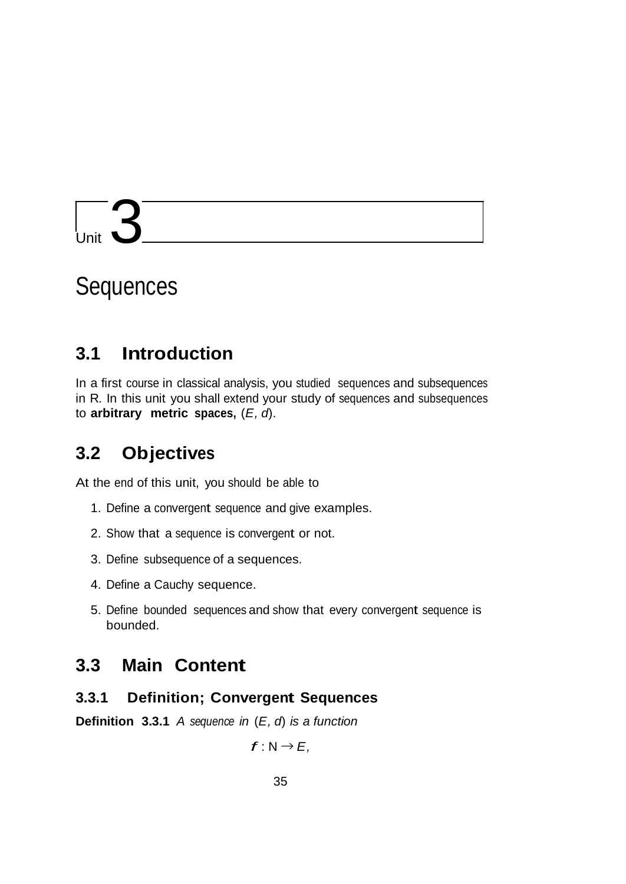## Unit  $\mathbf{S}$

## **Sequences**

## **3.1 Introduction**

In a first course in classical analysis, you studied sequences and subsequences in R*.* In this unit you shall extend your study of sequences and subsequences to **arbitrary metric spaces,** (*E, d*).

## **3.2 Objectives**

At the end of this unit, you should be able to

- 1. Define a convergent sequence and give examples.
- 2. Show that a sequence is convergent or not.
- 3. Define subsequence of a sequences.
- 4. Define a Cauchy sequence.
- 5. Define bounded sequences and show that every convergent sequence is bounded.

## **3.3 Main Content**

#### **3.3.1 Definition; Convergent Sequences**

**Definition 3.3.1** *A sequence in* (*E, d*) *is a function*

$$
f: N \to E,
$$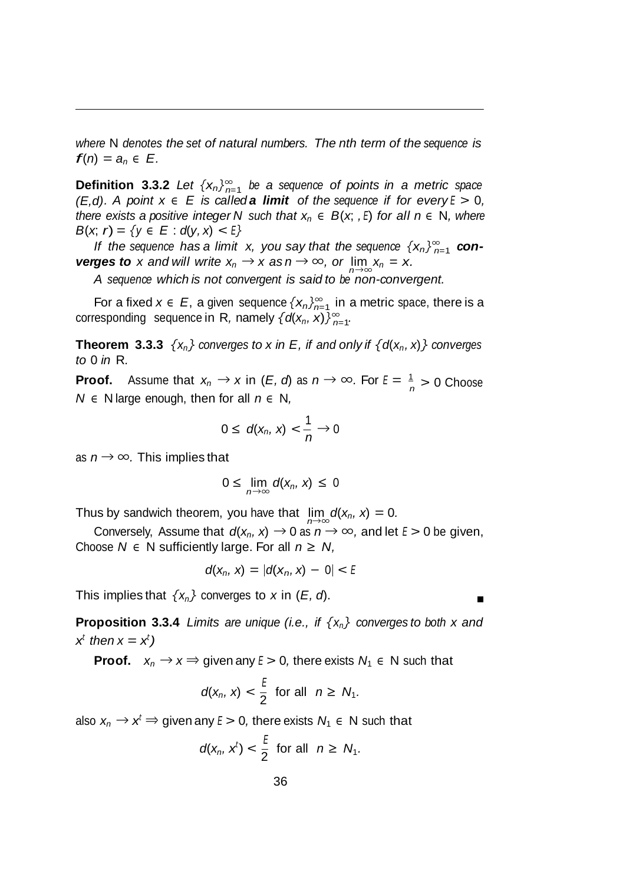*where* N *denotes the set of natural numbers. The nth term of the sequence is*  $f(n) = a_n \in E$ .

*n*=1 **Definition 3.3.2** *Let {xn}<sup>∞</sup> be a sequence of points in a metric space (E,d). A point*  $x \in E$  *is called a limit of the sequence if for every*  $E > 0$ , *there exists a positive integer N such that*  $x_n \in B(x, E)$  *for all*  $n \in N$ *, where B*(*x*; *r*) = {*y*  $\in$  *E* : *d*(*y*, *x*) < *E*}

*If the sequence has a limit x, you say that the sequence*  $\{x_n\}_{n=1}^{\infty}$  *converges to x and will write*  $x_n \to x$  *as*  $n \to \infty$ *, or*  $\lim_{n \to \infty} x_n = x$ .

*A sequence which is not convergent is said to be non-convergent.*

*n*=1 For a fixed *x ∈ E*, a given sequence *{xn}<sup>∞</sup>* in a metric space, there is a  $\alpha$ corresponding sequence in R, namely  $\{d(x_n, x)\}_{n=1}^{\infty}$ .

**Theorem** 3.3.3  $\{x_n\}$  converges to *x* in *E*, if and only if  $\{d(x_n, x)\}$  converges *to* 0 *in* R*.*

**Proof.** Assume that  $x_n \to x$  in  $(E, d)$  as  $n \to \infty$ . For  $E = \frac{1}{n} > 0$  Choose *N ∈* N large enough, then for all *n ∈* N*,*

$$
0\leq d(x_n,x)<\frac{1}{n}\to 0
$$

as *n → ∞.* This implies that

$$
0\leq \lim_{n\to\infty}d(x_n, x)\leq 0
$$

Thus by sandwich theorem, you have that  $\lim d(x_n, x) = 0$ *.* 

Conversely, Assume that  $d(x_n, x) \to 0$  as  $n \to \infty$ , and let  $E > 0$  be given, Choose  $N \in N$  sufficiently large. For all  $n \geq N$ ,

$$
d(x_n, x) = |d(x_n, x) - 0| < E
$$

This implies that  $\{x_n\}$  converges to *x* in  $(E, d)$ .

**Proposition 3.3.4** *Limits are unique (i.e., if {xn} converges to both x and*  $x^t$  *then*  $x = x^t$ )

**Proof.**  $x_n \to x \Rightarrow$  given any  $E > 0$ , there exists  $N_1 \in N$  such that

$$
d(x_n, x) < \frac{\varepsilon}{2} \quad \text{for all} \quad n \geq N_1.
$$

also  $x_n \to x^t \Rightarrow$  given any  $E > 0$ , there exists  $N_1 \in N$  such that

$$
d(x_n, x^t) < \frac{t}{2} \quad \text{for all} \quad n \geq N_1.
$$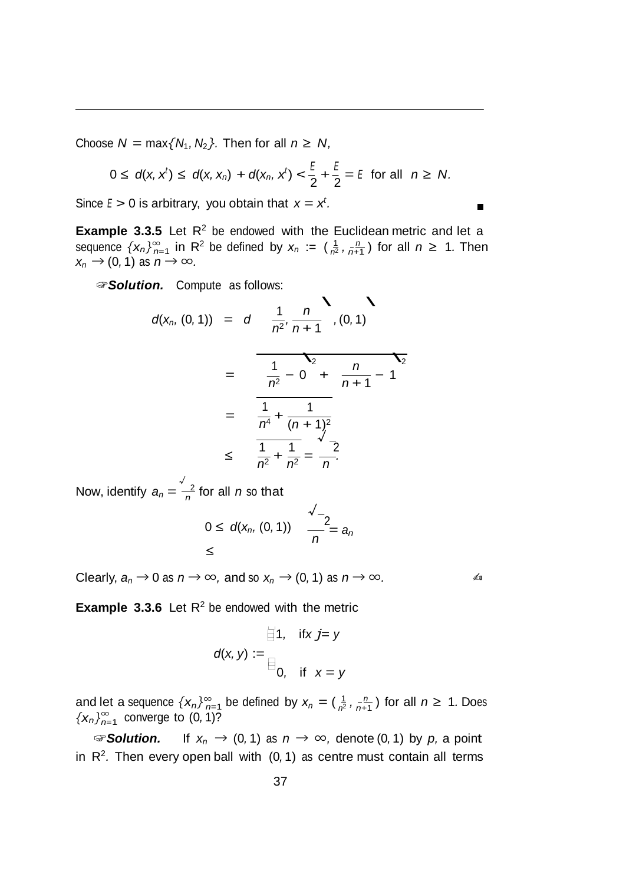Choose  $N = \max\{N_1, N_2\}$ . Then for all  $n \ge N$ ,

$$
0 \le d(x, x^t) \le d(x, x_n) + d(x_n, x^t) < \frac{E}{2} + \frac{E}{2} = E
$$
 for all  $n \ge N$ .

Since  $E > 0$  is arbitrary, you obtain that  $x = x^t$ .

**Example** 3.3.5 Let  $R^2$  be endowed with the Euclidean metric and let a sequence  $\{x_n\}_{n=1}^{\infty}$  in R<sup>2</sup> be defined by  $x_n := (\frac{1}{n^2}, \frac{n}{n+1})$  for all  $n \ge 1$ . Then  $x_n \to (0, 1)$  as  $n \to \infty$ .

☞*Solution.* Compute as follows:

*n.* Compute as follows:  
\n
$$
d(x_n, (0, 1)) = d \frac{1}{n^2}, \frac{n}{n+1}, (0, 1)
$$
\n
$$
= \frac{1}{n^2} - 0 + \frac{n}{n+1} - 1
$$
\n
$$
= \frac{1}{n^4} + \frac{1}{(n+1)^2}
$$
\n
$$
\leq \frac{1}{n^2} + \frac{1}{n^2} = \frac{2}{n}.
$$

*n √* Now, identify  $a_n = \frac{2}{n}$  for all *n* so that

$$
0 \leq d(x_n, (0, 1)) \quad \frac{\sqrt{-2}}{n} = a_n
$$

Clearly,  $a_n \to 0$  as  $n \to \infty$ , and so  $x_n \to (0, 1)$  as  $n \to \infty$ .

**Example** 3.3.6 Let  $R^2$  be endowed with the metric

$$
\text{if } x \text{ } j = y
$$
\n
$$
d(x, y) := \text{if } x = y
$$
\n
$$
\text{if } x = y
$$

 ${X_n}$  $_{n=1}^{\infty}$  converge to  $(0, 1)$ ? and let a sequence  $\{x_n\}_{n=1}^{\infty}$  be defined by  $x_n = (\frac{1}{n^2}, \frac{n}{n+1})$  for all  $n \ge 1$ . Does converge to  $(0, 1)$ ?

☞*Solution.* If *xn →* (0*,* 1) as *n → ∞,* denote (0*,* 1) by *p,* a point in  $R^2$ . Then every open ball with  $(0, 1)$  as centre must contain all terms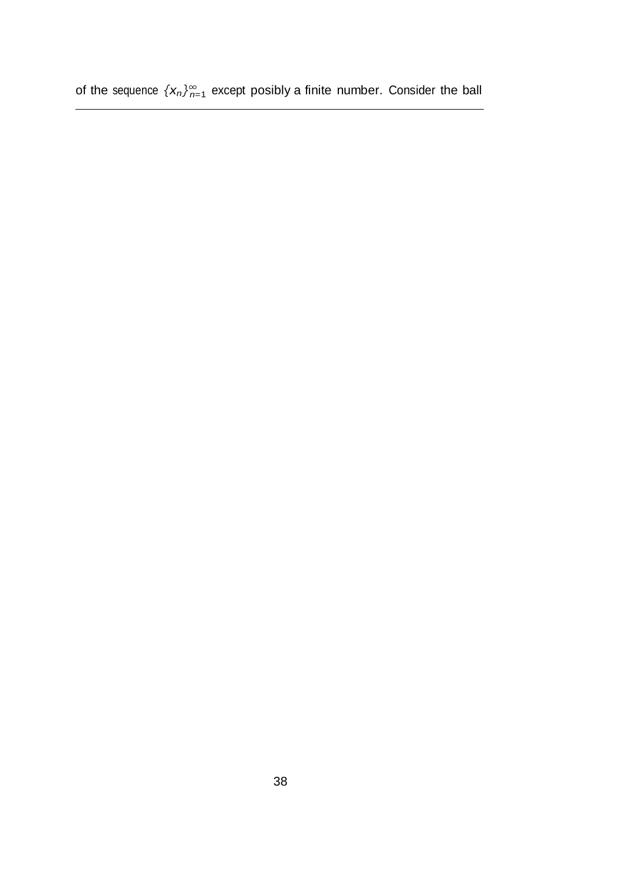of the sequence  $\{x_n\}_{n=1}^{\infty}$  except posibly a finite number. Consider the ball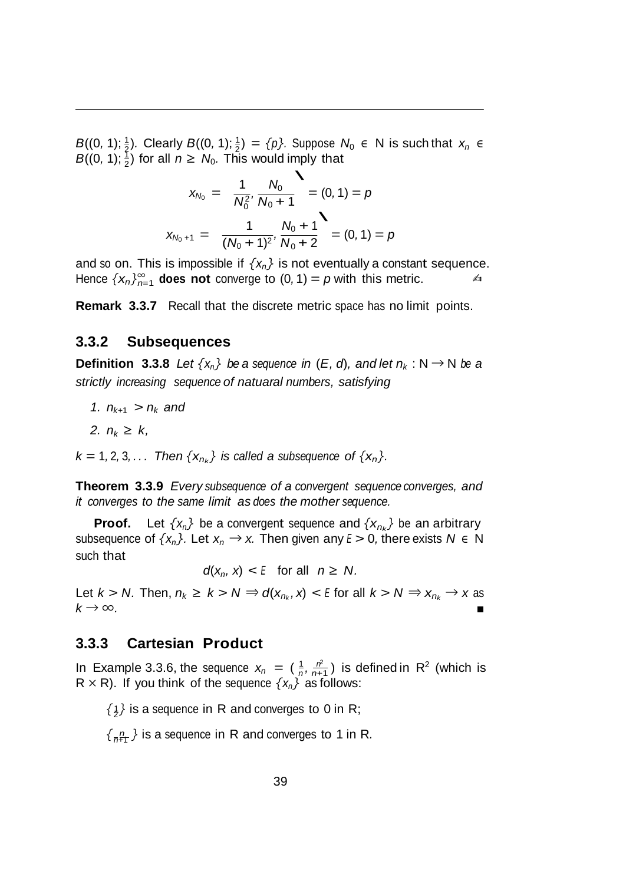$B((0, 1); \frac{1}{2})$  for all  $n \ge N_0$ . This would imply that<br>  $\begin{array}{ccc}\n1 & N_0\n\end{array}$ *B*((0, 1);  $\frac{1}{2}$ ). Clearly *B*((0, 1);  $\frac{1}{2}$ ) = *{p}*. Suppose *N*<sub>0</sub> ∈ N is such that *x<sub>n</sub>* ∈

$$
x_{N_0} = \frac{1}{N_0^2}, \frac{N_0}{N_0 + 1} = (0, 1) = p
$$
  

$$
x_{N_0 + 1} = \frac{1}{(N_0 + 1)^2}, \frac{N_0 + 1}{N_0 + 2} = (0, 1) = p
$$

*Hence*  $\{x_n\}_{n=1}^{\infty}$  does not converge to  $(0, 1) = p$  with this metric.  $\leq 1$ and so on. This is impossible if  $\{x_n\}$  is not eventually a constant sequence.

**Remark 3.3.7** Recall that the discrete metric space has no limit points.

#### **3.3.2 Subsequences**

**Definition 3.3.8** *Let*  $\{x_n\}$  *be a sequence in* (*E*, *d*), *and let*  $n_k : N \to N$  *be a strictly increasing sequence of natuaral numbers, satisfying*

- *1.*  $n_{k+1} > n_k$  and
- *2.*  $n_k$  ≥  $k$ ,

 $k = 1, 2, 3, \ldots$  *Then*  $\{x_{n_k}\}$  *is called a subsequence of*  $\{x_n\}$ *.* 

**Theorem 3.3.9** *Every subsequence of a convergent sequence converges, and it converges to the same limit as does the mother sequence.*

**Proof.** Let  $\{x_n\}$  be a convergent sequence and  $\{x_{n_k}\}$  be an arbitrary subsequence of  $\{x_n\}$ . Let  $x_n \to x$ . Then given any  $E > 0$ , there exists  $N \in \mathbb{N}$ such that

 $d(x_n, x) < E$  for all  $n \geq N$ .

Let  $k > N$ . Then,  $n_k \geq k > N \Rightarrow d(x_{n_k}, x) < E$  for all  $k > N \Rightarrow x_{n_k} \to x$  as  $k \rightarrow \infty$ .

#### **3.3.3 Cartesian Product**

In Example 3.3.6, the sequence  $x_n = (\frac{1}{n}, \frac{n^2}{n+1})$  is defined in R<sup>2</sup> (which is  $R \times R$ ). If you think of the sequence  $\{x_n\}$  as follows:

 $\{1\}$  is a sequence in R and converges to 0 in R;

 $\{n \atop n+1$  *}* is a sequence in R and converges to 1 in R.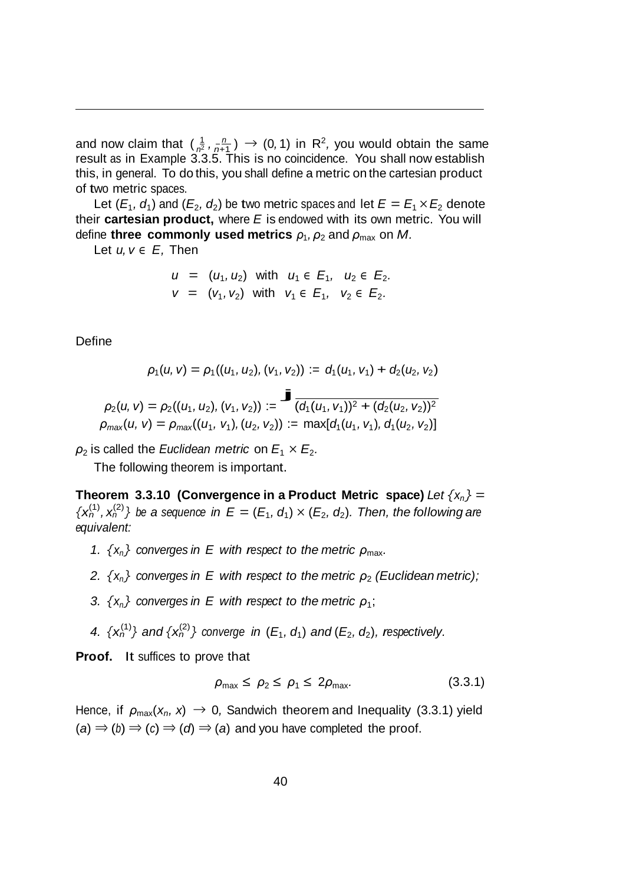and now claim that  $(\frac{1}{n^2}, \frac{n}{n+1}) \rightarrow (0, 1)$  in R<sup>2</sup>, you would obtain the same result as in Example 3.3.5. This is no coincidence. You shall now establish this, in general. To do this, you shall define a metric on the cartesian product of two metric spaces.

Let  $(E_1, d_1)$  and  $(E_2, d_2)$  be two metric spaces and let  $E = E_1 \times E_2$  denote their **cartesian product,** where *E* is endowed with its own metric. You will define **three commonly used** metrics  $\rho_1$ ,  $\rho_2$  and  $\rho_{\text{max}}$  on *M*.

Let *u, v ∈ E,* Then

$$
u = (u_1, u_2) \text{ with } u_1 \in E_1, u_2 \in E_2.
$$
  

$$
v = (v_1, v_2) \text{ with } v_1 \in E_1, v_2 \in E_2.
$$

Define

$$
\rho_1(u, v) = \rho_1((u_1, u_2), (v_1, v_2)) := d_1(u_1, v_1) + d_2(u_2, v_2)
$$
  

$$
\rho_2(u, v) = \rho_2((u_1, u_2), (v_1, v_2)) := \overline{\int (d_1(u_1, v_1))^2 + (d_2(u_2, v_2))^2}
$$
  

$$
\rho_{\text{max}}(u, v) = \rho_{\text{max}}((u_1, v_1), (u_2, v_2)) := \max[d_1(u_1, v_1), d_1(u_2, v_2)]
$$

 $\rho_2$  is called the *Euclidean metric* on  $E_1 \times E_2$ .

The following theorem is important.

**Theorem 3.3.10 (Convergence in a Product Metric space)** Let  $\{x_n\} = \{x_n^{(1)}, x_n^{(2)}\}$  be a sequence in  $E = (E_1, d_1) \times (E_2, d_2)$ . Then, the following are *equivalent:*

- *1.*  $\{x_n\}$  *converges in E with respect to the metric*  $\rho_{\text{max}}$ *.*
- *2.*  $\{x_n\}$  *converges in E with respect to the metric*  $\rho$ <sub>2</sub> *(Euclidean metric);*
- *3.*  $\{x_n\}$  *converges in E with respect to the metric*  $\rho_1$ ;
- 4.  $\{x_n^{(1)}\}$  and  $\{x_n^{(2)}\}$  converge in  $(E_1, d_1)$  and  $(E_2, d_2)$ , respectively.

**Proof.** It suffices to prove that

$$
\rho_{\text{max}} \leq \rho_2 \leq \rho_1 \leq 2\rho_{\text{max}}.\tag{3.3.1}
$$

Hence, if  $\rho_{\text{max}}(x_n, x) \rightarrow 0$ , Sandwich theorem and Inequality (3.3.1) yield  $(a) \Rightarrow (b) \Rightarrow (c) \Rightarrow (d) \Rightarrow (a)$  and you have completed the proof.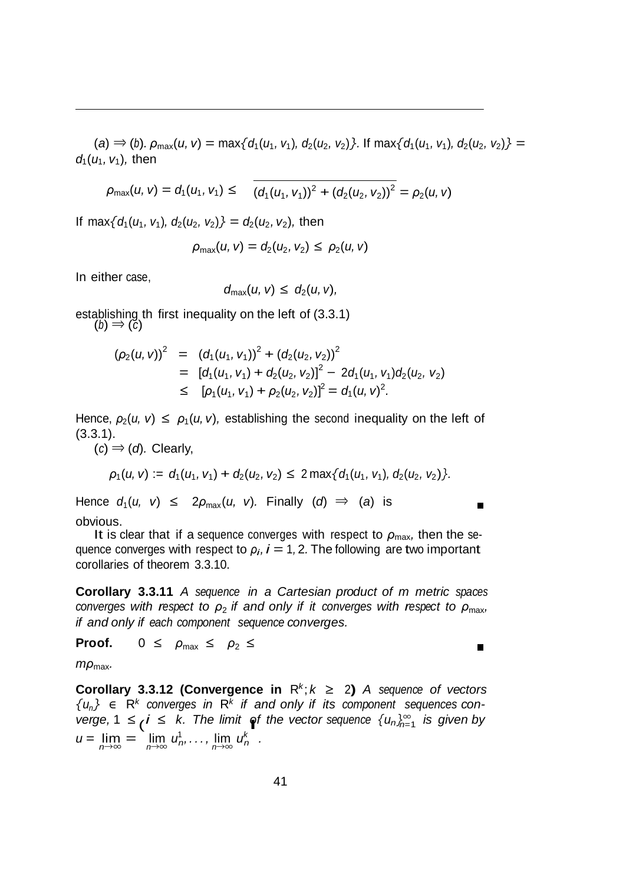(a)  $\Rightarrow$  (b).  $\rho_{\text{max}}(u, v) = \max\{d_1(u_1, v_1), d_2(u_2, v_2)\}\.$  If  $\max\{d_1(u_1, v_1), d_2(u_2, v_2)\} =$ *d*1(*u*1*, v*1)*,* then

$$
\rho_{\max}(u,v)=d_1(u_1,v_1)\leq (d_1(u_1,v_1))^2+(d_2(u_2,v_2))^2=\rho_2(u,v)
$$

If max $\{d_1(u_1, v_1), d_2(u_2, v_2)\} = d_2(u_2, v_2)$ , then

$$
\rho_{\max}(u, v) = d_2(u_2, v_2) \le \rho_2(u, v)
$$

In either case,

$$
d_{\max}(u, v) \leq d_2(u, v),
$$

establishing th first inequality on the left of  $(3.3.1)$ <br> $(b) \Rightarrow (c)$ 

$$
(\rho_2(u, v))^2 = (d_1(u_1, v_1))^2 + (d_2(u_2, v_2))^2
$$
  
= 
$$
[d_1(u_1, v_1) + d_2(u_2, v_2)]^2 - 2d_1(u_1, v_1)d_2(u_2, v_2)
$$
  

$$
\leq [\rho_1(u_1, v_1) + \rho_2(u_2, v_2)]^2 = d_1(u, v)^2.
$$

Hence,  $\rho_2(u, v) \leq \rho_1(u, v)$ , establishing the second inequality on the left of (3.3.1).

 $(c) \Rightarrow (d)$ . Clearly,

$$
\rho_1(u, v) := d_1(u_1, v_1) + d_2(u_2, v_2) \leq 2 \max\{d_1(u_1, v_1), d_2(u_2, v_2)\}.
$$

 $\blacksquare$ 

 $\blacksquare$ 

Hence  $d_1(u, v) \leq 2\rho_{\text{max}}(u, v)$ . Finally  $(d) \Rightarrow (a)$  is obvious.

It is clear that if a sequence converges with respect to  $\rho_{\text{max}}$ , then the sequence converges with respect to  $\rho_i$ ,  $i = 1, 2$ . The following are two important corollaries of theorem 3.3.10.

**Corollary 3.3.11** *A sequence in a Cartesian product of m metric spaces converges with respect to ρ*<sup>2</sup> *if and only if it converges with respect to ρ*max*, if and only if each component sequence converges.*

**Proof.**  $0 \le \rho_{\text{max}} \le \rho_2 \le$ 

*mρ*max*.*

*verge,* 1 ≤ *i* ≤ *k. The limit* of the *vector* sequence  $\{u_n\}_{n=1}^\infty$  is given by **Corollary 3.3.12 (Convergence in**  $R^k$ **;**  $k \geq 2$ **)** *A sequence of vectors*  ${u_n} \in \mathbb{R}^k$  *converges in*  $\mathbb{R}^k$  *if and only if its component sequences con* $u = \lim_{n \to \infty} \lim_{n \to \infty} u_n^1, \ldots, \lim_{n \to \infty} u_n^k$ .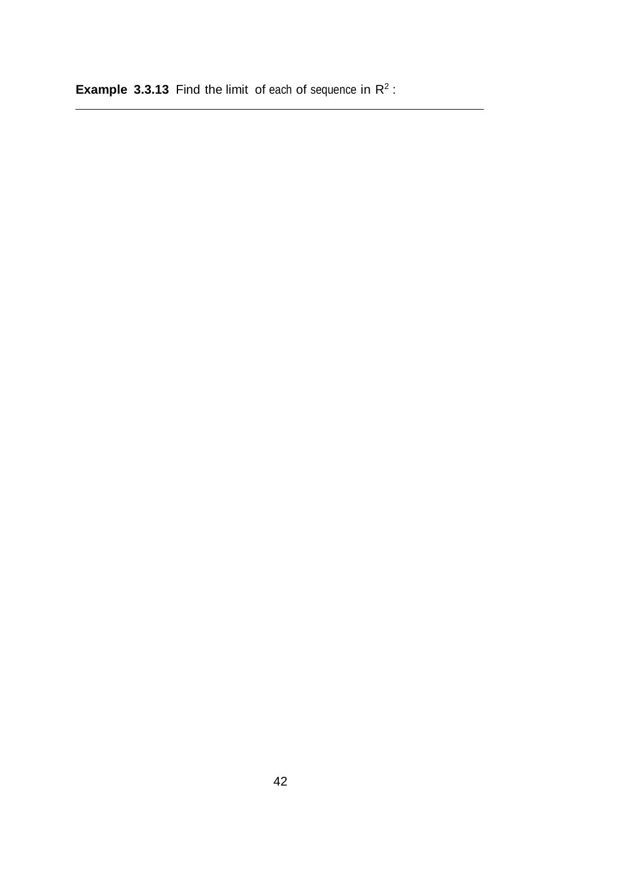**Example 3.3.13** Find the limit of each of sequence in R<sup>2</sup>: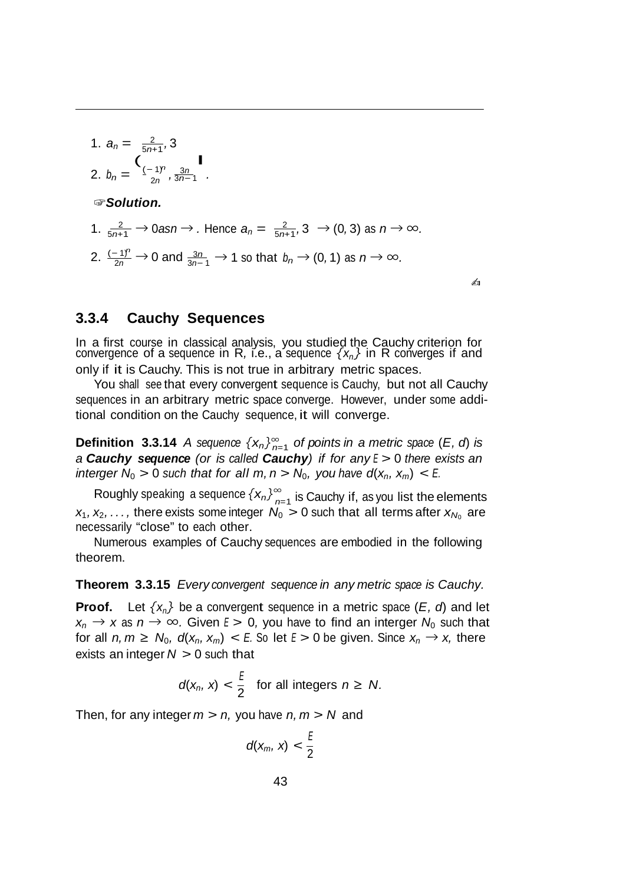1. 
$$
a_n = \frac{2}{5n+1}, 3
$$
  
\n2.  $b_n = \frac{(-1)^n}{2n}, \frac{3n}{3n-1}$   
\n $\Leftrightarrow$  Solution.  
\n1.  $\frac{2}{5n+1} \rightarrow 0$  as  $n \rightarrow$ . Hence  $a_n = \frac{2}{5n+1}, 3 \rightarrow (0, 3)$  as  $n \rightarrow \infty$ .  
\n2.  $\frac{(-1)^n}{2n} \rightarrow 0$  and  $\frac{3n}{3n-1} \rightarrow 1$  so that  $b_n \rightarrow (0, 1)$  as  $n \rightarrow \infty$ .

✍

#### **3.3.4 Cauchy Sequences**

In a first course in classical analysis, you studied the Cauchy criterion for convergence of a sequence in R*,* i.e., a sequence *{xn}* in R converges if and only if it is Cauchy. This is not true in arbitrary metric spaces.

You shall see that every convergent sequence is Cauchy, but not all Cauchy sequences in an arbitrary metric space converge. However, under some additional condition on the Cauchy sequence, it will converge.

**Definition 3.3.14** *A* sequence  $\{x_n\}_{n=1}^{\infty}$  of points in a metric space (*E*, *d*) is *a Cauchy sequence (or is called Cauchy) if for any <sup>E</sup> >* 0 *there exists an interger*  $N_0 > 0$  *such that for all m, n*  $>N_0$ *, you have d*( $x_n$ *,*  $x_m$ *) < E.* 

Roughly speaking a sequence  $\left\{ \bm{x}_{n}\right\} _{n=1}^{\infty}$  is Cauchy if, as you list the elements  $x_1, x_2, \ldots$ , there exists some integer  $N_0 > 0$  such that all terms after  $x_{N_0}$  are necessarily "close" to each other.

Numerous examples of Cauchy sequences are embodied in the following theorem.

**Theorem 3.3.15** *Every convergent sequence in any metric space is Cauchy.*

**Proof.** Let  $\{x_n\}$  be a convergent sequence in a metric space  $(E, d)$  and let  $x_n \to x$  as  $n \to \infty$ . Given  $E > 0$ , you have to find an interger  $N_0$  such that for all  $n, m \ge N_0$ ,  $d(x_n, x_m) < E$ . So let  $E > 0$  be given. Since  $x_n \to x$ , there exists an integer *N >* 0 such that

$$
d(x_n, x) < \frac{E}{2} \quad \text{for all integers } n \geq N.
$$

Then, for any integer  $m > n$ , you have  $n, m > N$  and

$$
d(x_m, x) < \frac{E}{2}
$$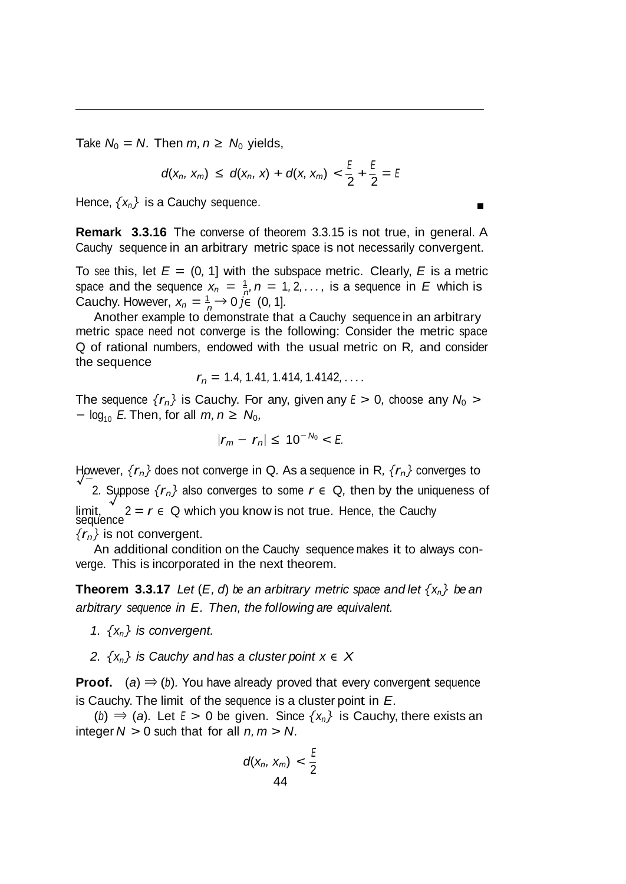Take  $N_0 = N$ . Then  $m, n \ge N_0$  yields,

$$
d(x_n, x_m) \leq d(x_n, x) + d(x, x_m) < \frac{E}{2} + \frac{E}{2} = E
$$

Hence,  $\{x_n\}$  is a Cauchy sequence.

**Remark 3.3.16** The converse of theorem 3.3.15 is not true, in general. A Cauchy sequence in an arbitrary metric space is not necessarily convergent.

space and the sequence  $x_n = \frac{1}{n}$ ,  $n = 1, 2, \ldots$ , is a sequence in *E* which is Cauchy. However,  $x_n = \frac{1}{n} \rightarrow 0$  *j*<sup> $\in$ </sup> (0, 1]*.* To see this, let  $E = (0, 1]$  with the subspace metric. Clearly, E is a metric

Another example to demonstrate that a Cauchy sequence in an arbitrary metric space need not converge is the following: Consider the metric space Q of rational numbers, endowed with the usual metric on R*,* and consider the sequence

$$
r_n = 1.4, 1.41, 1.414, 1.4142, \ldots
$$

The sequence  ${r_n}$  is Cauchy. For any, given any  $E > 0$ , choose any  $N_0 >$ *−*  $log_{10}$  *E*. Then, for all *m*, *n* ≥  $N_0$ ,

$$
|r_m - r_n| \leq 10^{-N_0} < E
$$

However, *{rn}* does not converge in <sup>Q</sup>*.* As <sup>a</sup> sequence in <sup>R</sup>*, {rn}* converges to *<sup>√</sup>* 2. Suppose  $\{r_n\}$  also converges to some  $r \in Q$ , then by the uniqueness of limit, *√* limit,  $2 = r \in \mathbb{Q}$  which you know is not true. Hence, the Cauchy sequence *{rn}* is not convergent.

An additional condition on the Cauchy sequence makes it to always converge. This is incorporated in the next theorem.

**Theorem 3.3.17** Let  $(E, d)$  be an arbitrary metric space and let  $\{x_n\}$  be an *arbitrary sequence in E. Then, the following are equivalent.*

- *1.*  $\{x_n\}$  *is convergent.*
- *z*.  $\{X_n\}$  *is Cauchy and has a cluster point*  $x \in X$

**Proof.** (*a*) *⇒* (*b*)*.* You have already proved that every convergent sequence is Cauchy. The limit of the sequence is a cluster point in *E.*

(*b*)  $\Rightarrow$  (*a*). Let *E* > 0 be given. Since  $\{x_n\}$  is Cauchy, there exists an integer  $N > 0$  such that for all  $n, m > N$ .

$$
d(x_n, x_m) < \frac{E}{2}
$$
\n
$$
44
$$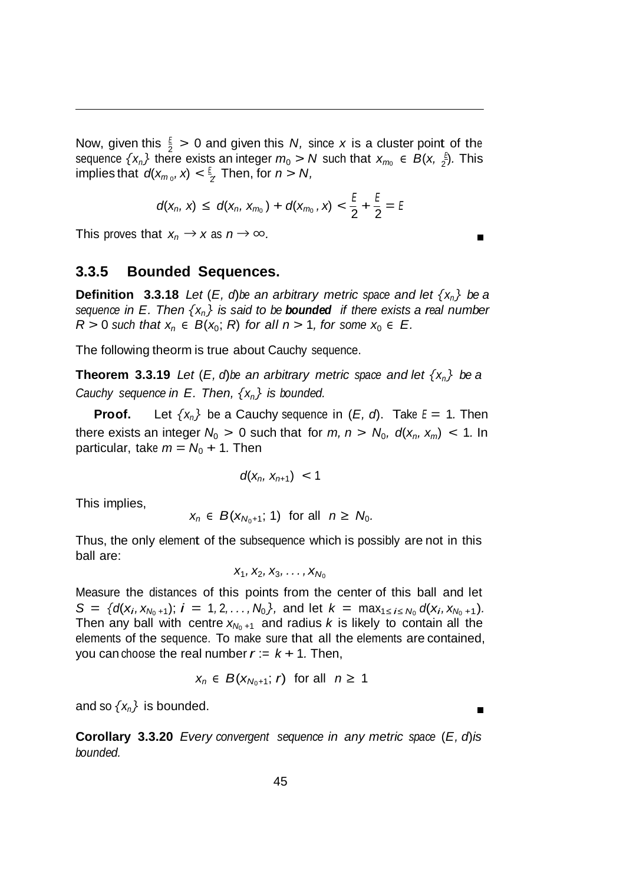Now, given this  $\frac{E}{2} > 0$  and given this *N*, since *x* is a cluster point of the  $\sum_{i=1}^{\infty}$  implies that  $d(x_{m_0}, x) < \frac{\varepsilon}{2}$ . Then, for  $n > N$ , *E* sequence  $\{x_n\}$  there exists an integer  $m_0 > N$  such that  $x_{m_0} \in B(x, \frac{5}{2})$ . This

$$
d(x_n, x) \leq d(x_n, x_{m_0}) + d(x_{m_0}, x) < \frac{\varepsilon}{2} + \frac{\varepsilon}{2} = \varepsilon
$$

This proves that  $x_n \to x$  as  $n \to \infty$ .

#### **3.3.5 Bounded Sequences.**

**Definition** 3.3.18 *Let*  $(E, d)$ *be* an *arbitrary metric space and let*  $\{x_n\}$  *be a sequence in E. Then {xn} is said to be bounded if there exists a real number*   $R > 0$  *such that*  $x_n \in B(x_0; R)$  *for all*  $n > 1$ *, for some*  $x_0 \in E$ *.* 

The following theorm is true about Cauchy sequence.

**Theorem 3.3.19** Let  $(E, d)$ be an arbitrary metric space and let  $\{x_n\}$  be a *Cauchy sequence in E. Then, {xn} is bounded.*

**Proof.** Let  $\{x_n\}$  be a Cauchy sequence in  $(E, d)$ . Take  $E = 1$ . Then there exists an integer  $N_0 > 0$  such that for  $m, n > N_0$ ,  $d(x_n, x_m) < 1$ . In particular, take  $m = N_0 + 1$ . Then

$$
d(x_n, x_{n+1}) < 1
$$

This implies,

$$
x_n \in B(x_{N_0+1}; 1) \text{ for all } n \geq N_0.
$$

Thus, the only element of the subsequence which is possibly are not in this ball are:

$$
X_1, X_2, X_3, \ldots, X_{N_0}
$$

Measure the distances of this points from the center of this ball and let  $S = \{d(x_i, x_{N_0+1}); i = 1, 2, ..., N_0\}$ , and let  $k = \max_{1 \le i \le N_0} d(x_i, x_{N_0+1})$ . Then any ball with centre  $x_{N_0+1}$  and radius *k* is likely to contain all the elements of the sequence. To make sure that all the elements are contained, you can choose the real number  $r := k + 1$ . Then,

$$
x_n \in B(x_{N_0+1}; r) \text{ for all } n \geq 1
$$

and so  $\{x_n\}$  is bounded.

**Corollary 3.3.20** *Every convergent sequence in any metric space* (*E, d*)*is bounded.*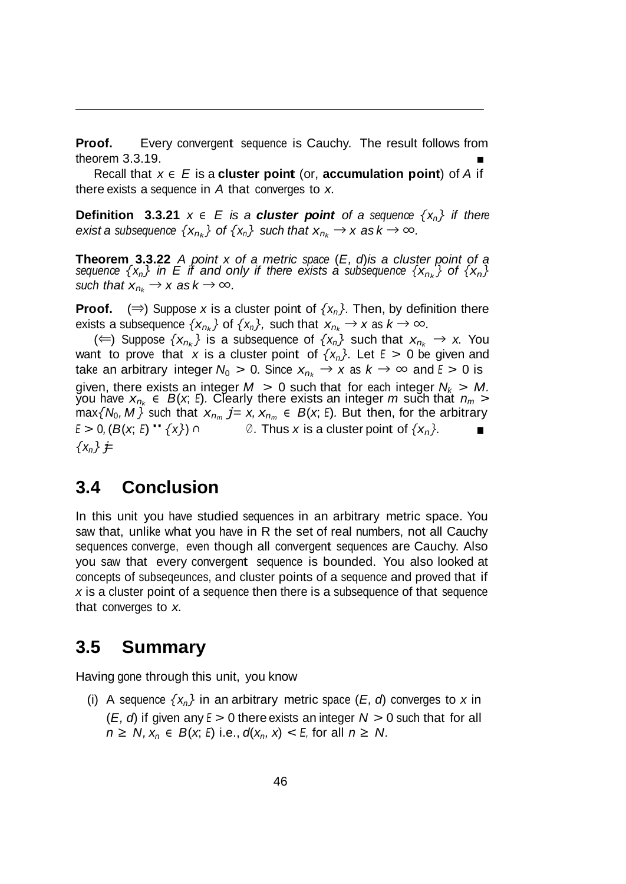**Proof.** Every convergent sequence is Cauchy. The result follows from theorem 3.3.19.

Recall that *x <sup>∈</sup> E* is a **cluster point** (or, **accumulation point**) of *A* if there exists a sequence in *A* that converges to *x.*

**Definition 3.3.21**  $x \in E$  *is* a *cluster* point of a sequence  $\{x_n\}$  *if there exist a subsequence*  $\{x_{n_k}\}\$  *of*  $\{x_n\}$  *such that*  $x_{n_k} \to x$  *as*  $k \to \infty$ *.* 

**Theorem 3.3.22** *A point x of a metric space* (*E, d*)*is a cluster point of a sequence*  $\{x_n\}$  *in*  $E$  *if* and only *if* there exists a subsequence  $\{x_n\}$  of  $\{x_n\}$ *such that*  $x_{n_k} \rightarrow x$  *as*  $k \rightarrow \infty$ *.* 

**Proof.**  $(\Rightarrow)$  Suppose *x* is a cluster point of  $\{x_n\}$ . Then, by definition there exists a subsequence  $\{x_{n_k}\}$  of  $\{x_n\}$ , such that  $x_{n_k} \to x$  as  $k \to \infty$ .

(←) Suppose  $\{x_{n_k}\}\)$  is a subsequence of  $\{x_n\}$  such that  $x_{n_k}$  → *x*. You want to prove that *x* is a cluster point of  $\{x_n\}$ . Let  $E > 0$  be given and take an arbitrary integer  $N_0 > 0$ . Since  $x_{n_k} \to x$  as  $k \to \infty$  and  $E > 0$  is given, there exists an integer  $M > 0$  such that for each integer  $N_k > M$ . you have  $x_{n_k} \in B(x, E)$ . Clearly there exists an integer  $m$  such that  $n_m >$  $\max\{N_0, M\}$  such that  $x_{n_m}$  *j*=  $x, x_{n_m} \in B(x, E)$ . But then, for the arbitrary *<sup>E</sup> <sup>&</sup>gt;* <sup>0</sup>*,*(*B*(*x*; *<sup>E</sup>*)"*{x}*) *<sup>∩</sup>*  $\{x_n\}$   $\neq$ *⊘ .* Thus *x* is a cluster point of  $\{x_n\}$ *.* 

#### **3.4 Conclusion**

In this unit you have studied sequences in an arbitrary metric space. You saw that, unlike what you have in R the set of real numbers, not all Cauchy sequences converge, even though all convergent sequences are Cauchy. Also you saw that every convergent sequence is bounded. You also looked at concepts of subseqeunces, and cluster points of a sequence and proved that if *x* is a cluster point of a sequence then there is a subsequence of that sequence that converges to *x.*

#### **3.5 Summary**

Having gone through this unit, you know

(i) A sequence  $\{x_n\}$  in an arbitrary metric space  $(E, d)$  converges to x in (*E, d*) if given any *<sup>E</sup> >* 0 there exists an integer *N >* 0 such that for all *n* ≥ *N*,  $x_n$  ∈ *B*( $x$ ; *E*) i.e.,  $d(x_n, x)$  < *E*, for all *n* ≥ *N*.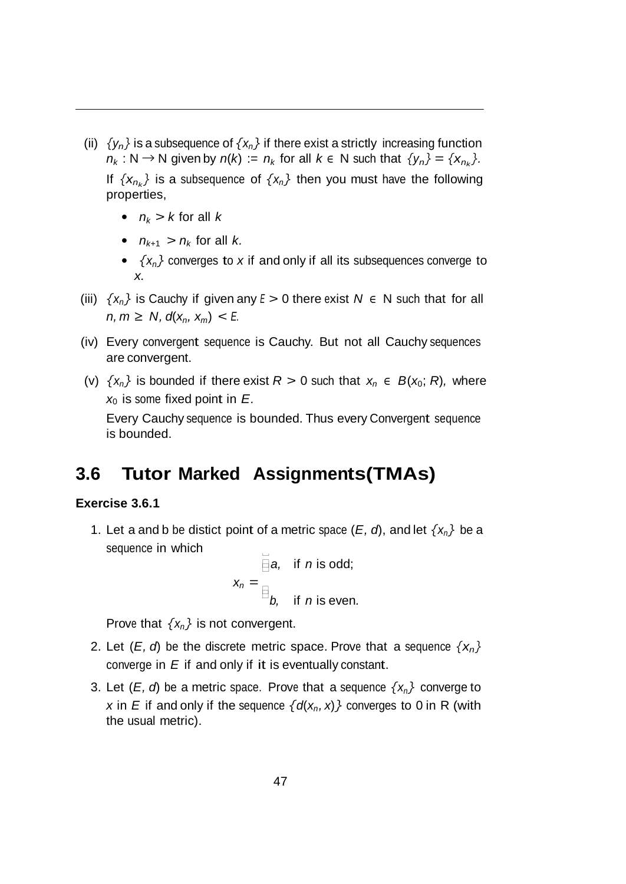- (ii)  $\{y_n\}$  is a subsequence of  $\{x_n\}$  if there exist a strictly increasing function  $n_k$  : N  $\rightarrow$  N given by  $n(k)$  :=  $n_k$  for all  $k \in N$  such that  $\{y_n\} = \{x_{n_k}\}.$ If  $\{x_n\}$  is a subsequence of  $\{x_n\}$  then you must have the following properties,
	- $n_k > k$  for all  $k$
	- $n_{k+1} > n_k$  for all *k*.
	- *• {xn}* converges to *x* if and only if all its subsequences converge to *x.*
- (iii)  $\{x_n\}$  is Cauchy if given any  $E > 0$  there exist  $N \in N$  such that for all *n, m* ≥ *N, d*( $x_n$ ,  $x_m$ ) < *E.*
- (iv) Every convergent sequence is Cauchy. But not all Cauchy sequences are convergent.
- (v)  $\{x_n\}$  is bounded if there exist  $R > 0$  such that  $x_n \in B(x_0; R)$ , where *x*0 is some fixed point in *E.*

Every Cauchy sequence is bounded. Thus every Convergent sequence is bounded.

## **3.6 Tutor Marked Assignments(TMAs)**

#### **Exercise 3.6.1**

 $\Box$ 1. Let a and b be distict point of a metric space  $(E, d)$ , and let  $\{x_n\}$  be a sequence in which

$$
x_n = \overline{\text{a}}, \text{ if } n \text{ is odd};
$$
  

$$
x_n = \text{b}, \text{ if } n \text{ is even.}
$$

Prove that  $\{x_n\}$  is not convergent.

- 2. Let  $(E, d)$  be the discrete metric space. Prove that a sequence  $\{x_n\}$ converge in *E* if and only if it is eventually constant.
- 3. Let  $(E, d)$  be a metric space. Prove that a sequence  $\{x_n\}$  converge to *x* in *E* if and only if the sequence  $\{d(x_n, x)\}$  converges to 0 in R (with the usual metric).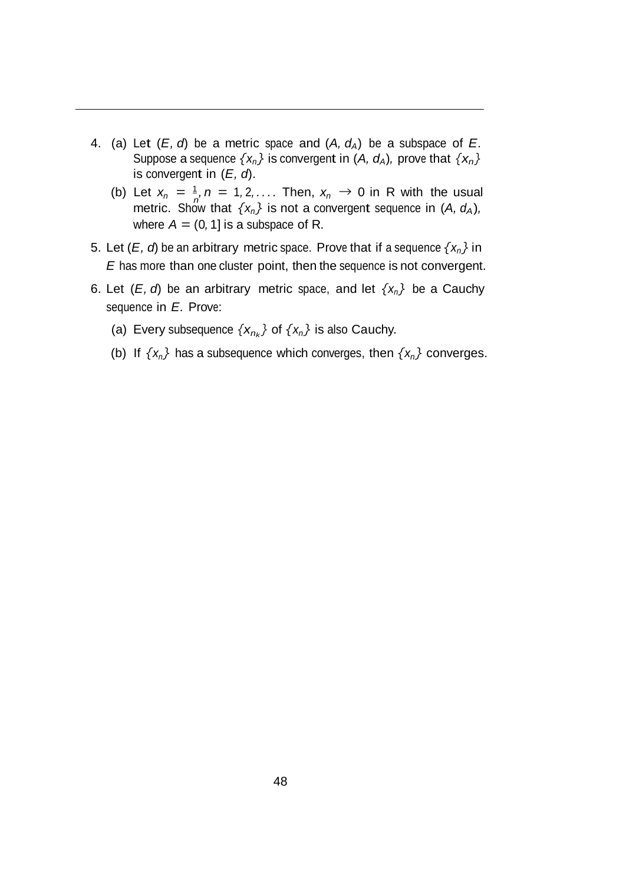- 4. (a) Let  $(E, d)$  be a metric space and  $(A, d<sub>A</sub>)$  be a subspace of  $E$ . Suppose a sequence  $\{x_n\}$  is convergent in  $(A, d_A)$ , prove that  $\{x_n\}$ is convergent in (*E, d*).
	- (b) Let  $x_n = \frac{1}{n}$ ,  $n = 1, 2, \ldots$  Then,  $x_n \to 0$  in R with the usual metric. Show that  $\{x_n\}$  is not a convergent sequence in  $(A, d_A)$ , where  $A = (0, 1]$  is a subspace of R.
- 5. Let  $(E, d)$  be an arbitrary metric space. Prove that if a sequence  $\{x_n\}$  in *E* has more than one cluster point, then the sequence is not convergent.
- 6. Let  $(E, d)$  be an arbitrary metric space, and let  $\{x_n\}$  be a Cauchy sequence in *E.* Prove:
	- (a) Every subsequence  $\{x_{n_k}\}$  of  $\{x_n\}$  is also Cauchy.
	- (b) If  $\{x_n\}$  has a subsequence which converges, then  $\{x_n\}$  converges.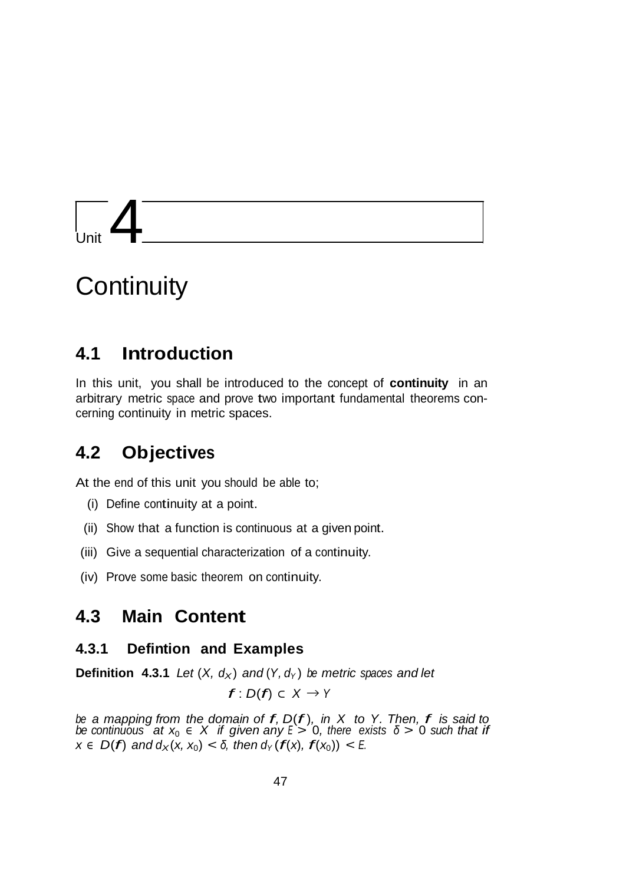# $\sqrt{2}$

## **Continuity**

## **4.1 Introduction**

In this unit, you shall be introduced to the concept of **continuity** in an arbitrary metric space and prove two important fundamental theorems concerning continuity in metric spaces.

## **4.2 Objectives**

At the end of this unit you should be able to;

- (i) Define continuity at a point.
- (ii) Show that a function is continuous at a given point.
- (iii) Give a sequential characterization of a continuity.
- (iv) Prove some basic theorem on continuity.

## **4.3 Main Content**

#### **4.3.1 Defintion and Examples**

**Definition 4.3.1** *Let*  $(X, d_X)$  *and*  $(Y, d_Y)$  *be metric spaces and let* 

*f* : *<sup>D</sup>*(*f*) *<sup>⊂</sup> <sup>X</sup> <sup>→</sup> <sup>Y</sup>*

*be a mapping from the domain of f, <sup>D</sup>*(*f* )*, in X to Y. Then, f is said to be continuous* at  $x_0 \in X$  *if given any*  $E > 0$ *, there exists*  $\delta > 0$  *such that if*  $x \in D(f)$  and  $d_X(x, x_0) < \delta$ , then  $d_Y(f(x), f(x_0)) < E$ .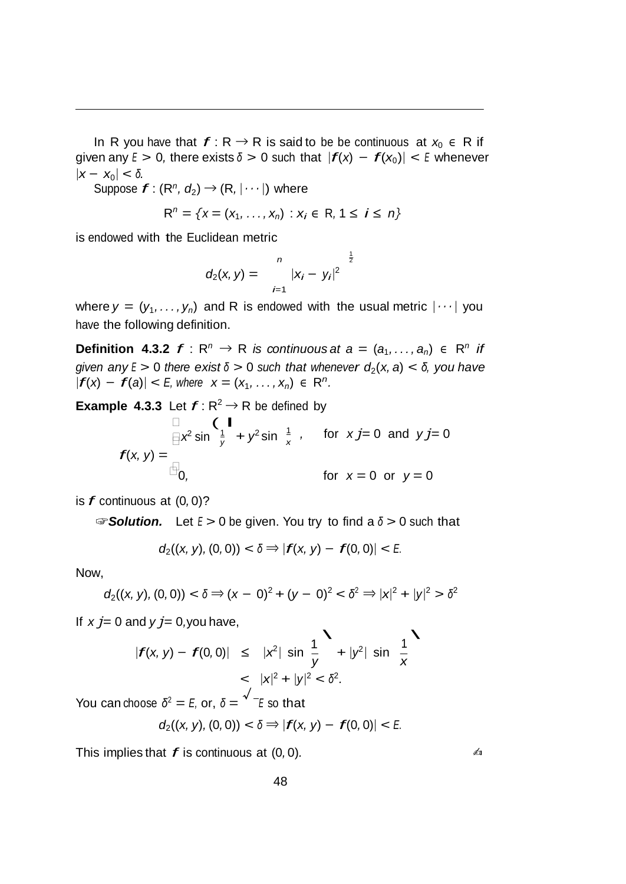In R you have that  $f: R \to R$  is said to be be continuous at  $x_0 \in R$  if given any  $E > 0$ , there exists  $\delta > 0$  such that  $|f(x) - f(x_0)| < E$  whenever  $|x - x_0| < δ$ *.* 

Suppose  $f: (R^n, d_2) \rightarrow (R, |\cdots|)$  where

$$
R^n = \{x = (x_1, ..., x_n) : x_i \in R, 1 \le i \le n\}
$$

is endowed with the Euclidean metric

$$
d_2(x, y) = \int_{i=1}^n |x_i - y_i|^2 \frac{1}{2}
$$

where  $y = (y_1, \ldots, y_n)$  and R is endowed with the usual metric  $|\cdots|$  you have the following definition.

**Definition 4.3.2**  $f: \mathbb{R}^n \to \mathbb{R}$  *is continuous at*  $a = (a_1, \ldots, a_n) \in \mathbb{R}^n$  *if*  $g$ *iven*  $\frac{1}{2}$  *z*  $\frac{1}{2}$  *b*  $\frac{1}{2}$  *b*  $\frac{1}{2}$  *b*  $\frac{1}{2}$  *b*  $\frac{1}{2}$  *b*  $\frac{1}{2}$  *b*  $\frac{1}{2}$  *b*  $\frac{1}{2}$  *b*  $\frac{1}{2}$  *b*  $\frac{1}{2}$  *b*  $\frac{1}{2}$  *b*  $\frac{1}{2}$  *b*  $\frac{1}{2}$  *b*  $\frac{1}{2}$  *have |f***(***x***) −** *f***(***a***)***|* **<** *E,**where* $x = (x_1, ..., x_n) \in \mathbb{R}^n$ **.** 

**Example 4.3.3** Let  $f: \mathbb{R}^2 \to \mathbb{R}$  be defined by

Use 4.3.3 Let 
$$
f: \mathbb{R}^2 \to \mathbb{R}
$$
 be defined by

\n
$$
\Box \quad \left( \begin{array}{c} \mathbb{I} \\ \boxplus x^2 \sin \frac{1}{y} + y^2 \sin \frac{1}{x} \end{array} \right), \quad \text{for } x = 0 \text{ and } y = 0
$$
\n
$$
f(x, y) = \Box
$$
\n
$$
\Box
$$
\n
$$
f(x, y) = \Box
$$
\n
$$
\Box
$$
\n
$$
\Box
$$
\n
$$
f(x, y) = \Box
$$
\n
$$
\Box
$$

is *f* continuous at (0*,* 0)?

☞*Solution.* Let *<sup>E</sup> >* 0 be given. You try to find a *<sup>δ</sup> >* 0 such that

$$
d_2((x, y), (0, 0)) < \delta \Rightarrow |f(x, y) - f(0, 0)| < E.
$$

Now,

$$
d_2((x, y), (0, 0)) < \delta \Rightarrow (x - 0)^2 + (y - 0)^2 < \delta^2 \Rightarrow |x|^2 + |y|^2 > \delta^2
$$

If  $x j = 0$  and  $y j = 0$ , you have,

and 
$$
yj= 0
$$
, you have,  
\n $|f(x, y) - f(0, 0)| \le |x^2| \sin \frac{1}{y} + |y^2| \sin \frac{1}{x}$   
\n $\le |x|^2 + |y|^2 < \delta^2$ .

You can choose  $\delta^2 = E$ , or,  $\delta = \dot{E}$  *E* so that

$$
d_2((x, y), (0, 0)) < \delta \Rightarrow |f(x, y) - f(0, 0)| < E.
$$

This implies that  $f$  is continuous at  $(0,0)$ .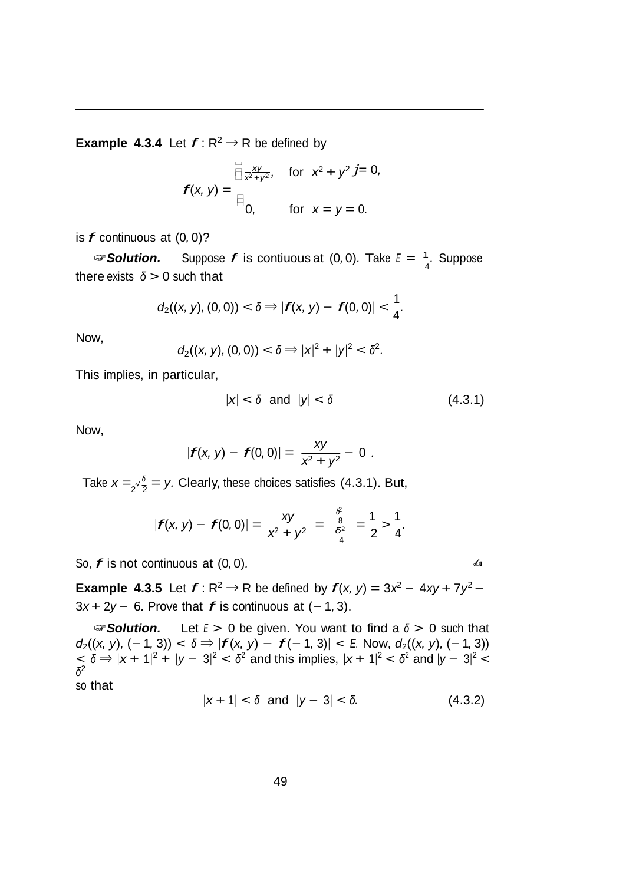**Example 4.3.4** Let  $f: \mathbb{R}^2 \to \mathbb{R}$  be defined by

$$
f(x, y) = \begin{aligned} \overrightarrow{\lim}_{x^2+y^2}, & \text{for } x^2 + y^2 \text{ } j = 0, \\ \overrightarrow{f(x, y)} &= \begin{aligned} \overrightarrow{f(x, y)} &= 0, \\ \text{for } x = y = 0. \end{aligned} \end{aligned}
$$

is *f* continuous at (0*,* 0)?

4 ☞*Solution.* Suppose *f* is contiuous at (0*,* 0)*.* Take *<sup>E</sup>*= <sup>1</sup>*.* Suppose there exists *<sup>δ</sup> >* 0 such that

$$
d_2((x, y), (0, 0)) < \delta \Rightarrow |f(x, y) - f(0, 0)| < \frac{1}{4}.
$$

Now,

$$
d_2((x, y), (0, 0)) < \delta \Rightarrow |x|^2 + |y|^2 < \delta^2.
$$

This implies, in particular,

$$
|x| < \delta \quad \text{and} \quad |y| < \delta \tag{4.3.1}
$$

Now,

$$
|f(x, y) - f(0, 0)| = \frac{xy}{x^2 + y^2} - 0.
$$

Take  $x = 2^{\sigma \frac{\delta}{2}} = y$ . Clearly, these choices satisfies (4.3.1). But,

$$
|f(x, y) - f(0, 0)| = \frac{xy}{x^2 + y^2} = \frac{\frac{x^2}{6}}{\frac{x^2}{4}} = \frac{1}{2} > \frac{1}{4}.
$$

So,  $f$  is not continuous at  $(0, 0)$ .

**Example 4.3.5** Let  $f: \mathbb{R}^2 \to \mathbb{R}$  be defined by  $f(x, y) = 3x^2 - 4xy + 7y^2 - 4xy + 7y^2$ <sup>3</sup>*<sup>x</sup>* + <sup>2</sup>*<sup>y</sup> <sup>−</sup>* <sup>6</sup>*.* Prove that *f* is continuous at (*<sup>−</sup>* <sup>1</sup>*,* 3).

☞*Solution.* Let *E >* 0 be given. You want to find a *<sup>δ</sup> >* 0 such that  $d_2((x, y), (-1, 3)) < \delta \Rightarrow |f(x, y) - f(-1, 3)| < E$ . Now,  $d_2((x, y), (-1, 3))$  $\leq \delta \Rightarrow |x+1|^2 + |y-3|^2 < \delta^2$  and this implies,  $|x+1|^2 < \delta^2$  and  $|y-3|^2 < \delta^2$ *δ*2 so that

$$
|x+1| < \delta \text{ and } |y-3| < \delta. \tag{4.3.2}
$$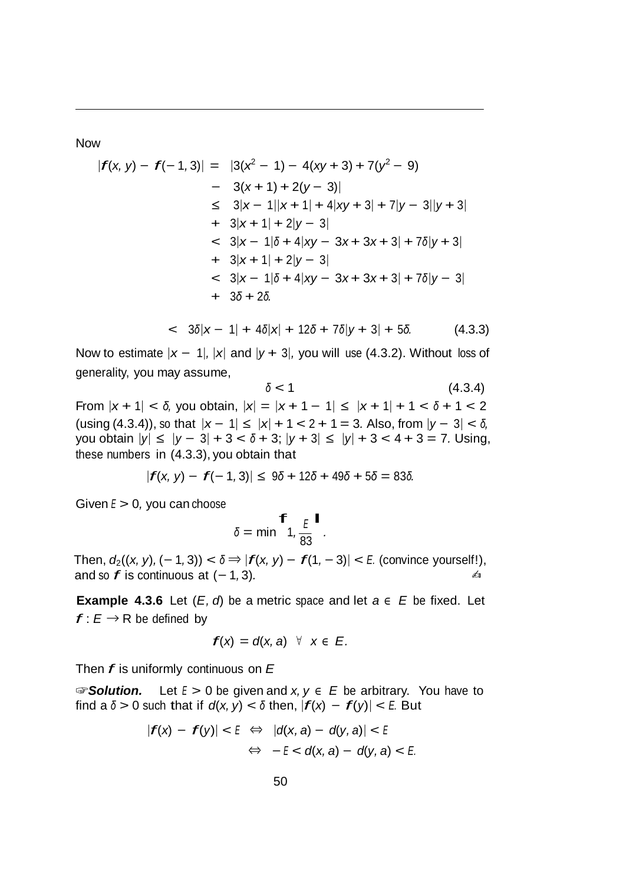Now

$$
|f(x, y) - f(-1, 3)| = |3(x^2 - 1) - 4(xy + 3) + 7(y^2 - 9)
$$
  
\n
$$
- 3(x + 1) + 2(y - 3)|
$$
  
\n
$$
\leq 3|x - 1||x + 1| + 4|xy + 3| + 7|y - 3||y + 3|
$$
  
\n
$$
+ 3|x + 1| + 2|y - 3|
$$
  
\n
$$
< 3|x - 1|\delta + 4|xy - 3x + 3x + 3| + 7\delta|y + 3|
$$
  
\n
$$
+ 3|x + 1| + 2|y - 3|
$$
  
\n
$$
< 3|x - 1|\delta + 4|xy - 3x + 3x + 3| + 7\delta|y - 3|
$$
  
\n
$$
+ 3\delta + 2\delta.
$$

$$
< 3\delta|x-1| + 4\delta|x| + 12\delta + 7\delta|y+3| + 5\delta. \tag{4.3.3}
$$

Now to estimate  $|x - 1|$ ,  $|x|$  and  $|y + 3|$ , you will use (4.3.2). Without loss of generality, you may assume,

$$
\delta < 1\tag{4.3.4}
$$

 $\text{From } |x + 1| < δ, \text{ you obtain, } |x| = |x + 1 - 1| ≤ |x + 1| + 1 < δ + 1 < 2$  $(\text{using } (4.3.4)),$  so that  $|x-1| \le |x| + 1 < 2 + 1 = 3$ . Also, from  $|y-3| < \delta$ , you obtain *<sup>|</sup>y<sup>|</sup> ≤ <sup>|</sup>y −* <sup>3</sup>*<sup>|</sup>* + 3 *< <sup>δ</sup>* + 3; *<sup>|</sup>y* + <sup>3</sup>*<sup>|</sup> ≤ <sup>|</sup>y<sup>|</sup>* + 3 *<* 4 + 3 = 7*.* Using, these numbers in (4.3.3), you obtain that

$$
|f(x, y) - f(-1, 3)| \le 9\delta + 12\delta + 49\delta + 5\delta = 83\delta.
$$

Given *<sup>E</sup> >* 0*,* you can choose

$$
\delta = \min \begin{array}{c} f \\ \frac{E}{2} \\ 1, \\ \frac{E}{83} \end{array}.
$$

Then,  $d_2((x, y), (−1, 3)) < δ$   $\Rightarrow$   $|f(x, y) - f(1, −3)| < E$ . (convince yourself!), and so  $f$  is continuous at  $(-1, 3)$ *.*  $\qquad \qquad \triangleq$ 

**Example 4.3.6** Let  $(E, d)$  be a metric space and let  $a \in E$  be fixed. Let  $f: E \rightarrow R$  be defined by

$$
f(x) = d(x, a) \quad \forall \quad x \in E.
$$

Then *f* is uniformly continuous on *<sup>E</sup>*

☞*Solution.* Let *E >* 0 be given and *x, y <sup>∈</sup> E* be arbitrary. You have to find a  $\delta > 0$  such that if  $d(x, y) < \delta$  then,  $|f(x) - f(y)| < E$ . But

$$
|f(x) - f(y)| < E \Leftrightarrow |d(x, a) - d(y, a)| < E
$$
\n
$$
\Leftrightarrow -E < d(x, a) - d(y, a) < E
$$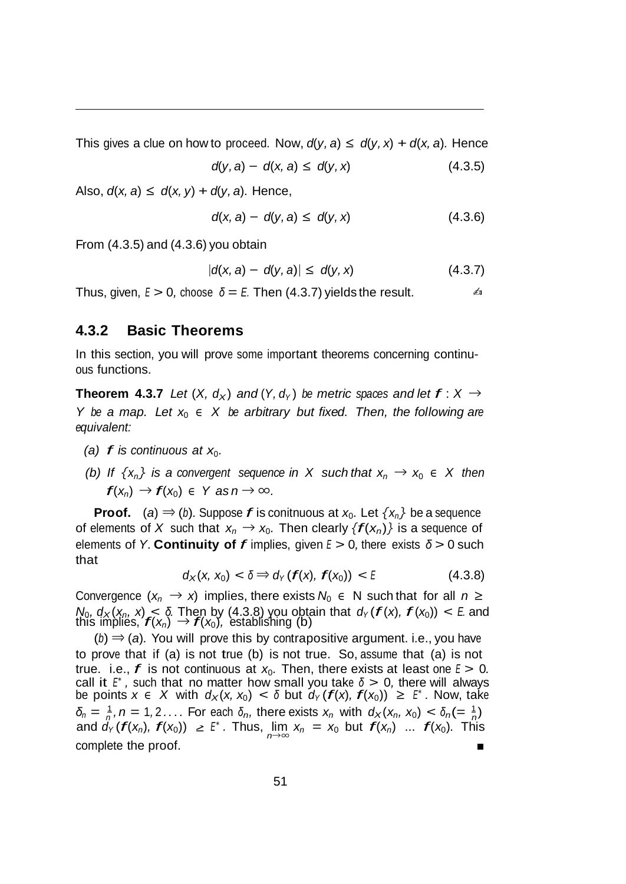This gives a clue on how to proceed. Now,  $d(y, a) \le d(y, x) + d(x, a)$ . Hence

$$
d(y, a) - d(x, a) \leq d(y, x) \tag{4.3.5}
$$

Also,  $d(x, a) \le d(x, y) + d(y, a)$ . Hence,

$$
d(x, a) - d(y, a) \leq d(y, x) \tag{4.3.6}
$$

From (4.3.5) and (4.3.6) you obtain

$$
|d(x, a) - d(y, a)| \leq d(y, x) \tag{4.3.7}
$$

Thus, given,  $E > 0$ , choose  $\delta = E$ . Then (4.3.7) yields the result.  $\epsilon$   $\delta$ 

#### **4.3.2 Basic Theorems**

In this section, you will prove some important theorems concerning continuous functions.

**Theorem 4.3.7** Let  $(X, d_X)$  and  $(Y, d_Y)$  be metric spaces and let  $f: X \rightarrow$ *Y be a map. Let x*0 *∈ X be arbitrary but fixed. Then, the following are equivalent:*

- *(a)*  $f$  *is continuous at*  $x_0$ *.*
- *(b)* If  $\{x_n\}$  is a convergent sequence in X such that  $x_n \to x_0 \in X$  then  $f(x_n) \rightarrow f(x_0) \in Y$  *as*  $n \rightarrow \infty$ .

**Proof.** (*a*)  $\Rightarrow$  (*b*)*.* Suppose *f* is conitnuous at  $x_0$ . Let  $\{x_n\}$  be a sequence of elements of *X* such that  $x_n \to x_0$ . Then clearly  $\{f(x_n)\}$  is a sequence of elements of *Y.* **Continuity of** *f* implies, given *<sup>E</sup> >* <sup>0</sup>*,* there exists *<sup>δ</sup> >* <sup>0</sup> such that

$$
d_X(x, x_0) < \delta \Rightarrow d_Y(f(x), f(x_0)) < E \tag{4.3.8}
$$

Convergence  $(x_n \rightarrow x)$  implies, there exists  $N_0 \in N$  such that for all  $n \ge$ *N*<sub>0</sub>,  $d_X(x_n, x) \le \delta$ . Then by (4.3.8) you obtain that  $d_Y(f(x), f(x_0)) \le E$  and *t* v<sub>0</sub>, *d*<sub>×</sub>(*x<sub>n</sub>, x*) < 0. Then by (4.3.8) you opta<br>this implies, *f*(*x<sub>n</sub>*) → *f*(*x*<sub>0</sub>), establishing (b)

(*b*) *⇒* (*a*)*.* You will prove this by contrapositive argument. i.e., you have to prove that if (a) is not true (b) is not true. So, assume that (a) is not true. i.e., *f* is not continuous at  $x_0$ . Then, there exists at least one  $E > 0$ . call it *<sup>E</sup><sup>∗</sup> ,* such that no matter how small you take *<sup>δ</sup> >* 0*,* there will always  $\alpha$  be points  $x \in X$  with  $d_X(x, x_0) < \delta$  but  $d_Y(f(x), f(x_0)) \geq F^*$ . Now, take  $\delta_n = \frac{1}{n}$ ,  $n = 1, 2, \ldots$  For each  $\delta_n$ , there exists  $x_n$  with  $d_X(x_n, x_0) < \delta_n = \frac{1}{n}$ and  $d_Y(f(x_n), f(x_0)) \geq F^*$ . Thus,  $\lim_{n \to \infty} x_n = x_0$  but  $f(x_n)$  ...  $f(x_0)$ . This complete the proof.г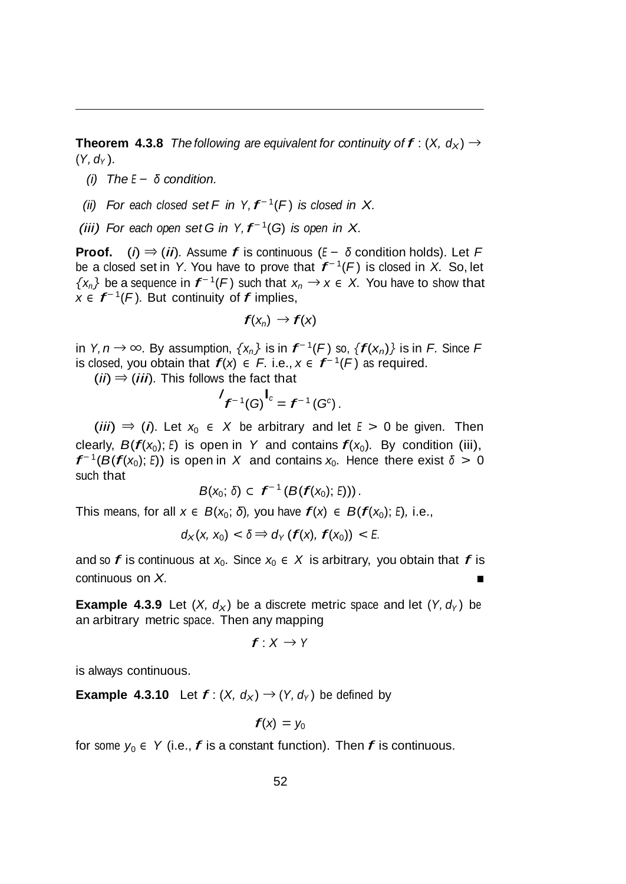**Theorem 4.3.8** *The following are equivalent for continuity of*  $f: (X, d_X) \rightarrow$  $(Y, d_Y)$ .

- *(i) The <sup>E</sup> − δ condition.*
- *(ii)* For each closed set  $F$  *in*  $Y, f^{-1}(F)$  *is closed in*  $X$ .
- *(iii)* For each open set *G in*  $Y, f^{-1}(G)$  *is open in*  $X$ .

**Proof.** (*i*) *<sup>⇒</sup>* (*ii*)*.* Assume *f* is continuous (*<sup>E</sup> <sup>−</sup> <sup>δ</sup>* condition holds). Let *<sup>F</sup>* be <sup>a</sup> closed set in *Y.* You have to prove that *f <sup>−</sup>* 1(*F* ) is closed in *X.* So, let *{x<sub>n</sub>}* be a sequence in  $f^{-1}(F)$  such that  $x_n$  →  $x \in X$ . You have to show that *x*  $\in$   $f^{-1}(F)$ *.* But continuity of *f* implies,

$$
f(x_n) \to f(x)
$$

in *Y, <sup>n</sup> <sup>→</sup> <sup>∞</sup>.* By assumption, *{xn}* is in *f <sup>−</sup>* 1(*<sup>F</sup>* ) so, *{f*(*xn*)*}* is in *F.* Since *<sup>F</sup>* is closed, you obtain that  $f(x) \in F$ . i.e.,  $x \in f^{-1}(F)$  as required.

(*ii*) *<sup>⇒</sup>* (*iii*)*.* This follows the fact that

$$
f^{-1}(G)^{\mathbf{I}_c} = f^{-1}(G^c).
$$

(*iii*)  $\Rightarrow$  (*i*). Let  $x_0 \in X$  be arbitrary and let  $E > 0$  be given. Then clearly,  $B(f(x_0); E)$  is open in Y and contains  $f(x_0)$ . By condition (iii),  $f^{-1}(B(f(x_0); E))$  is open in *X* and contains  $x_0$ . Hence there exist  $\delta > 0$ such that

$$
B(x_0; \delta) \subset f^{-1}(B(f(x_0); \epsilon)))
$$

This means, for all *x ∈ B*(*x*<sub>0</sub>; *δ*), you have  $f(x)$  *∈ B*( $f(x_0)$ ; *E*), i.e.,

$$
d_X(x, x_0) < \delta \Rightarrow d_Y(f(x), f(x_0)) < E.
$$

and so *f* is continuous at  $x_0$ . Since  $x_0 \in X$  is arbitrary, you obtain that *f* is continuous on *X.*

**Example 4.3.9** Let  $(X, d_X)$  be a discrete metric space and let  $(Y, d_Y)$  be an arbitrary metric space. Then any mapping

$$
f:X\to Y
$$

is always continuous.

**Example 4.3.10** Let  $f: (X, d_X) \rightarrow (Y, d_Y)$  be defined by

$$
f(x) = y_0
$$

for some  $y_0 \in Y$  (i.e., *f* is a constant function). Then *f* is continuous.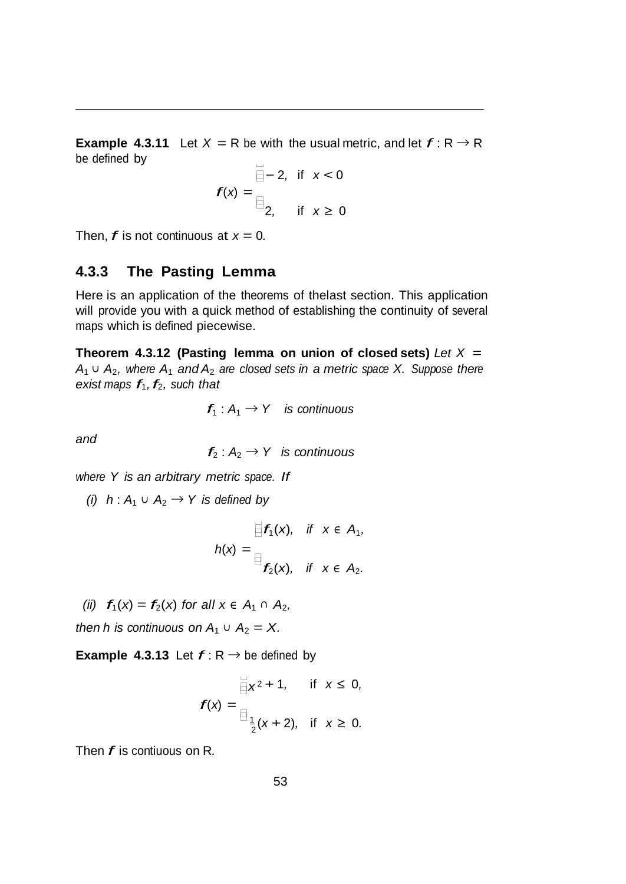$\Box$ **Example** 4.3.11 Let  $X = R$  be with the usual metric, and let  $f: R \rightarrow R$ be defined by

$$
f(x) = \begin{cases} -2, & \text{if } x < 0 \\ 2, & \text{if } x \ge 0 \end{cases}
$$

Then,  $f$  is not continuous at  $x = 0$ .

#### **4.3.3 The Pasting Lemma**

Here is an application of the theorems of thelast section. This application will provide you with a quick method of establishing the continuity of several maps which is defined piecewise.

**Theorem 4.3.12 (Pasting lemma on union of closed sets)** *Let X* = *A*<sup>1</sup> *∪ A*2*, where A*1 *and A*2 *are closed sets in a metric space X. Suppose there exist maps*  $f_1$ ,  $f_2$ , *such that* 

$$
f_1: A_1 \to Y
$$
 is continuous

*and*

$$
f_2: A_2 \to Y
$$
 is continuous

*where Y is an arbitrary metric space. If*

*(i)*  $h: A_1 ∪ A_2 → Y$  *is defined by* 

$$
h(x) = \begin{cases} f_1(x), & \text{if } x \in A_1, \\ f_2(x), & \text{if } x \in A_2. \end{cases}
$$

*(ii)*  $f_1(x) = f_2(x)$  *for all*  $x \in A_1$  ∩  $A_2$ *,* 

*then h is continuous on*  $A_1 \cup A_2 = X$ .

**Example 4.3.13** Let  $f: \mathbb{R} \rightarrow \mathbb{R}$  be defined by

$$
f(x) = \begin{cases} \frac{1}{2}x^2 + 1, & \text{if } x \le 0, \\ \frac{1}{2}(x + 2), & \text{if } x \ge 0. \end{cases}
$$

Then *f* is contiuous on <sup>R</sup>*.*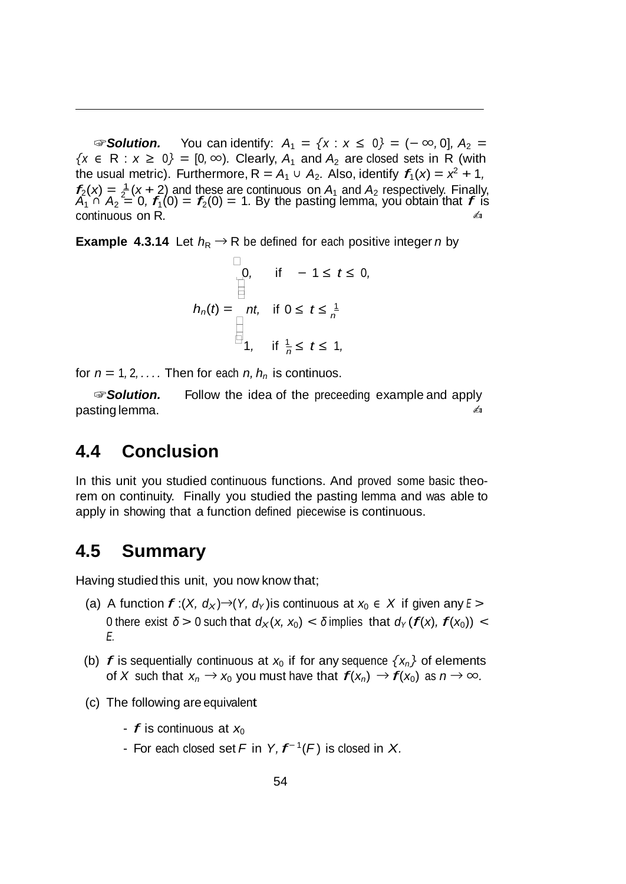2 ☞*Solution.* You can identify: *A*1 = *{x* : *x ≤* <sup>0</sup>*}* = (*− ∞,* 0]*, A*2 =  ${x \in R : x ≥ 0} = [0, ∞)$ . Clearly,  $A_1$  and  $A_2$  are closed sets in R (with the usual metric). Furthermore,  $R = A_1 \cup A_2$ . Also, identify  $f_1(x) = x^2 + 1$ ,  $f_2(x) = \frac{1}{2}(x+2)$  and these are continuous on  $A_1$  and  $A_2$  respectively. Finally,<br> $A_1 \cap A_2 = 0$ ,  $f_1(0) = f_2(0) = 1$ . By the pasting lemma, you obtain that f is continuous on R.  $\blacksquare$ 

**Example** 4.3.14 Let  $h_R \to R$  be defined for each positive integer *n* by

$$
h_n(t) = \begin{cases} 0, & \text{if } -1 \leq t \leq 0, \\ \boxed{2} \\ \text{if } 0 \leq t \leq \frac{1}{n} \\ 1, & \text{if } \frac{1}{n} \leq t \leq 1, \end{cases}
$$

for  $n = 1, 2, \ldots$  Then for each  $n, h_n$  is continuos.

☞*Solution.* Follow the idea of the preceeding example and apply pasting lemma.  $\blacksquare$ 

#### **4.4 Conclusion**

In this unit you studied continuous functions. And proved some basic theorem on continuity. Finally you studied the pasting lemma and was able to apply in showing that a function defined piecewise is continuous.

## **4.5 Summary**

Having studied this unit, you now know that;

- (a) A function  $f:(X, d_X) \rightarrow (Y, d_Y)$  is continuous at  $x_0 \in X$  if given any  $E >$ 0 there exist  $\delta > 0$  such that  $d_X(x, x_0) < \delta$  implies that  $d_Y(f(x), f(x_0))$  < *E.*
- (b) *f* is sequentially continuous at  $x_0$  if for any sequence  $\{x_n\}$  of elements of *X* such that  $x_n \to x_0$  you must have that  $f(x_n) \to f(x_0)$  as  $n \to \infty$ .
- (c) The following are equivalent
	- $f$  is continuous at  $x_0$
	- For each closed set *<sup>F</sup>* in *Y, f <sup>−</sup>* 1(*F* ) is closed in *X.*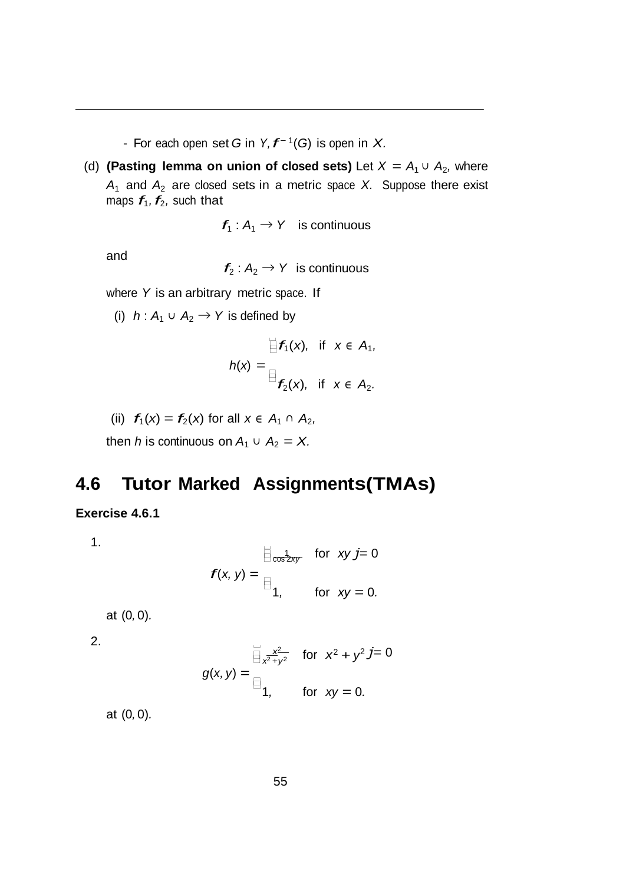- For each open set *<sup>G</sup>* in *Y, f<sup>−</sup>* 1(*G*) is open in *X.*

(d) **(Pasting lemma on union of closed sets)** Let  $X = A_1 \cup A_2$ , where  $A_1$  and  $A_2$  are closed sets in a metric space *X*. Suppose there exist maps  $f_1$ ,  $f_2$ , such that

 $f_1: A_1 \rightarrow Y$  is continuous

and

 $f_2: A_2 \rightarrow Y$  is continuous

where *Y* is an arbitrary metric space. If

(i)  $h: A_1 \cup A_2 \rightarrow Y$  is defined by

$$
h(x) = \begin{aligned} \n\exists f_1(x), & \text{if } x \in A_1, \\ \n\exists f_2(x), & \text{if } x \in A_2. \n\end{aligned}
$$

(ii)  $f_1(x) = f_2(x)$  for all  $x \in A_1 \cap A_2$ ,

then *h* is continuous on  $A_1 \cup A_2 = X$ .

## **4.6 Tutor Marked Assignments(TMAs)**

#### **Exercise 4.6.1**

1.

$$
f(x, y) = \frac{\frac{1}{2} \cos \frac{1}{2xy}}{1}, \quad \text{for } xy = 0.
$$

at (0*,* 0)*.*

2.

$$
g(x, y) = \begin{cases} \frac{x^2}{x^2 + y^2} & \text{for } x^2 + y^2 \text{ } j = 0 \\ 1, & \text{for } xy = 0. \end{cases}
$$

at (0*,* 0)*.*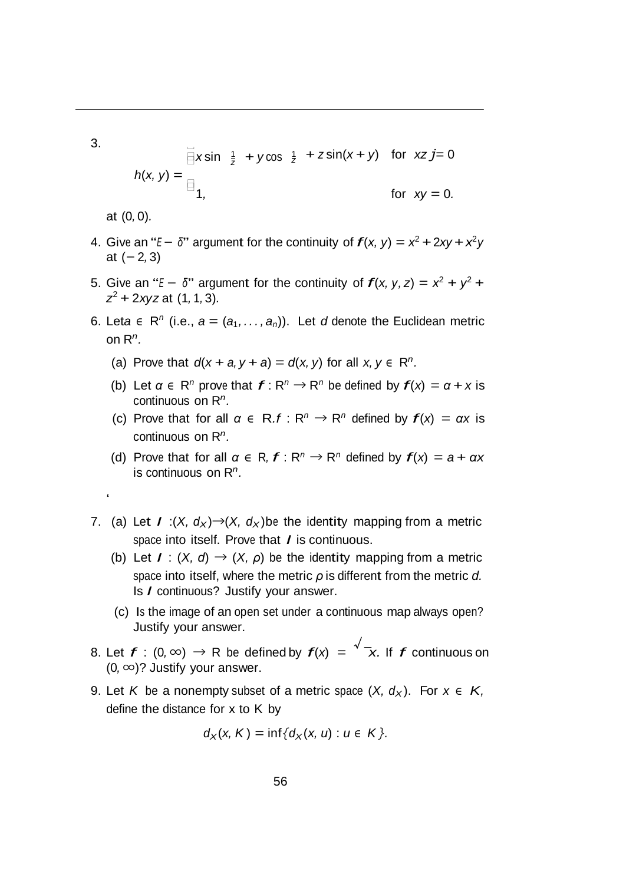3.

$$
h(x, y) = \frac{1}{\beta}x \sin \frac{1}{z} + y \cos \frac{1}{z} + z \sin(x + y) \text{ for } xzj = 0
$$
  
for  $xy = 0$ .

at (0*,* 0)*.*

'

- 4. Give an "*E*  $-\delta$ " argument for the continuity of  $f(x, y) = x^2 + 2xy + x^2y$ at (*−* 2*,* 3)
- 5. Give an "*E*  $-$  δ" argument for the continuity of  $f(x, y, z) = x^2 + y^2 +$ *z*<sup>2</sup> + 2*xyz* at (1*,* <sup>1</sup>*,* 3)*.*
- 6. Leta  $\in$  R<sup>n</sup> (i.e.,  $a = (a_1, \ldots, a_n)$ ). Let *d* denote the Euclidean metric on R*n.*
	- (a) Prove that  $d(x + a, y + a) = d(x, y)$  for all  $x, y \in \mathbb{R}^n$ .
	- (b) Let  $\alpha \in \mathbb{R}^n$  prove that  $f: \mathbb{R}^n \to \mathbb{R}^n$  be defined by  $f(x) = \alpha + x$  is continuous on R*n.*
	- (c) Prove that for all  $\alpha \in R.f : R^n \to R^n$  defined by  $f(x) = \alpha x$  is continuous on R*n.*
	- (d) Prove that for all  $\alpha \in R$ ,  $f: R^n \to R^n$  defined by  $f(x) = a + \alpha x$ is continuous on R*n.*
- 7. (a) Let  $I: (X, d_X) \rightarrow (X, d_X)$  be the identity mapping from a metric space into itself. Prove that *I* is continuous.
	- (b) Let  $I: (X, d) \rightarrow (X, \rho)$  be the identity mapping from a metric space into itself, where the metric *ρ* is different from the metric *d.* Is *I* continuous? Justify your answer.
	- (c) Is the image of an open set under a continuous map always open? Justify your answer.
- 8. Let  $f$  : (0, ∞) → R be defined by  $f(x) = \sqrt{x}$ . If  $f$  continuous on (0*, ∞*)? Justify your answer.
- 9. Let *K* be a nonempty subset of a metric space  $(X, d_X)$ . For  $x \in K$ , define the distance for x to K by

$$
d_X(x, K) = \inf\{d_X(x, u) : u \in K\}.
$$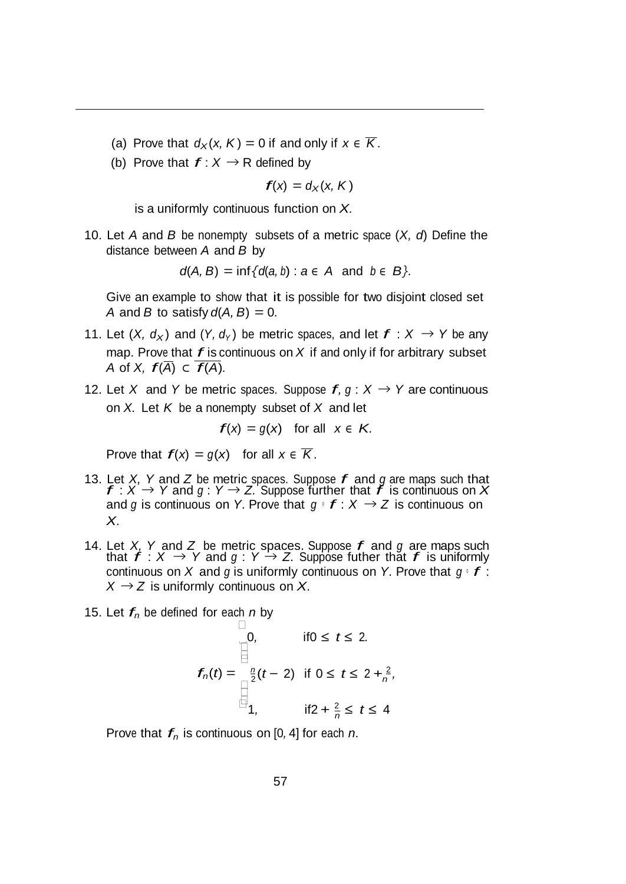- (a) Prove that  $d_X(x, K) = 0$  if and only if  $x \in \overline{K}$ .
- (b) Prove that  $f: X \rightarrow R$  defined by

 $f(x) = d_x(x, K)$ 

is a uniformly continuous function on *X.*

10. Let *A* and *B* be nonempty subsets of a metric space (*X, d*) Define the distance between *A* and *B* by

 $d(A, B) = \inf \{ d(a, b) : a \in A \text{ and } b \in B \}.$ 

Give an example to show that it is possible for two disjoint closed set *A* and *B* to satisfy  $d(A, B) = 0$ .

- 11. Let  $(X, d_X)$  and  $(Y, d_Y)$  be metric spaces, and let  $f: X \rightarrow Y$  be any map. Prove that *f* is continuous on *<sup>X</sup>* if and only if for arbitrary subset *A* of *X*,  $f(\overline{A}) \subset f(A)$ .
- 12. Let *X* and *Y* be metric spaces. Suppose  $f, g: X \rightarrow Y$  are continuous on *X.* Let *K* be a nonempty subset of *X* and let

$$
f(x) = g(x) \text{ for all } x \in K.
$$

Prove that  $f(x) = g(x)$  for all  $x \in \overline{K}$ .

- 13. Let *X, <sup>Y</sup>* and *<sup>Z</sup>* be metric spaces. Suppose *f* and *<sup>g</sup>* are maps such that  $f: X \to Y$  and  $g: Y \to Z$ . Suppose further that  $f$  is continuous on  $X$ and *g* is continuous on *Y*. Prove that  $g \circ f : X \to Z$  is continuous on *X.*
- 14. Let *X, <sup>Y</sup>* and *<sup>Z</sup>*be metric spaces. Suppose *f* and *<sup>g</sup>*are maps such Let  $\lambda$ , *f* and  $\lambda$  be metric spaces. Suppose *f* and *y* are maps such that  $f : X \rightarrow Y$  and  $g : Y \rightarrow Z$ . Suppose futher that  $f$  is uniformly continuous on *<sup>X</sup>* and *<sup>g</sup>* is uniformly continuous on *Y.* Prove that *<sup>g</sup> ◦ f* :  $X \rightarrow Z$  is uniformly continuous on X.
- 15. Let  $f_n$  be defined for each *n* by

$$
f_n(t) = \begin{cases} 0, & \text{if } 0 \leq t \leq 2. \\ \frac{n}{2}(t-2) & \text{if } 0 \leq t \leq 2 + \frac{2}{n}, \\ 1, & \text{if } 2 + \frac{2}{n} \leq t \leq 4 \end{cases}
$$

Prove that  $f_n$  is continuous on [0, 4] for each *n*.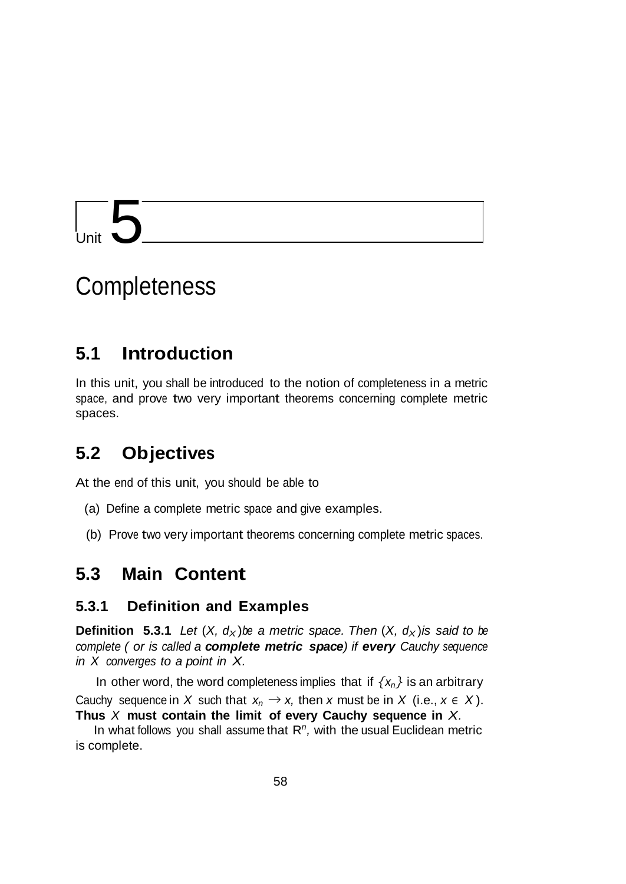# $\sqrt{5}$

## **Completeness**

## **5.1 Introduction**

In this unit, you shall be introduced to the notion of completeness in a metric space, and prove two very important theorems concerning complete metric spaces.

## **5.2 Objectives**

At the end of this unit, you should be able to

- (a) Define a complete metric space and give examples.
- (b) Prove two very important theorems concerning complete metric spaces.

## **5.3 Main Content**

#### **5.3.1 Definition and Examples**

**Definition 5.3.1** *Let*  $(X, d_X)$ *be a metric space. Then*  $(X, d_X)$ *is said to be complete ( or is called a complete metric space) if every Cauchy sequence in X converges to a point in X.*

In other word, the word completeness implies that if  $\{x_n\}$  is an arbitrary Cauchy sequence in *X* such that  $x_n \to x$ , then *x* must be in *X* (i.e.,  $x \in X$ ). **Thus** *X* **must contain the limit of every Cauchy sequence in** *X.*

In what follows you shall assume that R*n,* with the usual Euclidean metric is complete.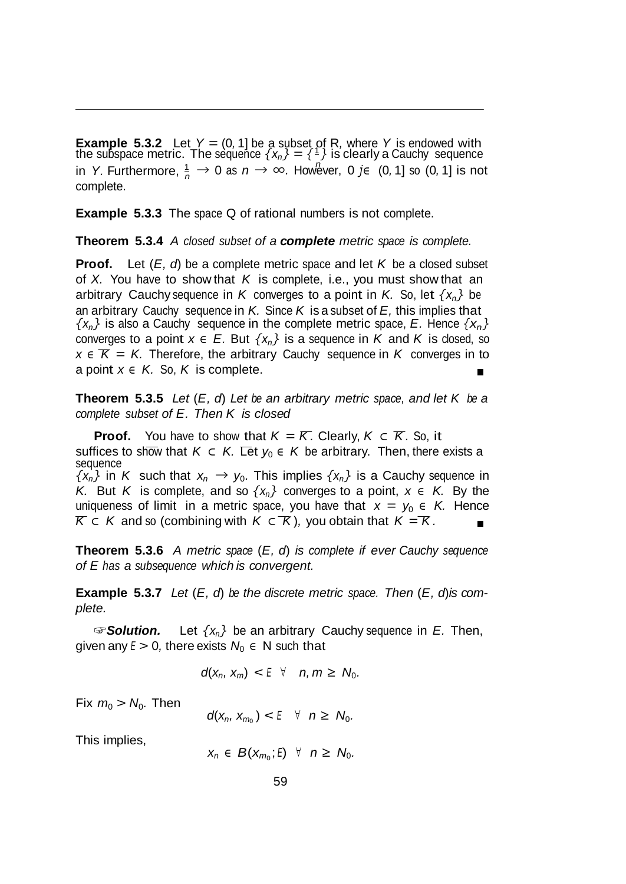*n* in *Y.* Furthermore,  $\frac{1}{n}$  → 0 as  $n \to \infty$ . However, 0 *j*∈ (0, 1] so (0, 1] is not **Example 5.3.2** Let  $Y = (0, 1]$  be a subset of R, where Y is endowed with the subspace metric. The sequence  $\{x_n\} = \{\pm\}$  is clearly a Cauchy sequence complete.

**Example** 5.3.3 The space Q of rational numbers is not complete.

**Theorem 5.3.4** *A closed subset of a complete metric space is complete.*

**Proof.** Let (*E, d*) be a complete metric space and let *K* be a closed subset of *X.* You have to show that *K* is complete, i.e., you must show that an arbitrary Cauchy sequence in *K* converges to a point in *K*. So, let  $\{x_n\}$  be an arbitrary Cauchy sequence in *K.* Since *K* is a subset of *E,* this implies that  $\{x_n\}$  is also a Cauchy sequence in the complete metric space, *E*. Hence  $\{x_n\}$ converges to a point  $x \in E$ . But  $\{x_n\}$  is a sequence in *K* and *K* is closed, so  $x \in \mathcal{K} = K$ . Therefore, the arbitrary Cauchy sequence in *K* converges in to a point  $x \in K$ . So, K is complete.

**Theorem 5.3.5** *Let* (*E, d*) *Let be an arbitrary metric space, and let K be a complete subset of E. Then K is closed*

**Proof.** You have to show that  $K = K$ . Clearly,  $K \subset K$ . So, it suffices to show that  $K \subset K$ . Let  $y_0 \in K$  be arbitrary. Then, there exists a sequence  $\{x_n\}$  in *K* such that  $x_n \rightarrow y_0$ . This implies  $\{x_n\}$  is a Cauchy sequence in *K.* But *K* is complete, and so  $\{x_n\}$  converges to a point,  $x \in K$ . By the uniqueness of limit in a metric space, you have that  $x = y_0 \in K$ . Hence  $K \subset K$  and so (combining with  $K \subset K$ ), you obtain that  $K = K$ .

**Theorem 5.3.6** *A metric space* (*E, d*) *is complete if ever Cauchy sequence of E has a subsequence which is convergent.*

**Example 5.3.7** *Let* (*E, d*) *be the discrete metric space. Then* (*E, d*)*is complete.*

☞*Solution.* Let *{xn}* be an arbitrary Cauchy sequence in *E.* Then, given any  $E > 0$ , there exists  $N_0 \in N$  such that

$$
d(x_n, x_m) < E \quad \forall \quad n, m \geq N_0.
$$

Fix  $m_0 > N_0$ . Then

 $d(x_n, x_{m_0}) < E \quad \forall \quad n \ge N_0.$ 

This implies,

 $x_n$  ∈  $B(x_{m_0}; E)$   $\forall$   $n \geq N_0$ .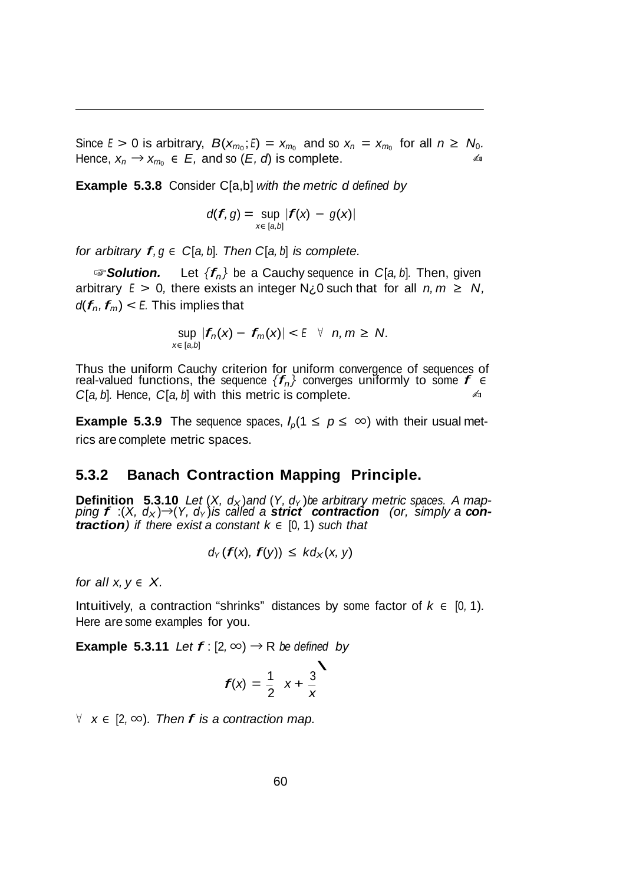Since  $E > 0$  is arbitrary,  $B(x_{m_0}; E) = x_{m_0}$  and so  $x_n = x_{m_0}$  for all  $n \ge N_0$ . Hence,  $x_n \to x_{m_0} \in E$ , and so  $(E, d)$  is complete.

**Example 5.3.8** Consider C[a,b] *with the metric d defined by*

$$
d(f,g)=\sup_{x\in [a,b]}|f(x)-g(x)|
$$

*for arbitrary*  $f, g \in C[a, b]$ *. Then*  $C[a, b]$  *is complete.* 

☞*Solution.* Let *{fn}* be <sup>a</sup> Cauchy sequence in *<sup>C</sup>*[*a, <sup>b</sup>*]*.* Then, given arbitrary  $E > 0$ , there exists an integer  $N_{\zeta}$  such that for all  $n, m \ge N$ ,  $d(f_n, f_m) < E$ . This implies that

$$
\sup_{x\in[a,b]}|f_n(x)-f_m(x)|<\mathbb{E} \quad \forall \quad n,m\geq N.
$$

Thus the uniform Cauchy criterion for uniform convergence of sequences of real-valued functions, the sequence  ${f_n}$  converges uniformly to some  $f \in$  *CLA b* Hence *CLA b* with this metric is complete *C*[*a*, *b*]. Hence, *C*[*a*, *b*] with this metric is complete.

**Example 5.3.9** The sequence spaces,  $I_p(1 \leq p \leq \infty)$  with their usual metrics are complete metric spaces.

#### **5.3.2 Banach Contraction Mapping Principle.**

**Definition 5.3.10** Let  $(X, d_X)$  and  $(Y, d_Y)$  be arbitrary metric spaces. A map-<br>ping  $f:(X, d_X) \rightarrow (Y, d_Y)$  is called a **strict contraction** (or, simply a **con***traction*) if there exist a constant  $k \in [0, 1)$  such that

$$
d_Y(f(x), f(y)) \leq kd_X(x, y)
$$

*for all*  $x, y \in X$ .

Intuitively, a contraction "shrinks" distances by some factor of  $k \in [0, 1)$ *.* Here are some examples for you.

**Example 5.3.11** *Let*  $f$  :  $[2, \infty) \rightarrow R$  *be defined by* 

$$
f(x) = \frac{1}{2}x + \frac{3}{x}
$$

*<sup>∀</sup> <sup>x</sup> <sup>∈</sup>* [2*, <sup>∞</sup>*)*. Then f is <sup>a</sup> contraction map.*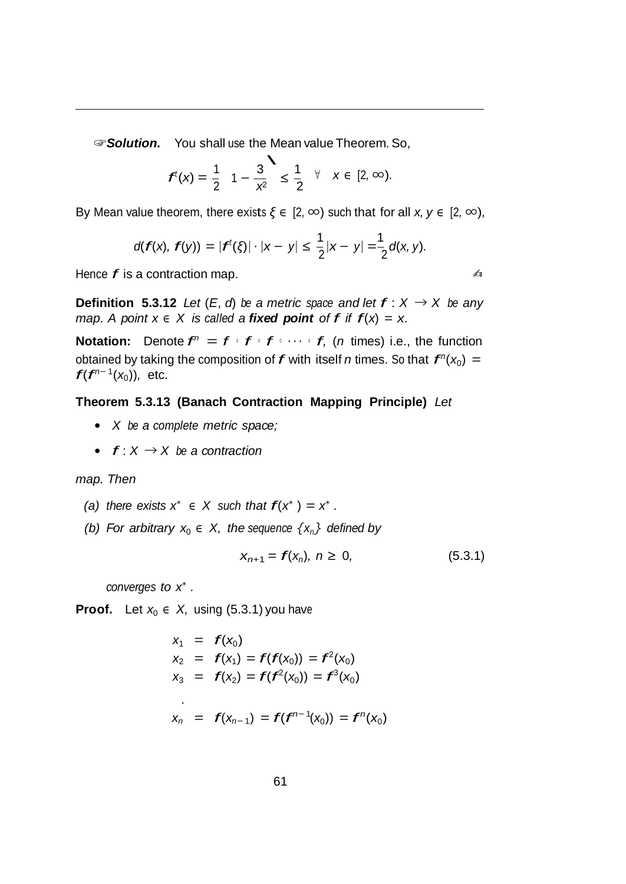**☞ Solution.** You shall use the Mean value Theorem. So,<br>  $\begin{array}{ccc}\n4\left(1\right)&3\end{array}$  1  $\begin{array}{ccc} 1 & \sqrt{2} & \sqrt{2} & \sqrt{2} & \sqrt{2} \\
1 & \sqrt{2} & \sqrt{2} & \sqrt{2}\n\end{array}$ 

$$
f'(x) = \frac{1}{2} - \frac{3}{x^2} \le \frac{1}{2} \quad \forall x \in [2, \infty).
$$

By Mean value theorem, there exists *ξ <sup>∈</sup>* [2*, ∞*) such that for all *x, y <sup>∈</sup>* [2*, ∞*)*,*

$$
d(f(x), f(y)) = |f^{t}(\xi)| \cdot |x - y| \leq \frac{1}{2}|x - y| = \frac{1}{2}d(x, y).
$$

Hence  $f$  is a contraction map.  $\blacksquare$ 

**Definition 5.3.12** *Let*  $(E, d)$  *be a metric space and let*  $f: X \rightarrow X$  *be any map. A point*  $x \in X$  *is called a fixed point of f if*  $f(x) = x$ *.* 

**Notation:** Denote  $f^n = f \cdot f \cdot f \cdot \cdots \cdot f$ , (*n* times) i.e., the function obtained by taking the composition of  $f$  with itself *n* times. So that  $f''(x_0) =$ *f*( $f^{n-1}(x_0)$ ), etc.

#### **Theorem 5.3.13 (Banach Contraction Mapping Principle)** *Let*

- *• X be a complete metric space;*
- *• f* : *<sup>X</sup> <sup>→</sup> X be <sup>a</sup> contraction*

*map. Then*

- *(a) there exists*  $x^* \in X$  *such that*  $f(x^*) = x^*$  *.*
- *(b) For arbitrary*  $x_0$   $\in$  *X, the sequence*  $\{x_n\}$  *defined by*

$$
x_{n+1} = f(x_n), \; n \geq 0, \tag{5.3.1}
$$

*converges to x<sup>∗</sup> .*

**Proof.** Let  $x_0 \in X$ , using (5.3.1) you have

$$
x_1 = f(x_0)
$$
  
\n
$$
x_2 = f(x_1) = f(f(x_0)) = f^2(x_0)
$$
  
\n
$$
x_3 = f(x_2) = f(f^2(x_0)) = f^3(x_0)
$$
  
\n
$$
x_n = f(x_{n-1}) = f(f^{n-1}(x_0)) = f^n(x_0)
$$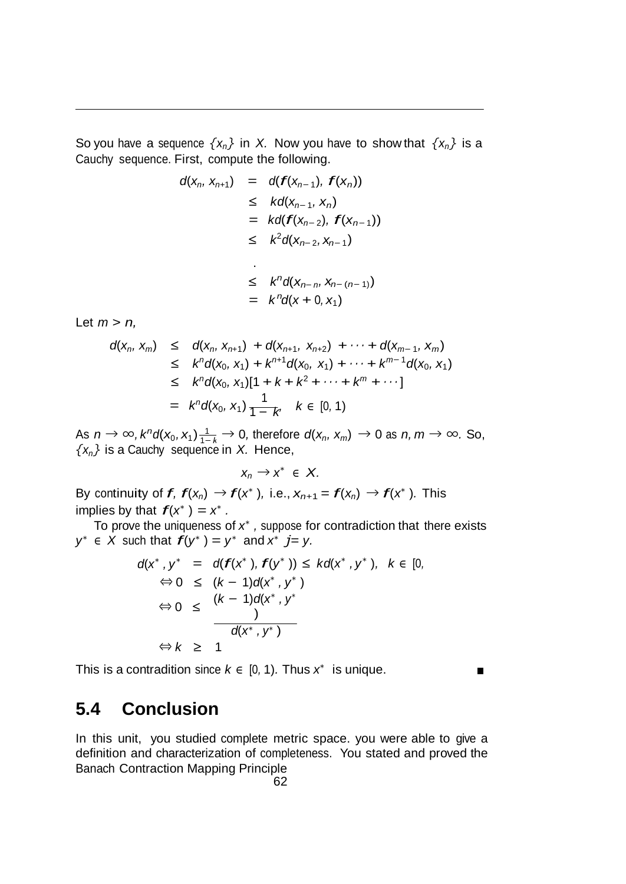So you have a sequence  $\{x_n\}$  in *X*. Now you have to show that  $\{x_n\}$  is a Cauchy sequence. First, compute the following.

$$
d(x_n, x_{n+1}) = d(f(x_{n-1}), f(x_n))
$$
  
\n
$$
\leq k d(x_{n-1}, x_n)
$$
  
\n
$$
= k d(f(x_{n-2}), f(x_{n-1}))
$$
  
\n
$$
\leq k^2 d(x_{n-2}, x_{n-1})
$$
  
\n
$$
\leq k^n d(x_{n-n}, x_{n-(n-1)})
$$
  
\n
$$
= k^n d(x + 0, x_1)
$$

Let *m > n,*

$$
d(x_n, x_m) \leq d(x_n, x_{n+1}) + d(x_{n+1}, x_{n+2}) + \cdots + d(x_{m-1}, x_m)
$$
  
\n
$$
\leq k^n d(x_0, x_1) + k^{n+1} d(x_0, x_1) + \cdots + k^{m-1} d(x_0, x_1)
$$
  
\n
$$
\leq k^n d(x_0, x_1)[1 + k + k^2 + \cdots + k^m + \cdots]
$$
  
\n
$$
= k^n d(x_0, x_1) \frac{1}{1 - k}, \quad k \in [0, 1)
$$

As  $n \to \infty$ ,  $k^n d(x_0, x_1) \frac{1}{1-k} \to 0$ , therefore  $d(x_n, x_m) \to 0$  as  $n, m \to \infty$ . So,  $\{x_n\}$  is a Cauchy sequence in *X*. Hence,

$$
x_n \to x^* \in X.
$$

By continuity of *f,*  $f(x_n) \rightarrow f(x^*)$ , i.e.,  $x_{n+1} = f(x_n) \rightarrow f(x^*)$ . This implies by that  $f(x^*) = x^*$ .

To prove the uniqueness of *x<sup>∗</sup> ,* suppose for contradiction that there exists *y*<sup>*∗*</sup> ∈ *X* such that  $f(y^*) = y^*$  and  $x^*$  *j*= *y*.

$$
d(x^*, y^* = d(f(x^*), f(y^*)) \leq kd(x^*, y^*), \quad k \in [0, \Rightarrow 0 \leq (k-1)d(x^*, y^*)
$$
  
\n
$$
\Leftrightarrow 0 \leq \frac{(k-1)d(x^*, y^*)}{(k-1)d(x^*, y^*)}
$$
  
\n
$$
\Leftrightarrow k \geq 1
$$

 $\blacksquare$ 

This is a contradition since  $k \in [0, 1)$ . Thus  $x^*$  is unique.

## **5.4 Conclusion**

In this unit, you studied complete metric space. you were able to give a definition and characterization of completeness. You stated and proved the Banach Contraction Mapping Principle

$$
62
$$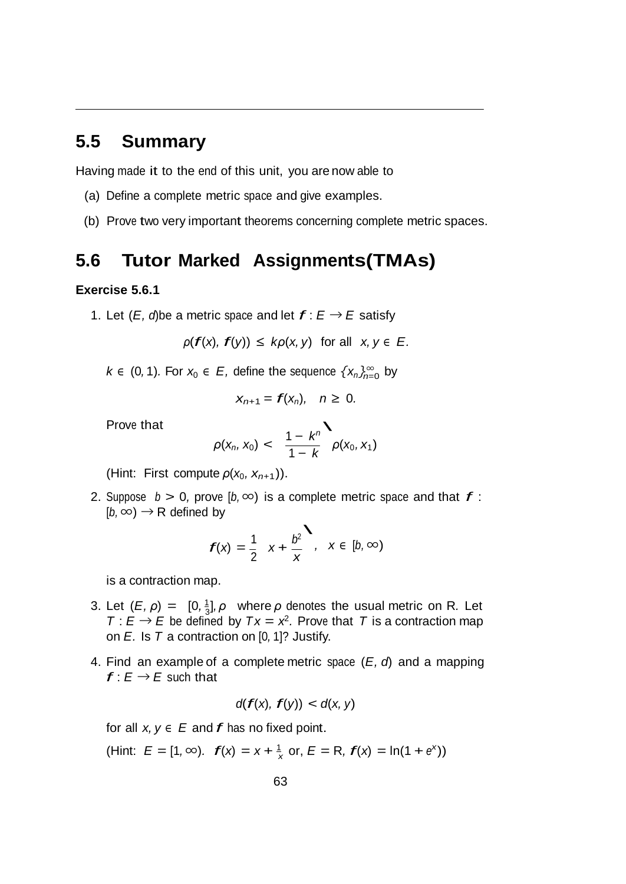## **5.5 Summary**

Having made it to the end of this unit, you are now able to

- (a) Define a complete metric space and give examples.
- (b) Prove two very important theorems concerning complete metric spaces.

## **5.6 Tutor Marked Assignments(TMAs)**

#### **Exercise 5.6.1**

1. Let  $(E, d)$ be a metric space and let  $f: E \rightarrow E$  satisfy

$$
\rho(f(x), f(y)) \leq k\rho(x, y) \text{ for all } x, y \in E.
$$

*k* ∈ (0,1). For  $x_0$  ∈ *E*, define the sequence  $\{x_n\}_{n=0}^\infty$  by

$$
x_{n+1}=f(x_n), \quad n\geq 0.
$$

Prove that

$$
\rho(x_n, x_0) < \frac{1 - k^n}{1 - k} \rho(x_0, x_1)
$$

(Hint: First compute  $\rho(x_0, x_{n+1})$ ).

2. Suppose  $b > 0$ , prove  $(b, \infty)$  is a complete metric space and that  $f$ :  $(b, \infty) \rightarrow R$  defined by

by  

$$
f(x) = \frac{1}{2} x + \frac{b^2}{x}, x \in [b, \infty)
$$

is a contraction map.

- 3. Let  $(E, \rho) = [0, \frac{1}{3}], \rho$  where  $\rho$  denotes the usual metric on R. Let  $T : E \rightarrow E$  be defined by  $Tx = x^2$ . Prove that *T* is a contraction map on *E.* Is *T* a contraction on [0*,* 1]? Justify.
- 4. Find an example of a complete metric space (*E, d*) and a mapping  $f: E \rightarrow E$  such that

$$
d(f(x), f(y)) < d(x, y)
$$

for all  $x, y \in E$  and  $f$  has no fixed point.

 $x + \frac{1}{x}$  or,  $E = \{1, \infty\}$ .  $f(x) = x + \frac{1}{x}$  or,  $E = R$ ,  $f(x) = \ln(1 + e^x)$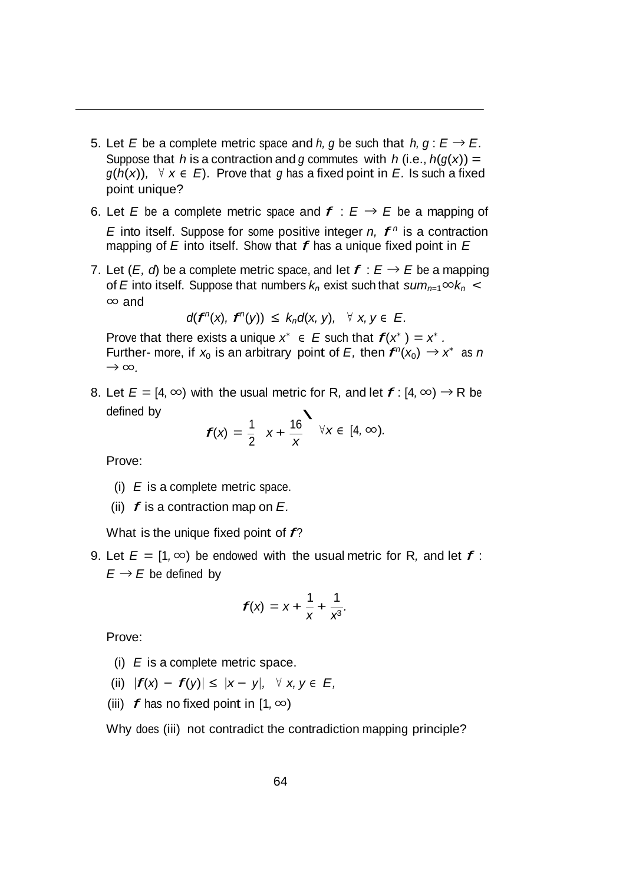- 5. Let *E* be a complete metric space and *h*, *g* be such that *h*,  $g : E \rightarrow E$ . Suppose that *h* is a contraction and *g* commutes with *h* (i.e.,  $h(g(x)) =$ *g*( $h(x)$ ), ∀  $x \in E$ ). Prove that *g* has a fixed point in *E*. Is such a fixed point unique?
- 6. Let *E* be a complete metric space and  $f : E \rightarrow E$  be a mapping of *E* into itself. Suppose for some positive integer *n*,  $f^n$  is a contraction mapping of *<sup>E</sup>* into itself. Show that *f* has <sup>a</sup> unique fixed point in *<sup>E</sup>*
- 7. Let  $(E, d)$  be a complete metric space, and let  $f : E \rightarrow E$  be a mapping of *E* into itself. Suppose that numbers  $k_n$  exist such that  $sum_{n=1} \infty k_n$  < *∞* and

$$
d(f^{n}(x), f^{n}(y)) \leq k_n d(x, y), \quad \forall x, y \in E.
$$

Prove that there exists a unique  $x^* \in E$  such that  $f(x^*) = x^*$ . Further- more, if  $x_0$  is an arbitrary point of *E*, then  $f''(x_0) \rightarrow x^*$  as *n → ∞.*

8. Let  $E = [4, \infty)$  with the usual metric for R, and let  $f : [4, \infty) \rightarrow \mathbb{R}$  be defined by  $\ddot{\phantom{1}}$ 

$$
f(x) = \frac{1}{2}x + \frac{16}{x} \quad \forall x \in [4, \infty).
$$

Prove:

- (i) *E* is a complete metric space.
- (ii) *f* is <sup>a</sup> contraction map on *E.*

What is the unique fixed point of *f*?

9. Let  $E = [1, \infty)$  be endowed with the usual metric for R, and let  $f$ :  $E \rightarrow E$  be defined by

$$
f(x) = x + \frac{1}{x} + \frac{1}{x^3}.
$$

Prove:

- (i) *E* is a complete metric space.
- (ii)  $|f(x) f(y)| \le |x y|, \forall x, y \in E$ ,
- (iii)  $f$  has no fixed point in  $[1, \infty)$

Why does (iii) not contradict the contradiction mapping principle?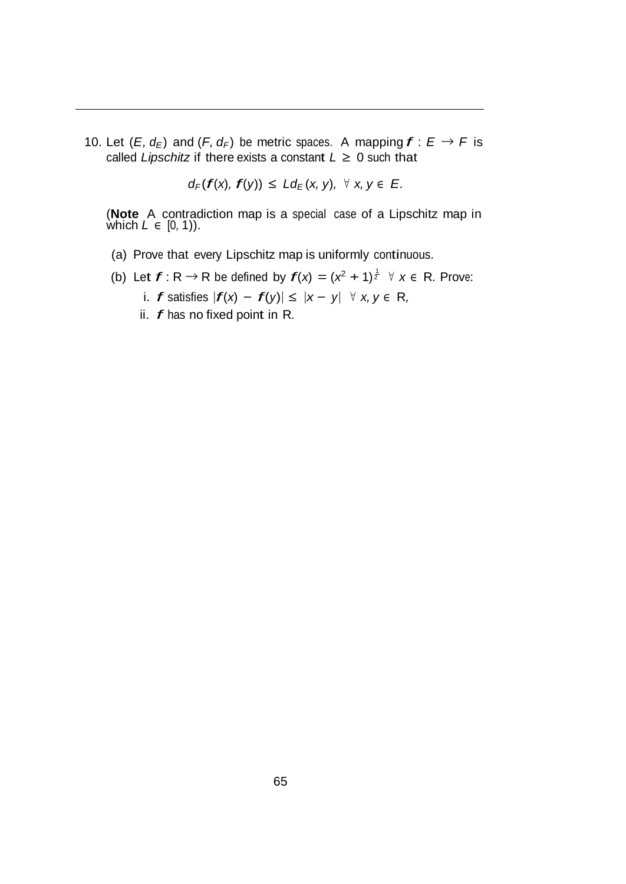10. Let  $(E, d_E)$  and  $(F, d_F)$  be metric spaces. A mapping  $f : E \rightarrow F$  is called *Lipschitz* if there exists a constant  $L \geq 0$  such that

$$
d_F(f(x), f(y)) \leq L d_E(x, y), \forall x, y \in E.
$$

(**Note** A contradiction map is a special case of a Lipschitz map in which *L ∈* [0*,* 1)).

- (a) Prove that every Lipschitz map is uniformly continuous.
- (b) Let  $f: \mathsf{R} \to \mathsf{R}$  be defined by  $f(x) = (x^2 + 1)^{\frac{1}{2}}$   $\forall x \in \mathsf{R}$ . Prove:
	- i. *f* satisfies *<sup>|</sup>f*(*x*) *<sup>−</sup> f*(*y*)*<sup>|</sup> <sup>≤</sup> <sup>|</sup><sup>x</sup> <sup>−</sup> <sup>y</sup><sup>|</sup> <sup>∀</sup> x, <sup>y</sup> <sup>∈</sup>* <sup>R</sup>*,*
	- ii. *f* has no fixed point in <sup>R</sup>*.*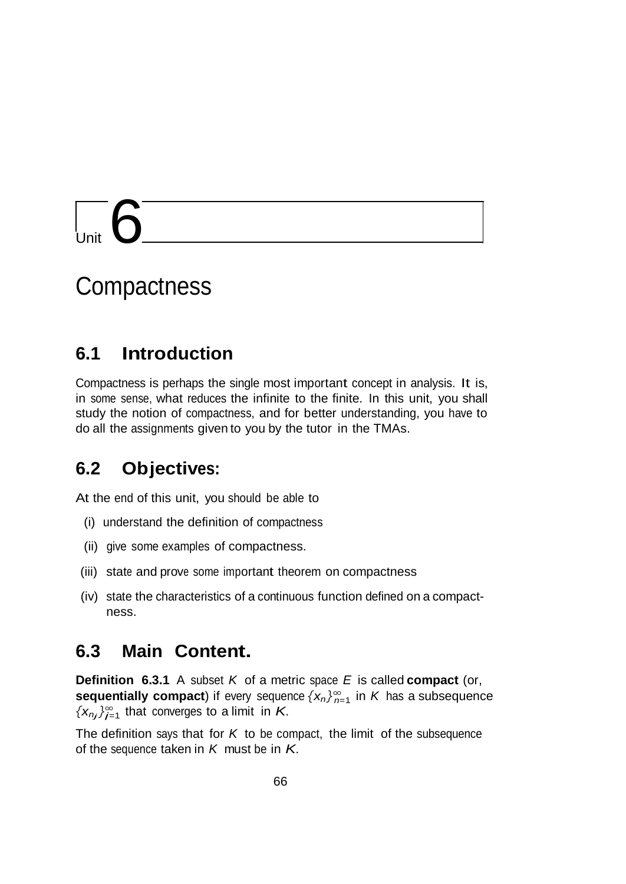# $\overline{\mathbf{b}}$

# **Compactness**

## **6.1 Introduction**

Compactness is perhaps the single most important concept in analysis. It is, in some sense, what reduces the infinite to the finite. In this unit, you shall study the notion of compactness, and for better understanding, you have to do all the assignments given to you by the tutor in the TMAs.

## **6.2 Objectives:**

At the end of this unit, you should be able to

- (i) understand the definition of compactness
- (ii) give some examples of compactness.
- (iii) state and prove some important theorem on compactness
- (iv) state the characteristics of a continuous function defined on a compactness.

#### **6.3 Main Content.**

**sequentially compact**) if every sequence  $\{x_n\}_{n=1}^\infty$  in  $K$  has a subsequence  $\{x_{nj}\}_{j=1}^{\infty}$  that converges to a limit in *K*. **Definition 6.3.1** A subset *K* of a metric space *E* is called **compact** (or,

The definition says that for *K* to be compact, the limit of the subsequence of the sequence taken in *K* must be in *K.*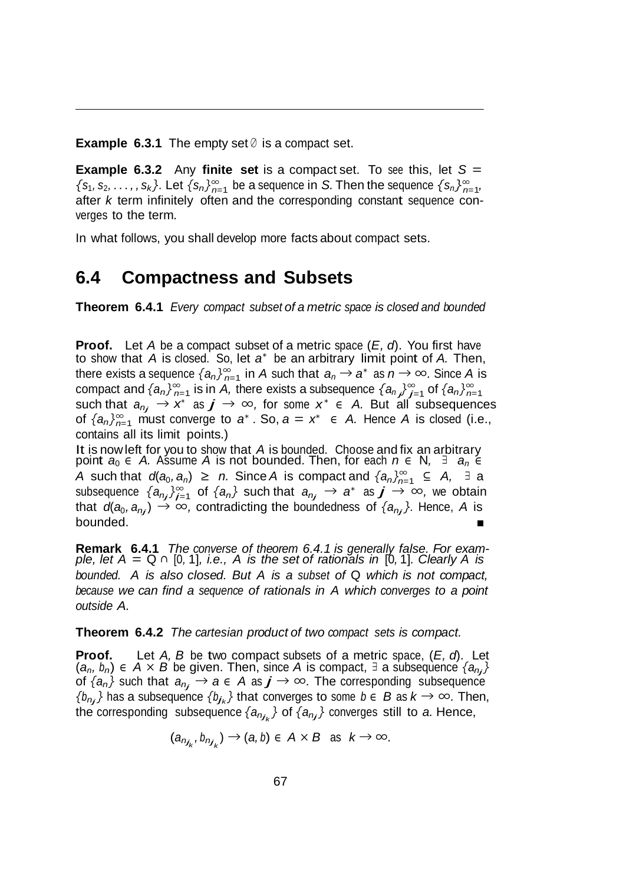**Example 6.3.1** The empty set *<sup>∅</sup>* is a compact set.

 $\{s_1, s_2, \ldots, s_k\}$ . Let  $\{s_n\}_{n=1}^{\infty}$  be a sequence in S. Then the sequence  $\{s_n\}_{n=1}^{\infty}$ **Example** 6.3.2 Any **finite set** is a compact set. To see this, let  $S =$ after *k* term infinitely often and the corresponding constant sequence converges to the term.

In what follows, you shall develop more facts about compact sets.

#### **6.4 Compactness and Subsets**

**Theorem 6.4.1** *Every compact subset of a metric space is closed and bounded*

 $f$  there exists a sequence  $\{a_n\}_{n=1}^\infty$  in  $A$  such that  $a_n \to a^*$  as  $n \to \infty$ . Since  $A$  is of  ${a_n}_{n=1}^{\infty}$  must converge to *a<sup>\*</sup>*. So,  $a = x^* \in A$ . Hence *A* is closed (i.e., **Proof.** Let *A* be a compact subset of a metric space (*E, d*). You first have to show that *A* is closed. So, let *a<sup>∗</sup>* be an arbitrary limit point of *A.* Then, compact and  $\{a_n\}_{n=1}^{\infty}$  is in *A*, there exists a subsequence  $\{a_n\}_{n=1}^{\infty}$  of  $\{a_n\}_{n=1}^{\infty}$ *<sup>x</sup><sup>∗</sup> <sup>j</sup> <sup>j</sup>*=1 *<sup>∗</sup> <sup>n</sup>*=1 such that *anj <sup>→</sup>* as *j <sup>→</sup> <sup>∞</sup>,* for some *<sup>x</sup> <sup>∈</sup> A.* But all subsequences contains all its limit points.)

*A* such that *d*(*a*<sub>0</sub>*, a<sub>n</sub>*) ≥ *n.* Since *A* is compact and  $\{a_n\}_{n=1}^{\infty}$  ⊆ *A*, ∃ a subsequence  $\{a_{nj}\}_{j=1}^{\infty}$  of  $\{a_n\}$  such that  $a_{nj} \to a^*$  as  $j \to \infty$ , we obtain It is nowleft for you to show that *A* is bounded. Choose and fix an arbitrary point  $a_0 \in A$ . Assume *A* is not bounded. Then, for each  $n \in N$ ,  $\exists a_n \in$ that  $d(a_0, a_{n_j}) \to \infty$ , contradicting the boundedness of  $\{a_{n_j}\}$ . Hence, A is bounded.

**Remark 6.4.1** The converse of theorem 6.4.1 is generally false. For example, let  $A = Q \cap [0, 1]$ , i.e., A is the set of rationals in [0, 1]. Clearly A is *bounded. A is also closed. But A is a subset of* Q *which is not compact, because we can find a sequence of rationals in A which converges to a point outside A.*

**Theorem 6.4.2** *The cartesian product of two compact sets is compact.*

**Proof.** Let *A, B* be two compact subsets of a metric space, (*E, d*). Let  $(a_n, b_n)$  ∈ *A* × *B* be given. Then, since *A* is compact, *∃* a subsequence  $\{a_n\}$ of  ${a_n}$  such that  $a_{n_j} \to a \in A$  as  $j \to \infty$ . The corresponding subsequence *{b<sub>nj</sub>}* has a subsequence  ${b_j}_k$ *}* that converges to some *b* ∈ *B* as  $k \to ∞$ *.* Then, the corresponding subsequence *{anj k }* of *{anj }* converges still to *a.* Hence,

$$
(a_{n_{j_k}}, b_{n_{j_k}}) \to (a, b) \in A \times B \text{ as } k \to \infty.
$$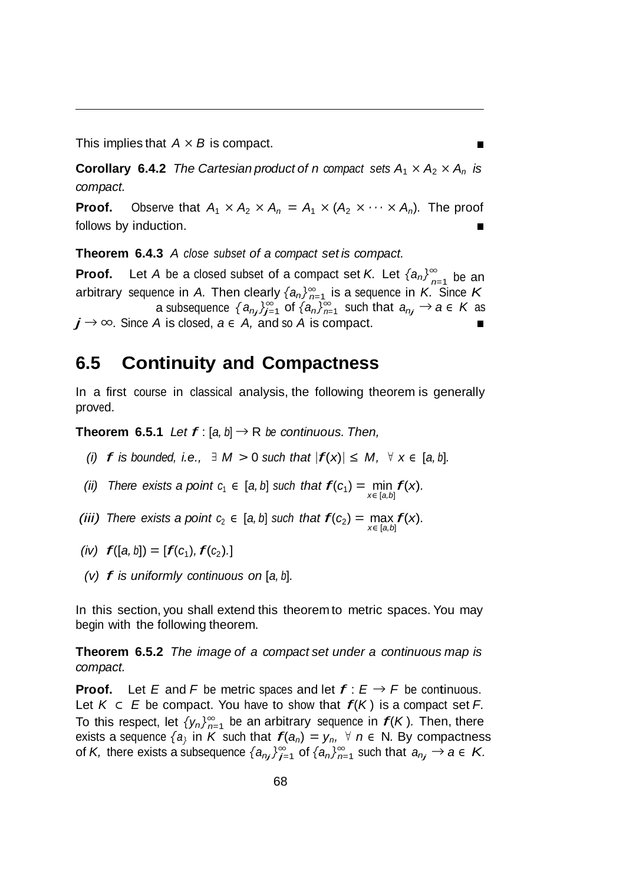This implies that *A × B* is compact.

**Corollary** 6.4.2 *The Cartesian product of n compact sets*  $A_1 \times A_2 \times A_n$  *is compact.*

**Proof.** Observe that  $A_1 \times A_2 \times A_n = A_1 \times (A_2 \times \cdots \times A_n)$ . The proof follows by induction.

**Theorem 6.4.3** *A close subset of a compact set is compact.*

**Proof.** Let *A* be a closed subset of a compact set *K*. Let  $\{a_n\}_{n=1}^{\infty}$  be an *n*=1 arbitrary sequence in *A.* Then clearly *{an}<sup>∞</sup>* is a sequence in *K.* Since *K*  $a$  subsequence  $\{a_{n_j}\}_{j=1}^\infty$  of  $\{a_n\}_{n=1}^\infty$  such that  $a_{n_j}\to a\in K$  as  $j \rightarrow \infty$ . Since *A* is closed,  $a \in A$ , and so *A* is compact.

#### **6.5 Continuity and Compactness**

In a first course in classical analysis, the following theorem is generally proved.

**Theorem 6.5.1** *Let*  $f$  : [a, b]  $\rightarrow$  R *be continuous. Then,* 

*(i)*  $f$  *is bounded, i.e.,*  $\exists$  *M* > 0 *such that*  $|f(x)| \leq M$ ,  $\forall$  *x* ∈ [*a, b*]*.* 

*(ii)* There exists a point  $c_1 \in [a, b]$  such that  $f(c_1) = \min_{x \in [a, b]} f(x)$ .

*(iii) There exists a point*  $c_2 \in [a, b]$  *such that*  $f(c_2) = \max_{x \in [a, b]} f(x)$ *.* 

 $f([a, b]) = [f(c_1), f(c_2).]$ 

*(v) f is uniformly continuous on* [*a, <sup>b</sup>*]*.*

In this section, you shall extend this theorem to metric spaces. You may begin with the following theorem.

**Theorem 6.5.2** *The image of a compact set under a continuous map is compact.*

To this respect, let  $\{y_n\}_{n=1}^{\infty}$  be an arbitrary sequence in  $f(K)$ . Then, there  $j$  of *K*, there exists a subsequence  $\{a_{nj}\}_{j=1}^\infty$  of  $\{a_n\}_{n=1}^\infty$  such that  $a_{nj} \to a \in K$ . **Proof.** Let *E* and *F* be metric spaces and let  $f: E \rightarrow F$  be continuous. Let *<sup>K</sup><sup>⊂</sup> <sup>E</sup>* be compact. You have to show that *f*(*<sup>K</sup>* ) is <sup>a</sup> compact set *F.* exists a sequence  $\{a\}$  in *K* such that  $f(a_n) = y_n$ ,  $\forall n \in \mathbb{N}$ . By compactness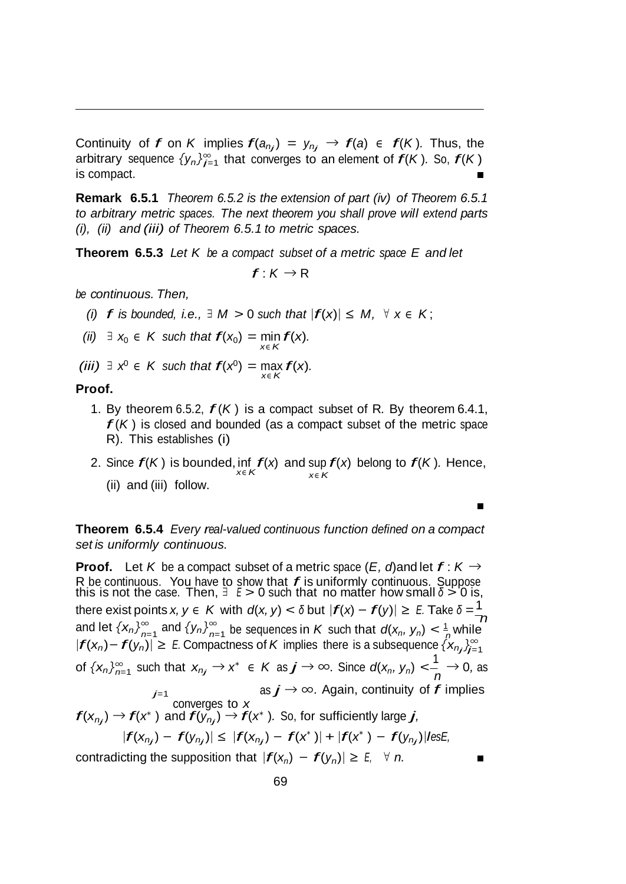Continuity of *f* on *K* implies  $f(a_{n_j}) = y_{n_j} \rightarrow f(a) \in f(K)$ . Thus, the arbitrary sequence  $\{y_n\}_{n=1}^{\infty}$  that converges to an element of  $f(K)$ *.* So,  $f(K)$ is compact.  $\blacksquare$ 

**Remark 6.5.1** *Theorem 6.5.2 is the extension of part (iv) of Theorem 6.5.1 to arbitrary metric spaces. The next theorem you shall prove will extend parts (i), (ii) and (iii) of Theorem 6.5.1 to metric spaces.*

**Theorem 6.5.3** *Let K be a compact subset of a metric space E and let*

 $f: K \rightarrow R$ 

*be continuous. Then,*

*(i)*  $f$  *is bounded, i.e.,*  $\exists$  *M* > 0 *such that*  $|f(x)| \leq M$ ,  $\forall$   $x \in K$ ;

*(ii)*  $\exists$  *x*<sub>0</sub>  $\in$  *K such that*  $f(x_0) = \min_{x \in K} f(x)$ *.* 

*(iii)*  $\exists$  *x*<sup>0</sup>  $\in$  *K* such that  $f(x^0) = \max_{x \in K} f(x)$ .

#### **Proof.**

- 1. By theorem 6.5.2, *f* (*<sup>K</sup>* ) is <sup>a</sup> compact subset of <sup>R</sup>*.* By theorem 6.4.1, *f* (*<sup>K</sup>* ) is closed and bounded (as <sup>a</sup> compact subset of the metric space R). This establishes (i)
- 2. Since  $f(K)$  is bounded, inf  $f(x)$  and sup  $f(x)$  belong to  $f(K)$ . Hence, (ii) and (iii) follow.

 $\blacksquare$ 

**Theorem 6.5.4** *Every real-valued continuous function defined on a compact set is uniformly continuous.*

 $n=1$   $\sum_{n=1}^{\infty}$   $n=1$   $\sum_{n=1}^{\infty}$   $n=1$   $\sum_{n=1}^{\infty}$   $n=1$   $\sum_{n=1}^{\infty}$   $n=1$   $\sum_{n=1}^{\infty}$ *j*=1 of  $\{x_n\}_{n=1}^{\infty}$  such that  $x_{n_j} \to x^* \in K$  as  $j \to \infty$ . Since  $d(x_n, y_n) < \frac{1}{n} \to 0$ , as **Proof.** Let *K* be a compact subset of a metric space  $(E, d)$  and let  $f: K \rightarrow$ R be continuous. You have to show that  $f$  is uniformly continuous. Suppose this is not the case. Then,  $\exists E > 0$  such that no matter how small  $\delta > 0$  is, there exist points  $x, y \in K$  with  $d(x, y) < \delta$  but  $|f(x) - f(y)| \ge E$ . Take  $\delta = \frac{1}{K}$ and let  $\{x_n\}_{n=1}^{\infty}$  and  $\{y_n\}_{n=1}^{\infty}$  be sequences in *K* such that  $d(x_n, y_n) < \frac{1}{n}$  while  $|f(x_n) - f(y_n)| \ge E$ . Compactness of *K* implies there is a subsequence  $\{x_{n_j}\}_{j=1}^{\infty}$ *.* Again, continuity of *f* implies *<sup>j</sup>*=1 as *j <sup>→</sup> <sup>∞</sup>* converges to *x*<br>  $f(x_{n_j}) \to f(x^*)$  and  $f(y_{n_j}) \to f(x^*)$ . So, for sufficiently large *j*,  $|f(x_{n_j}) - f(y_{n_j})| \leq |f(x_{n_j}) - f(x^*)| + |f(x^*) - f(y_{n_j})|$ lesE,

contradicting the supposition that  $|f(x_n) - f(y_n)| \ge E$ ,  $\forall n$ .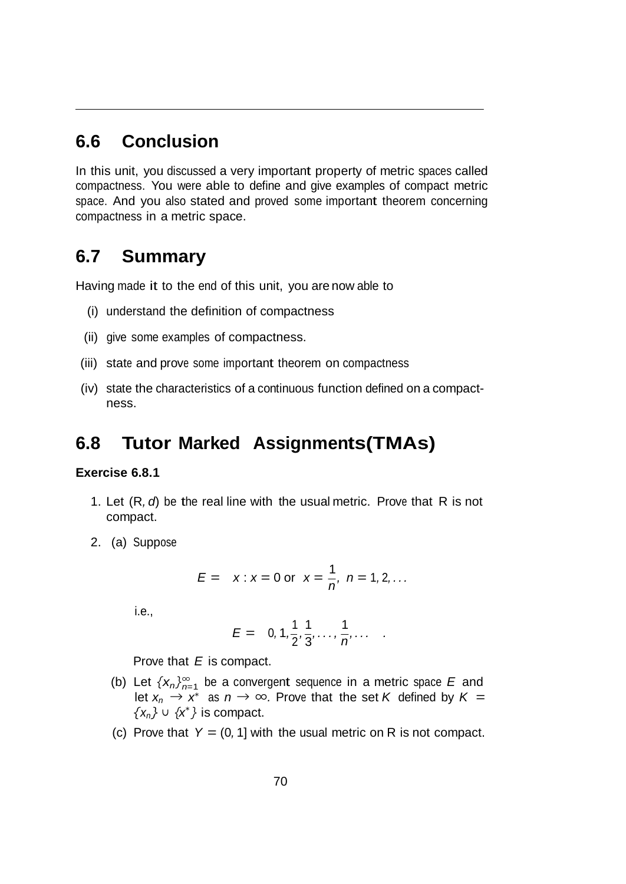#### **6.6 Conclusion**

In this unit, you discussed a very important property of metric spaces called compactness. You were able to define and give examples of compact metric space. And you also stated and proved some important theorem concerning compactness in a metric space.

#### **6.7 Summary**

Having made it to the end of this unit, you are now able to

- (i) understand the definition of compactness
- (ii) give some examples of compactness.
- (iii) state and prove some important theorem on compactness
- (iv) state the characteristics of a continuous function defined on a compactness.

#### **6.8 Tutor Marked Assignments(TMAs)**

#### **Exercise 6.8.1**

- 1. Let (R*, d*) be the real line with the usual metric. Prove that R is not compact.
- 2. (a) Suppose

$$
E = x : x = 0
$$
 or  $x = \frac{1}{n}$ ,  $n = 1, 2, ...$ 

i.e.,

$$
E = 0, 1, \frac{1}{2}, \frac{1}{3}, \ldots, \frac{1}{n}, \ldots
$$

Prove that *E* is compact.

- (b) Let  $\{x_n\}_{n=1}^{\infty}$  be a convergent sequence in a metric space *E* and let  $x_n \rightarrow x^*$  as  $n \rightarrow \infty$ . Prove that the set *K* defined by  $K =$ *x<sup>∗</sup> {xn} <sup>∪</sup> { }* is compact.
- (c) Prove that  $Y = (0, 1]$  with the usual metric on R is not compact.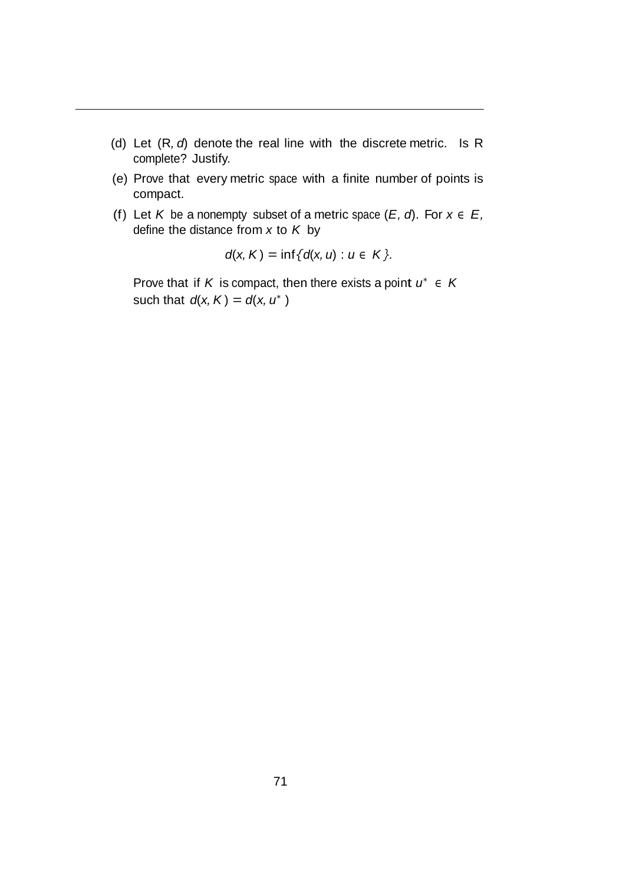- (d) Let (R*, d*) denote the real line with the discrete metric. Is R complete? Justify.
- (e) Prove that every metric space with a finite number of points is compact.
- (f) Let *K* be a nonempty subset of a metric space  $(E, d)$ . For  $x \in E$ , define the distance from *x* to *K* by

$$
d(x, K) = \inf \{ d(x, u) : u \in K \}.
$$

Prove that if *K* is compact, then there exists a point  $u^* \in K$ such that  $d(x, K) = d(x, u^*)$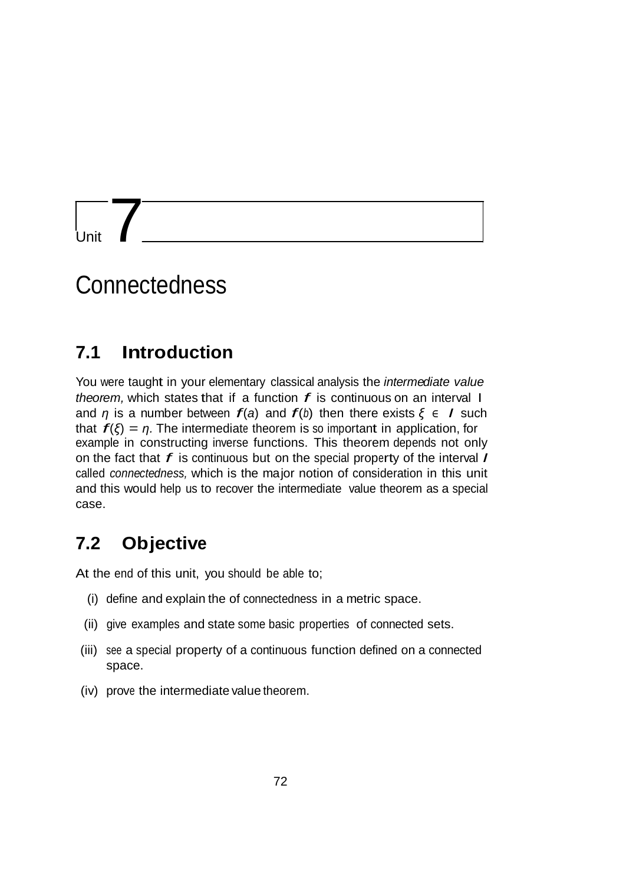$\frac{1}{\frac{1}{\sqrt{1-\frac{1}{\sqrt{1+\frac{1}{\sqrt{1+\frac{1}{\sqrt{1+\frac{1}{\sqrt{1+\frac{1}{\sqrt{1+\frac{1}{\sqrt{1+\frac{1}{\sqrt{1+\frac{1}{\sqrt{1+\frac{1}{\sqrt{1+\frac{1}{\sqrt{1+\frac{1}{\sqrt{1+\frac{1}{\sqrt{1+\frac{1}{\sqrt{1+\frac{1}{\sqrt{1+\frac{1}{\sqrt{1+\frac{1}{\sqrt{1+\frac{1}{\sqrt{1+\frac{1}{\sqrt{1+\frac{1}{\sqrt{1+\frac{1}{\sqrt{1+\frac{1}{\sqrt{1+\frac{1}{\sqrt{1+\frac{1}{1+\frac$ 

## **Connectedness**

### **7.1 Introduction**

You were taught in your elementary classical analysis the *intermediate value theorem,* which states that if <sup>a</sup> function *f* is continuous on an interval I and *η* is a number between  $f(a)$  and  $f(b)$  then there exists  $ξ ∈ I$  such that  $f(\xi) = \eta$ . The intermediate theorem is so important in application, for example in constructing inverse functions. This theorem depends not only on the fact that *f* is continuous but on the special property of the interval *I*  called *connectedness,* which is the major notion of consideration in this unit and this would help us to recover the intermediate value theorem as a special case.

## **7.2 Objective**

At the end of this unit, you should be able to;

- (i) define and explain the of connectedness in a metric space.
- (ii) give examples and state some basic properties of connected sets.
- (iii) see a special property of a continuous function defined on a connected space.
- (iv) prove the intermediate value theorem.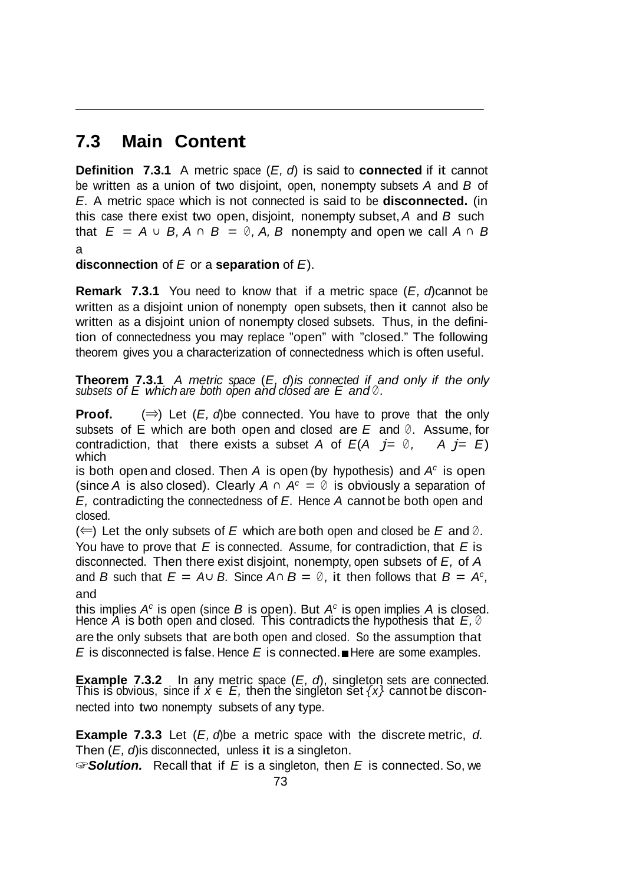## **7.3 Main Content**

**Definition 7.3.1** A metric space (*E, d*) is said to **connected** if it cannot be written as a union of two disjoint, open, nonempty subsets *A* and *B* of *E.* A metric space which is not connected is said to be **disconnected.** (in this case there exist two open, disjoint, nonempty subset,*A* and *B* such that  $E = A ∪ B$ ,  $A ∩ B = ∅ A$ ,  $B$  nonempty and open we call  $A ∩ B$ a

**disconnection** of *E* or a **separation** of *E*).

**Remark 7.3.1** You need to know that if a metric space (*E, d*)cannot be written as a disjoint union of nonempty open subsets, then it cannot also be written as a disjoint union of nonempty closed subsets. Thus, in the definition of connectedness you may replace "open" with "closed." The following theorem gives you a characterization of connectedness which is often useful.

**Theorem 7.3.1** A metric space  $(E, d)$  is connected if and only if the only subsets of E which are both open and closed are E and  $\emptyset$ .

**Proof.** (*⇒*) Let (*E, d*)be connected. You have to prove that the only subsets of E which are both open and closed are *E* and *<sup>∅</sup> .* Assume, for contradiction, that there exists a subset *A* of  $E(A \neq i) = \emptyset$ ,  $A \neq E$ which

is both open and closed. Then *A* is open (by hypothesis) and *Ac* is open (since *A* is also closed). Clearly  $A \cap A^c = \emptyset$  is obviously a separation of *E,* contradicting the connectedness of *E.* Hence *A* cannot be both open and closed.

(*⇐*) Let the only subsets of *E* which are both open and closed be *E* and *<sup>∅</sup> .* You have to prove that *E* is connected. Assume, for contradiction, that *E* is disconnected. Then there exist disjoint, nonempty, open subsets of *E,* of *A* and *B* such that  $E = A \cup B$ . Since  $A \cap B = \emptyset$ , it then follows that  $B = A^c$ , and

this implies *Ac* is open (since *B* is open). But *Ac* is open implies *A* is closed. Hence *A* is both open and closed. This contradicts the hypothesis that *E, <sup>∅</sup>* are the only subsets that are both open and closed. So the assumption that *E* is disconnected is false. Hence *E* is connected.■Here are some examples.

**Example 7.3.2** In any metric space (*E, d*), singleton sets are connected. This is obvious, since if  $\acute{x} \in \acute{E}$ , then the singleton set  $\{x\}$  cannot be disconnected into two nonempty subsets of any type.

**Example 7.3.3** Let (*E, d*)be a metric space with the discrete metric, *d.* Then (*E, d*)is disconnected, unless it is a singleton.

☞*Solution.* Recall that if *E* is a singleton, then *E* is connected. So, we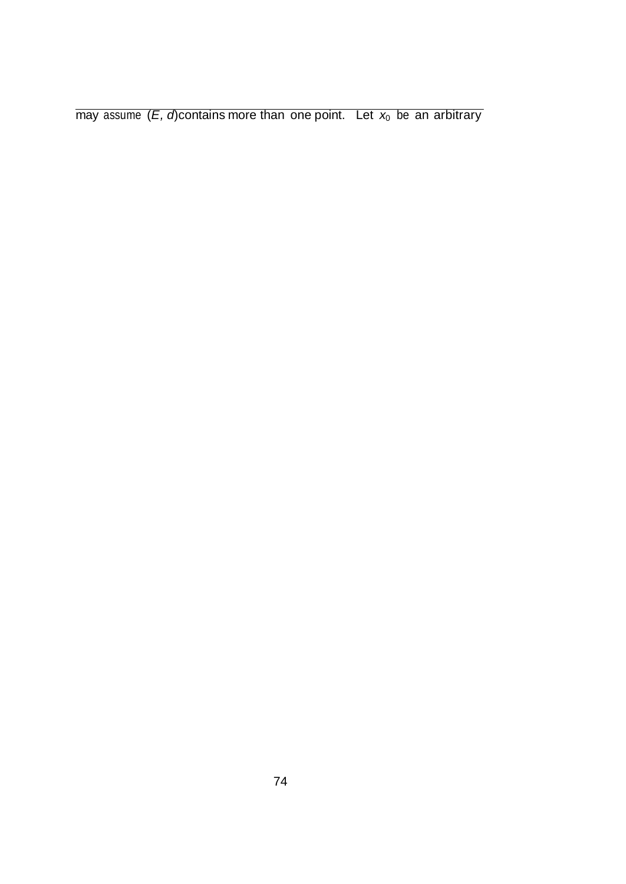may assume  $(E, d)$  contains more than one point. Let  $x_0$  be an arbitrary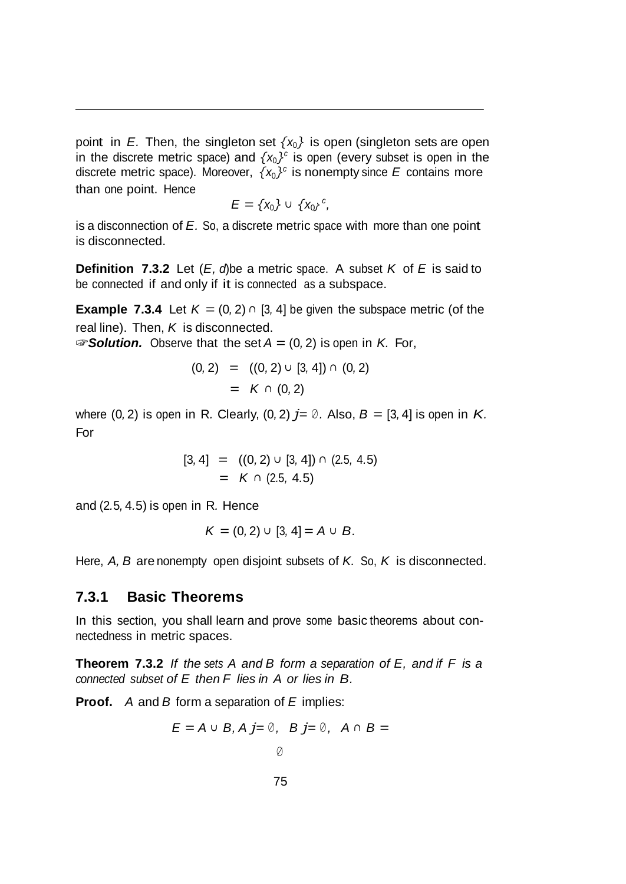point in *E*. Then, the singleton set  $\{x_0\}$  is open (singleton sets are open in the discrete metric space) and  $\{x_0\}^c$  is open (every subset is open in the discrete metric space). Moreover,  $\{x_0\}^c$  is nonempty since *E* contains more than one point. Hence

$$
E = \{x_0\} \cup \{x_0\}^c,
$$

is a disconnection of *E.* So, a discrete metric space with more than one point is disconnected.

**Definition 7.3.2** Let (*E, d*)be a metric space. A subset *K* of *E* is said to be connected if and only if it is connected as a subspace.

**Example 7.3.4** Let  $K = (0, 2) \cap [3, 4]$  be given the subspace metric (of the real line). Then, *K* is disconnected. ☞*Solution.* Observe that the set *A* = (0*,* 2) is open in *K.* For,

$$
(0,2) = ((0,2) \cup [3,4]) \cap (0,2)
$$
  
=  $K \cap (0,2)$ 

where  $(0, 2)$  is open in R. Clearly,  $(0, 2)$   $j = \emptyset$ . Also,  $B = [3, 4]$  is open in K. For

$$
[3,4] = ((0,2) \cup [3,4]) \cap (2.5, 4.5)
$$
  
=  $K \cap (2.5, 4.5)$ 

and (2*.*5*,* 4*.*5) is open in R*.* Hence

$$
K = (0,2) \cup [3,4] = A \cup B.
$$

Here, *A, B* are nonempty open disjoint subsets of *K.* So, *K* is disconnected.

#### **7.3.1 Basic Theorems**

In this section, you shall learn and prove some basic theorems about connectedness in metric spaces.

**Theorem 7.3.2** *If the sets A and B form a separation of E, and if F is a connected subset of E then F lies in A or lies in B.*

**Proof.** *A* and *B* form a separation of *E* implies:

$$
E = A \cup B, A j = \emptyset, B j = \emptyset, A \cap B =
$$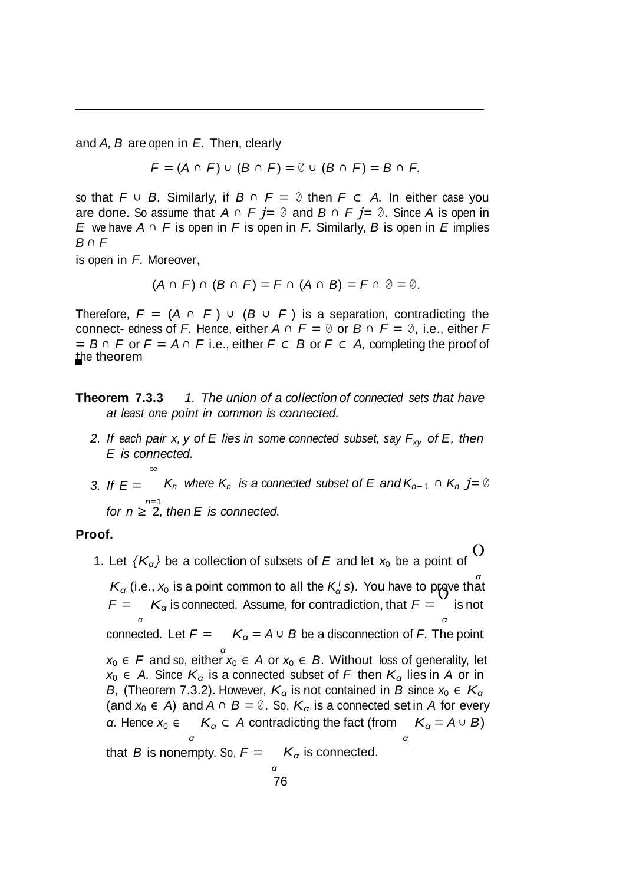and *A, B* are open in *E.* Then, clearly

*F* = (*A <sup>∩</sup> F*) *<sup>∪</sup>* (*B <sup>∩</sup> F*) = *<sup>∅</sup> <sup>∪</sup>* (*B <sup>∩</sup> F*) = *B <sup>∩</sup> F.*

so that *F <sup>∪</sup> B.* Similarly, if *B <sup>∩</sup> F* = *<sup>∅</sup>* then *F ⊂ A.* In either case you are done. So assume that *A <sup>∩</sup> F j*= *<sup>∅</sup>* and *B <sup>∩</sup> F j*= *<sup>∅</sup> .* Since *A* is open in *E* we have *A ∩ F* is open in *F* is open in *F.* Similarly, *B* is open in *E* implies *B ∩ F*

is open in *F.* Moreover,

*∞*

 $(A \cap F) \cap (B \cap F) = F \cap (A \cap B) = F \cap \emptyset = \emptyset$ .

Therefore,  $F = (A \cap F) \cup (B \cup F)$  is a separation, contradicting the connect- edness of *F.* Hence, either  $A \cap F = \emptyset$  or  $B \cap F = \emptyset$ , i.e., either *F* = *B <sup>∩</sup> F* or *F* = *A <sup>∩</sup> F* i.e., either *F ⊂ B* or *F ⊂ A,* completing the proof of the theorem

**Theorem 7.3.3** *1. The union of a collection of connected sets that have at least one point in common is connected.*

- *2. If each pair x, y of E lies in some connected subset, say Fxy of E, then E is connected.*
- *3. If*  $E =$  *K<sub>n</sub>* where  $K_n$  *is* a connected subset of  $E$  and  $K_{n-1} \cap K_n$   $j = \emptyset$ *n*=1 *for n ≥* 2*, then E is connected.*

#### **Proof.**

1. Let  ${K_\alpha}$ } be a collection of subsets of *E* and let  $x_0$  be a point of ()

*α*  $K_{\alpha}$  (i.e.,  $x_0$  is a point common to all the  $K_{\alpha}$ <sup>*t*</sup> *s*). You have to prove that  $F =$  *K*<sup> $\alpha$ </sup> is connected. Assume, for contradiction, that  $F =$ is not *α α* connected. Let  $F =$   $K_{\alpha} = A \cup B$  be a disconnection of *F*. The point *α x*<sup>0</sup> *∈ F* and so, either *x*<sup>0</sup> *∈ A* or *x*<sup>0</sup> *∈ B.* Without loss of generality, let *x*<sub>0</sub>  $\epsilon$  *A.* Since  $K_{\alpha}$  is a connected subset of *F* then  $K_{\alpha}$  lies in *A* or in *B*, (Theorem 7.3.2). However,  $K_{\alpha}$  is not contained in *B* since  $x_0 \in K_{\alpha}$ (and  $x_0 \in A$ ) and  $A \cap B = \emptyset$ . So,  $K_\alpha$  is a connected set in A for every *α.* Hence  $x_0 \in K_\alpha \subset A$  contradicting the fact (from *α K*<sub> $\alpha$ </sub> =  $A \cup B$ ) *α* that *B* is nonempty. So,  $F = K_\alpha$  is connected. *α*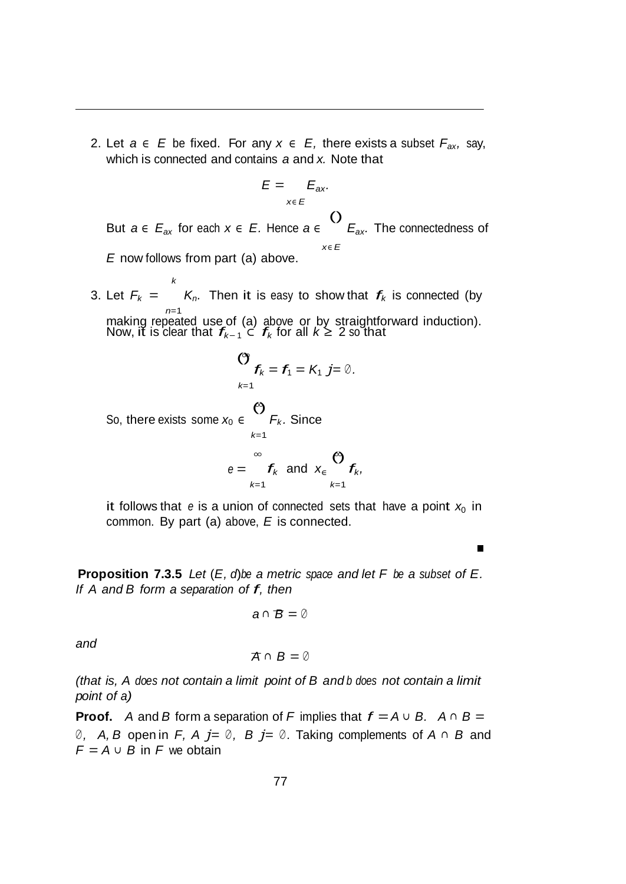2. Let *a ∈ E* be fixed. For any *x ∈ E,* there exists a subset *Fax,* say, which is connected and contains *a* and *x.* Note that

$$
E = E_{ax}
$$
  
where  $Q \leq C$ 

But *a ∈ Eax* for each *x ∈ E.* Hence *a ∈ Eax.* The connectedness of *x∈ E E* now follows from part (a) above.

3. Let  $F_k =$  $\kappa$  *K*<sub>n</sub>. Then it is easy to show that  $f_k$  is connected (by *n*=1 making repeated use of (a) above or by straightforward induction). Now, it is clear that *fk<sup>−</sup>* <sup>1</sup> *<sup>⊂</sup> fk* for all *<sup>k</sup> <sup>≥</sup>* <sup>2</sup> so that

$$
\begin{aligned}\n &\text{(3)} \quad f_k = f_1 = K_1 \ j = \emptyset. \\
&\text{So, there exists some } x_0 \in \bigotimes_{k=1}^{k=1} F_k. \text{ Since} \\
&\text{we have } \mathbf{f}_k \text{ and } \mathbf{x}_k = \sum_{k=1}^{\infty} f_k.\n \end{aligned}
$$

it follows that  $e$  is a union of connected sets that have a point  $x_0$  in common. By part (a) above, *E* is connected.

**Proposition 7.3.5** *Let* (*E, d*)*be a metric space and let F be a subset of E. If <sup>A</sup> and <sup>B</sup> form <sup>a</sup> separation of f, then*

$$
a\cap B=\emptyset
$$

*and*

$$
\overline{A} \cap B = \emptyset
$$

*(that is, A does not contain a limit point of B and b does not contain a limit point of a)*

**Proof.** *A* and *B* form a separation of *F* implies that  $f = A \cup B$ .  $A \cap B =$ *<sup>∅</sup> , A, B* open in *F, A j*= *<sup>∅</sup> , B j*= *<sup>∅</sup> .* Taking complements of *A <sup>∩</sup> B* and  $F = A \cup B$  in *F* we obtain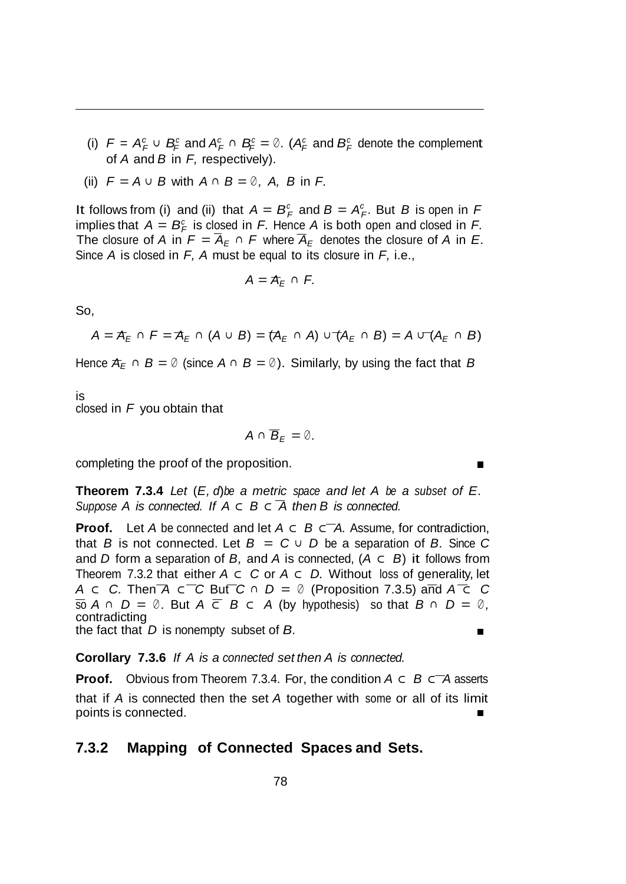- *(i)*  $F = A_F^c$  ∪  $B_F^c$  and  $A_F^c$  ∩  $B_F^c = \emptyset$ . ( $A_F^c$  and  $B_F^c$  denote the complement of *A* and *B* in *F,* respectively).
- (ii)  $F = A ∪ B$  with  $A ∩ B = ∅$ ,  $A$ ,  $B$  in  $F$ .

It follows from (i) and (ii) that  $A = B_F^c$  and  $B = A_F^c$ . But *B* is open in *F* implies that  $A = B_F^c$  is closed in *F*. Hence *A* is both open and closed in *F*. The closure of *A* in  $F = \overline{A}_E \cap F$  where  $\overline{A}_E$  denotes the closure of *A* in *E*. Since *A* is closed in *F, A* must be equal to its closure in *F,* i.e.,

$$
A=\mathcal{A}_E\,\cap\,F.
$$

So,

$$
A = \mathcal{A}_E \cap F = \mathcal{A}_E \cap (A \cup B) = (\mathcal{A}_E \cap A) \cup (\mathcal{A}_E \cap B) = A \cup (\mathcal{A}_E \cap B)
$$

Hence  $A_F \cap B = \emptyset$  (since  $A \cap B = \emptyset$ ). Similarly, by using the fact that *B* 

is closed in *F* you obtain that

$$
A\cap\overline{B}_E=\emptyset.
$$

completing the proof of the proposition.

**Theorem 7.3.4** *Let* (*E, d*)*be a metric space and let A be a subset of E. Suppose A is connected. If A ⊂ B ⊂ A then B is connected.*

**Proof.** Let *A* be connected and let *A ⊂ B ⊂ A.* Assume, for contradiction, that *B* is not connected. Let  $B = C \cup D$  be a separation of *B*. Since *C* and *D* form a separation of *B,* and *A* is connected, (*A ⊂ B*) it follows from Theorem 7.3.2 that either *A ⊂ C* or *A ⊂ D.* Without loss of generality, let *A ⊂ C.* Then *A ⊂ C* But *C <sup>∩</sup> D* = *<sup>∅</sup>* (Proposition 7.3.5) and *A ⊂ C* so *<sup>A</sup> <sup>∩</sup> <sup>D</sup>* <sup>=</sup> *<sup>∅</sup> .* But *<sup>A</sup> <sup>⊂</sup> <sup>B</sup> <sup>⊂</sup> <sup>A</sup>* (by hypothesis) so that *<sup>B</sup> <sup>∩</sup> <sup>D</sup>* <sup>=</sup> *<sup>∅</sup> ,* contradicting Ē

the fact that *D* is nonempty subset of *B.*

**Corollary 7.3.6** *If A is a connected set then A is connected.*

**Proof.** Obvious from Theorem 7.3.4. For, the condition *A ⊂ B ⊂ A* asserts that if *A* is connected then the set *A* together with some or all of its limit points is connected.

#### **7.3.2 Mapping of Connected Spaces and Sets.**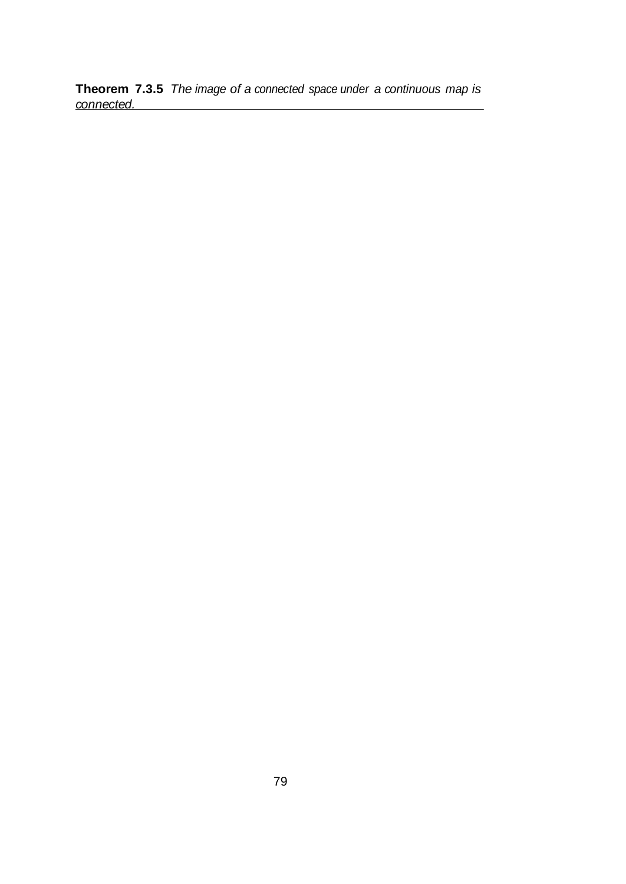**Theorem 7.3.5** *The image of a connected space under a continuous map is connected.*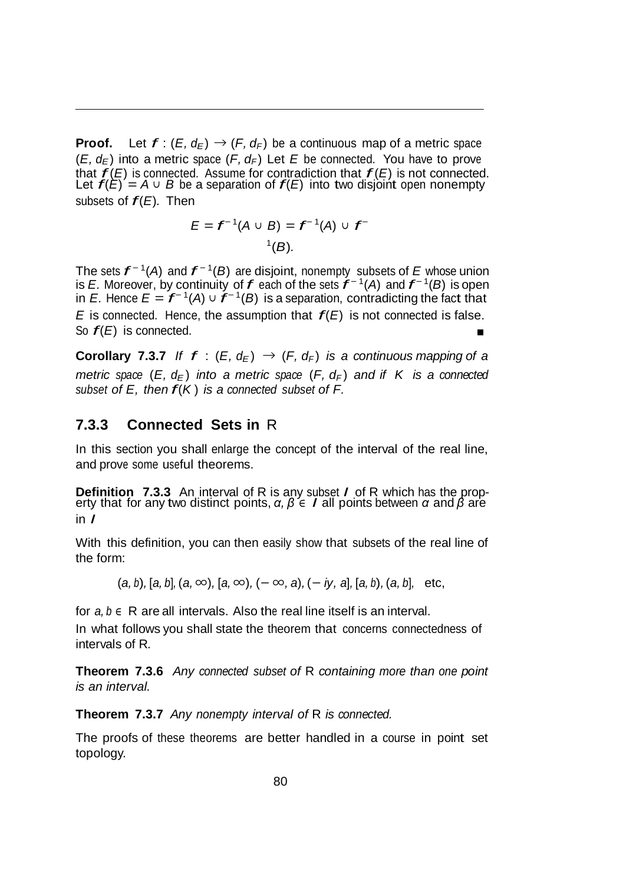**Proof.** Let  $f: (E, d_E) \rightarrow (F, d_F)$  be a continuous map of a metric space  $(E, d_F)$  into a metric space  $(F, d_F)$  Let *E* be connected. You have to prove that  $f(E)$  is connected. Assume for contradiction that  $f(E)$  is not connected. that  $f(E)$  is connected. Assume for contradiction that  $f(E)$  is not connected<br>Let  $f(E) = A ∪ B$  be a separation of  $f(E)$  into two disjoint open nonempty subsets of *f*(*E*)*.* Then

$$
E = f^{-1}(A \cup B) = f^{-1}(A) \cup f^{-1}(B).
$$

The sets *f <sup>−</sup>* 1(*A*) and *f <sup>−</sup>* 1(*B*) are disjoint, nonempty subsets of *<sup>E</sup>* whose union is *E.* Moreover, by continuity of *f* each of the sets  $f^{-1}(A)$  and  $f^{-1}(B)$  is open is *E.* Hence  $E = f^{-1}(A) \cup f^{-1}(B)$  is a separation, contradicting the fact that *<sup>E</sup>* is connected. Hence, the assumption that *f*(*E*) is not connected is false. So *f*(*E*) is connected.

**Corollary** 7.3.7 *If f* :  $(E, d_F) \rightarrow (F, d_F)$  *is* a *continuous mapping* of *a metric space*  $(E, d_F)$  *into a metric space*  $(F, d_F)$  *and if K is a connected subset of E, then f*(*<sup>K</sup>* ) *is <sup>a</sup> connected subset of F.*

#### **7.3.3 Connected Sets in** R

In this section you shall enlarge the concept of the interval of the real line, and prove some useful theorems.

**Definition 7.3.3** An interval of <sup>R</sup> is any subset *<sup>I</sup>* of <sup>R</sup> which has the prop- erty that for any two distinct points, *<sup>α</sup>, <sup>β</sup> <sup>∈</sup> <sup>I</sup>* all points between *<sup>α</sup>* and *<sup>β</sup>* are in *I*

With this definition, you can then easily show that subsets of the real line of the form:

 $(a, b)$ , [a, b],  $(a, \infty)$ , [a,  $\infty$ ),  $(-\infty, a)$ ,  $(-iy, a]$ , [a, b),  $(a, b]$ , etc,

for *a, b ∈* R are all intervals. Also the real line itself is an interval.

In what follows you shall state the theorem that concerns connectedness of intervals of R*.*

**Theorem 7.3.6** *Any connected subset of* R *containing more than one point is an interval.*

**Theorem 7.3.7** *Any nonempty interval of* R *is connected.*

The proofs of these theorems are better handled in a course in point set topology.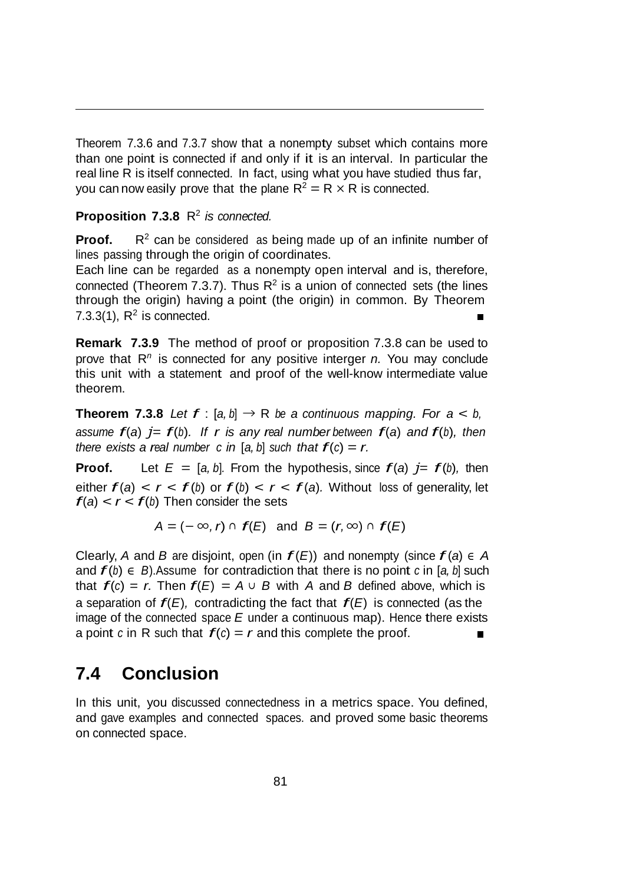Theorem 7.3.6 and 7.3.7 show that a nonempty subset which contains more than one point is connected if and only if it is an interval. In particular the real line R is itself connected. In fact, using what you have studied thus far, you can now easily prove that the plane  $R^2 = R \times R$  is connected.

#### **Proposition 7.3.8** R2 *is connected.*

**Proof.**  $R^2$  can be considered as being made up of an infinite number of lines passing through the origin of coordinates.

Each line can be regarded as a nonempty open interval and is, therefore, connected (Theorem 7.3.7). Thus  $R^2$  is a union of connected sets (the lines through the origin) having a point (the origin) in common. By Theorem 7.3.3(1),  $R^2$  is connected.

**Remark 7.3.9** The method of proof or proposition 7.3.8 can be used to prove that R*<sup>n</sup>*is connected for any positive interger *n.* You may conclude this unit with a statement and proof of the well-know intermediate value theorem.

**Theorem 7.3.8** Let  $f : [a, b] \rightarrow \mathbb{R}$  be a continuous mapping. For  $a < b$ , *assume*  $f(a)$  *j*=  $f(b)$ *. If r is any real number between*  $f(a)$  *and*  $f(b)$ *, then there exists a real number c in* [a, b] *such that*  $f(c) = r$ .

**Proof.** Let  $E = [a, b]$ . From the hypothesis, since  $f(a)$   $j = f(b)$ , then either  $f(a) < r < f(b)$  or  $f(b) < r < f(a)$ . Without loss of generality, let  $f(a) < r < f(b)$  Then consider the sets

*A* =  $(-\infty, r)$  ∩  $f(E)$  and  $B = (r, \infty)$  ∩  $f(E)$ 

Clearly, *A* and *B* are disjoint, open (in  $f(E)$ ) and nonempty (since  $f(a) \in A$ and  $f(b) \in B$ ). Assume for contradiction that there is no point *c* in [*a*, *b*] such that  $f(c) = r$ . Then  $f(E) = A \cup B$  with A and B defined above, which is a separation of  $f(E)$ , contradicting the fact that  $f(E)$  is connected (as the image of the connected space *E* under a continuous map). Hence there exists a point *c* in R such that  $f(c) = r$  and this complete the proof.  $\blacksquare$ 

#### **7.4 Conclusion**

In this unit, you discussed connectedness in a metrics space. You defined, and gave examples and connected spaces. and proved some basic theorems on connected space.